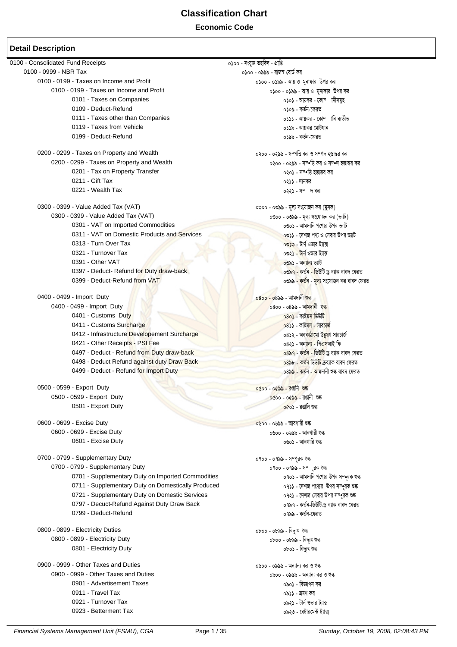**Classification Chart Economic Code**

#### **Detail Description**

0100 - Consolidated Fund Receipts<br>- তেতিয়া - তেতিয়া - তেতিয়া - তেতিয়া - তেতিয়া - তেতিয়া - তেতিয়া - তেতিয়া - তেতিয়া - তেতিয়া - তেতিয়া<br>- তেতিয়া - তেতিয়া - তেতিয়া - তেতিয়া - তেতিয়া - তেতিয়া - তেতিয়া - তেতিয ০১০০ - ০৯৯৯ - রাজস্ব বোর্ড কর 0100 - 0199 - Taxes on Income and Profit 11 11 11 11 11 11 11 11 11 11 12 0 12 0 12 1 12 1 13 1 14 1 15 1 16 1 O100 - 0199 - Taxes on Income and Profit<br>- তেওঁ - তাৰ ১৯৯১ - তাৰ বিষয়ে বিষয়ে বিষয়ে বিষয়ে বিষয়ে বিষয়ে বিষয়ে বিষয়ে বিষয়ে বিষয়ে বিষয়ে বিষয়ে বি<br>- ১১০১ - আয়ক্তৰ - বেলি মানীসমূহ 0**১**০১ - আয়কর - কোম্পানীসমহ 0109 - Deduct-Refund ৩১০৯ - কর্তন-ফেরত 0111 - Taxes other than Companies  $\frac{1}{2}$   $\frac{1}{2}$   $\frac{1}{2}$   $\frac{1}{2}$   $\frac{1}{2}$   $\frac{1}{2}$   $\frac{1}{2}$   $\frac{1}{2}$   $\frac{1}{2}$   $\frac{1}{2}$   $\frac{1}{2}$   $\frac{1}{2}$   $\frac{1}{2}$   $\frac{1}{2}$   $\frac{1}{2}$   $\frac{1}{2}$   $\frac{1}{2}$   $\frac{1}{2}$   $\frac{1}{2$ 0119 - Taxes from Vehicle 2012 - Ava the Control of Ave and Ava the Control of Ava the Control of Ava 0199 - Deduct-Refund 0199 - KZ©b-‡diZ 0200 - 0299 - Taxes on Property and Wealth ৩২০০ - ০২৯৯ - সম্পত্তি কর ও সম্পত্ত কর করা কর 0200 - 0299 - Taxes on Property and Wealth 0200 - 0299 - m¤ wË Ki I m¤ ` n¯ • • vši Ki 0201 - Tax on Property Transfer । তেওঁ চালি আৰু নাম স্বাধীন কৰি হয়। তেওঁ সম্পত্তি হয়। তেওঁ চালি কৰ  $0211$  - Gift Tax  $0221$  - Wealth Tax  $0221$  - Wealth Tax 0221 - Wealth Tax 0300 - 0399 - Value Added Tax (VAT) 0300 - 0399 - gj¨ ms‡hvRb Ki (gymK) 0৩০০ - ০৩৯৯ - মূল্য সংযোজন কর (ভ্যাট) 0301 - VAT on Imported Commodities extending the cool in available vool - আমদানি পণ্যের উপর ভ্যাট 0311 - VAT on Domestic Products and Services 2012 2012 - 2013 - কেশজ পণ্য ও সেবার উপর ভাট 0313 - Turn Over Tax 0313 - টার্ণ ওভার টারে  $0321$  - Turnover Tax  $0391$  -  $0\nmid$   $\frac{1}{101}$   $\frac{1}{101}$   $\frac{1}{101}$   $\frac{1}{101}$   $\frac{1}{101}$   $\frac{1}{101}$   $\frac{1}{101}$   $\frac{1}{101}$   $\frac{1}{101}$   $\frac{1}{101}$   $\frac{1}{101}$   $\frac{1}{101}$   $\frac{1}{101}$   $\frac{1}{101}$   $\frac{1}{101}$   $\frac{$ <mark>০৩৯১ - অন্যান্য ভ্যাট</mark> 0397 - Deduct- Refund for Duty <mark>draw-back 0397 - সেই সেও সময়ত বা</mark>ৰ্ত ১৩১৭ - কৰ্তৃন - ভিউটি ড্ৰ'বাক বাৰ্দ ফেরত<br>তেও - অতিথিক সম্প্ৰতি কৰি আৰু বাৰ্ট সম্প্ৰতি কৰি আৰু বাৰ্ট সম্প্ৰতি কৰি আৰু বাৰ্ট সম্প্ৰতি কৰি নামৰ বাবে কৰি 0৩৯৯ <mark>- কৰ্তন - মূল্য</mark> সংযোজন কর বাবদ ফেরত  $0400 - 0499 -$ Import Duty 0800 - 0888 - আমদানী ওক্ক ১৯৯৭ - তামদানী ওক্ক ১৯৯৭ - তামদানী ওক্  $0400 - 0499 -$ Import Duty 0800 - 0888 - আমদানী ওড়<br> $0401 - \text{Customs Duty}$ 0401 - Customs Duty 0411 - Customs Surcharge 2012 - তার মার্চার্জ - ক্রান্টেম - ক্রান্ট - ক্রান্ট - ক্রান্ট - ক্রান্ট - সারচার্জ 0412 - Infrastructure Developement Surcharge ৩৪১২ - অবক<mark>্ষ</mark>ঠামো উন্নয়ণ সারচার্জ<br>০421 - Other Receipts - PSI Fee 0421 - Other Receipts - PSI Fee 0497 - Deduct - Refund from Duty draw-back 0497 - KZ©b - wWDwU Wª e¨vK eve` †diZ 0498 - Deduct Refund against duty Draw Back ملادة المستخدم المستخدم المستخدم المستخدم المستخدم المستخدم المستخ<br>بالمستخدم المستخدم المستخدم المستخدم المستخدم المستخدم المستخدم المستخدم المستخدم المستخدم المستخدم المستخدم 0499 - Deduct - Refund for Import Duty 0500 - 0599 - Export Duty<br>
0500 - 0599 - Export Duty<br>
0600 - 0600 - 0608 - রঙানী গুল্ক 0600 - 0599 - Export Duty <sup>06</sup>00 - 06<mark>0</mark>60 - 06<mark>0</mark>60 - 06<mark>0</mark>60 - 06<mark>0</mark>60 - 06<mark>0</mark>60 - 06<br>0501 - Export Duty 0660 - রঞ্জনি তল 0501 - Export Duty  $0600$  -  $0699$  -  $0488$  - আবর্গারী শুল্ক 0600 - 0699 - Excise Duty 0600 - 0699 - AveMvix ïé  $0601$  - Excise Duty  $0\frac{1}{160}$   $0\frac{1}{160}$   $0\frac{1}{160}$   $0\frac{1}{160}$   $0\frac{1}{160}$   $0\frac{1}{160}$   $0\frac{1}{160}$   $0\frac{1}{160}$   $0\frac{1}{160}$   $0\frac{1}{160}$   $0\frac{1}{160}$   $0\frac{1}{160}$   $0\frac{1}{160}$   $0\frac{1}{160}$   $0\frac{1}{160}$   $0\frac$  $0700 - 0799 -$  Supplementary Duty  $0900 - 098$  -  $0900 - 098$  - সম্পূর্ক শুল্ক o 100 - 0799 - Supplementary Duty<br>তি বিকিৎস ১৭০০ - ০৭৯৯ - সম্প্রক জন্ম তার সম্ভৱক স্কুল কর্ম হারাদেশি শের উপর সম্ভৱক জন্ o 101 - Supplementary Duty on Imported Commodities ৩৭০১ - আমদানি পণ্যের উপর সম্পূর্ক শুন<br>ত প্যা - Supplementary Duty on Domestically Produced ৩৭১১ - দেশজ পণ্যের উপর সম্পর্ক শুক্ক 0711 - Supplementary Duty on Domestically Produced 0711 - ‡`kR c‡Y¨i Dci m¤•iK ïé 0721 - Supplementary Duty on Domestic Services 0797 - Decuct-Refund Against Duty Draw Back 0797 - KZ©b-wWDwU W« e¨vK eve` †diZ 0799 - Deduct-Refund 0799 - KZ©b-‡diZ oboo - 0899 - Electricity Duties (১৪০০ - ০৮৯৯ - বিদ্যুৎ খঙ্ক)<br>১৪০০ - ০৪৯৯ - বিদ্যুৎ খঙ্ক তিনিচা সংগ্ৰহ (১৯৯৯ - বিদ্যুৎ খঙ্ক তিনিচা সংগ্ৰহ (১৯৯৯ - বিদ্যুৎ খঙ্ক তিনিচা সংগ্ৰ 0800 - 0899 - Electricity Duty 0800 - 0899 - we`¨r ïé 0801 - Electricity Duty 0900 - 0999 - Other Taxes and Duties 0900 - 0999 - Ab¨vb¨ Ki I ïé oboo - 0999 - Other Taxes and Duties<br>0900 - 0৯৯৯ - অন্যান্য কর<br>কিন্তু - বিজ্ঞাপন কর 0901 - Advertisement Taxes 0901 - weÁvcb Ki 0911 - Travel Tax 0911 - ågY Ki 0921 - Turnover Tax 0921 - Uvb© Ifvi U¨v· 0923 - Betterment Tax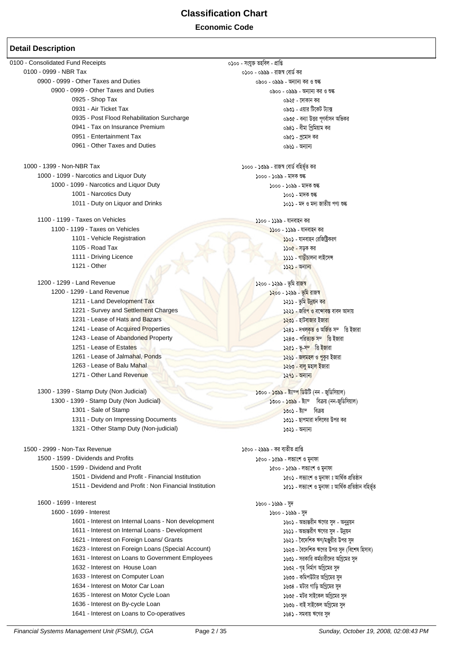| 0100 - Consolidated Fund Receipts                     | ০১০০ - সংযুক্ত তহবিল - প্ৰাপ্তি                      |
|-------------------------------------------------------|------------------------------------------------------|
| 0100 - 0999 - NBR Tax                                 | ০১০০ - ০৯৯৯ - রাজস্ব বোর্ড কর                        |
| 0900 - 0999 - Other Taxes and Duties                  | ০৯০০ - ০৯৯৯ - অন্যান্য কর ও শুল্ক                    |
| 0900 - 0999 - Other Taxes and Duties                  | ০৯০০ - ০৯৯৯ - অন্যান্য কর ও শুল্ক                    |
| 0925 - Shop Tax                                       | ০৯২৫ - দোকান কর                                      |
| 0931 - Air Ticket Tax                                 | ০৯৩১ - এয়ার টিকেট ট্যাক্স                           |
| 0935 - Post Flood Rehabilitation Surcharge            | ০৯৩৫ - বন্যা উত্তর পূণর্বাসন অভিকর                   |
| 0941 - Tax on Insurance Premium                       | ০৯৪১ - বীমা প্রিমিয়াম কর                            |
| 0951 - Entertainment Tax                              | ০৯৫১ - প্রমোদ কর                                     |
| 0961 - Other Taxes and Duties                         | ০৯৬১ - অন্যান্য                                      |
|                                                       |                                                      |
| 1000 - 1399 - Non-NBR Tax                             | ১০০০ - ১৩৯৯ - রাজস্ব বোর্ড বহির্ভূত কর               |
| 1000 - 1099 - Narcotics and Liquor Duty               | ১০০০ - ১০৯৯ - মাদক শুল্ক                             |
| 1000 - 1099 - Narcotics and Liquor Duty               | ১০০০ - ১০৯৯ - মাদক শুল্ক                             |
| 1001 - Narcotics Duty                                 | ১০০১ - মাদক শুল্ক                                    |
| 1011 - Duty on Liquor and Drinks                      | ১০১১ - মদ ও মদ্য জাতীয় পণ্য শুল্ক                   |
| 1100 - 1199 - Taxes on Vehicles                       | ১১০০ - ১১৯৯ - যানবাহন কর                             |
| 1100 - 1199 - Taxes on Vehicles                       | ১১০০ - ১১৯৯ - যানবাহন কর                             |
| 1101 - Vehicle Registration                           | ১১০১ - যানবাহন রেজিষ্ট্রিকরণ                         |
| 1105 - Road Tax                                       | ১১০৫ - সড়ক কর                                       |
| 1111 - Driving Licence                                | ১১১১ - গাড়ীচালনা লাইসেন্স                           |
| 1121 - Other                                          | $5525 -$ অন্যান্য                                    |
| 1200 - 1299 - Land Revenue                            | ১২০০ - ১২৯৯ - ভূমি রাজস্ব                            |
| 1200 - 1299 - Land Revenue                            | <mark>১২</mark> ০০ - ১২৯৯ - <mark>ভূমি রাজস্ব</mark> |
| 1211 - Land Development Tax                           | ১২১১ - ভূমি উন্নয়ন কর                               |
| 1221 - Survey and Settlement Charges                  | ১২২১ - জরি <mark>প ও বন্দোবস্ত</mark> বাবদ আদায়     |
| 1231 - Lease of Hats and Bazars                       | ১২৩১ - হাটবাজার ইজারা                                |
| 1241 - Lease of Acquired Properties                   | ১২৪১ - দখল <mark>কৃত ও অৰ্জি</mark> ত সম্ভি ইজারা    |
| 1243 - Lease of Abandoned Property                    | ১২৪৩ - পরি <mark>ত্যক্ত সম্ভি ই</mark> জারা          |
| 1251 - Lease of Estates                               | <mark>১২৫১ - ভূ-সম্ভি ইজা</mark> রা                  |
| 1261 - Lease of Jalmahal, Ponds                       | ১২৬১ - জলমহল ও পুকুর ইজারা                           |
| 1263 - Lease of Balu Mahal                            | ১২৬৩ - বালু মহাল ইজারা                               |
| 1271 - Other Land Revenue                             | $5295 -$ অন্যান্য                                    |
|                                                       |                                                      |
| 1300 - 1399 - Stamp Duty (Non Judicial)               | ১৩০০ - ১৩৯৯ - ষ্ট্যাম্প ডিউটি (নন - জুডিসিয়াল)      |
| 1300 - 1399 - Stamp Duty (Non Judicial)               | $\delta$ ৩০০ - ১৩৯৯ - ষ্ট্যাম্বিক্রয় (নন-জডিসিয়াল) |
| 1301 - Sale of Stamp                                  | ১৩০১ - ষ্ট্যাম্প বিক্রয়                             |
| 1311 - Duty on Impressing Documents                   | ১৩১১ - ছাপমারা দলিলের উপর কর                         |
| 1321 - Other Stamp Duty (Non-judicial)                | ১৩২১ - অন্যান্য                                      |
| 1500 - 2999 - Non-Tax Revenue                         | ১৫০০ - ২৯৯৯ - কর ব্যতীত প্রাপ্তি                     |
| 1500 - 1599 - Dividends and Profits                   | ১৫০০ - ১৫৯৯ - লভ্যাংশ ও মনাফা                        |
| 1500 - 1599 - Dividend and Profit                     | ১৫০০ - ১৫৯৯ - লভ্যাংশ ও মুনাফা                       |
| 1501 - Dividend and Profit - Financial Institution    | ১৫০১ - লভ্যাংশ ও মুনাফা ঃ আৰ্থিক প্ৰতিষ্ঠান          |
| 1511 - Devidend and Profit: Non Financial Institution | ১৫১১ - লভ্যাংশ ও মুনাফা ঃ আৰ্থিক প্ৰতিষ্ঠান বহিৰ্ভূত |
| 1600 - 1699 - Interest                                |                                                      |
| 1600 - 1699 - Interest                                | ১৬০০ - ১৬৯৯ - সুদ                                    |
|                                                       | ১৬০০ - ১৬৯৯ - সুদ                                    |
| 1601 - Interest on Internal Loans - Non development   | ১৬০১ - অভ্যন্তরীন ঋণের সুদ - অনুন্নয়ন               |
| 1611 - Interest on Internal Loans - Development       | ১৬১১ - অভ্যন্তরীণ ঋণের সুদ - উন্নয়ন                 |
| 1621 - Interest on Foreign Loans/ Grants              | ১৬২১ - বৈদেশিক ঋণ/মঞ্জুরীর উপর সুদ                   |
| 1623 - Interest on Foreign Loans (Special Account)    | ১৬২৩ - বৈদেশিক ঋণের উপর সুদ (বিশেষ হিসাব)            |
| 1631 - Interest on Loans to Government Employees      | ১৬৩১ - সরকারি কর্মচারীদের অগ্রিমের সুদ               |
| 1632 - Interest on House Loan                         | ১৬৩২ - গৃহ নির্মাণ অগ্রিমের সুদ                      |
| 1633 - Interest on Computer Loan                      | ১৬৩৩ - কমিপউটার অগ্রিমের সুদ                         |
| 1634 - Interest on Motor Car Loan                     | ১৬৩৪ - মটার গাড়ি অগ্রিমের সুদ                       |
| 1635 - Interest on Motor Cycle Loan                   | ১৬৩৫ - মটর সাইকেল অগ্রিমের সুদ                       |
| 1636 - Interest on By-cycle Loan                      | ১৬৩৬ - বাই সাইকেল অগ্রিমের সুদ                       |
| 1641 - Interest on Loans to Co-operatives             | ১৬৪১ - সমবায় ঋণের সুদ                               |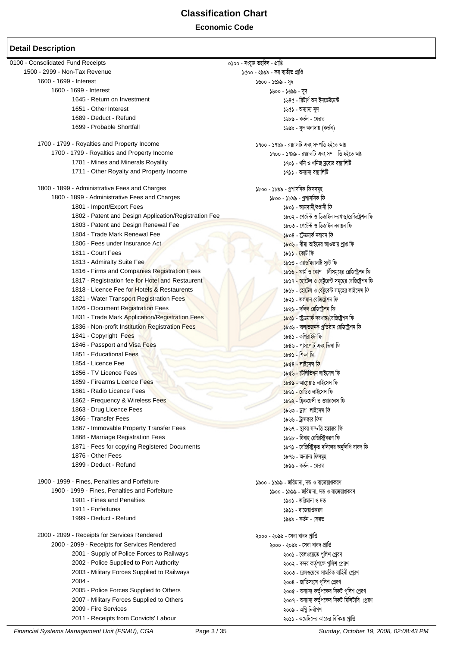| 0100 - Consolidated Fund Receipts                     | ০১০০ - সংযুক্ত তহবিল - প্ৰাপ্তি                               |
|-------------------------------------------------------|---------------------------------------------------------------|
| 1500 - 2999 - Non-Tax Revenue                         | ১৫০০ - ২৯৯৯ - কর ব্যতীত প্রাপ্তি                              |
| 1600 - 1699 - Interest                                | ১৬০০ - ১৬৯৯ - সুদ                                             |
| 1600 - 1699 - Interest                                | ১৬০০ - ১৬৯৯ - সুদ                                             |
| 1645 - Return on Investment                           | ১৬৪৫ - রিটার্ণ অন ইনভেষ্টমেন্ট                                |
| 1651 - Other Interest                                 | ১৬৫১ - অন্যান্য সুদ                                           |
| 1689 - Deduct - Refund                                | ১৬৮৯ - কর্তন - ফেরত                                           |
| 1699 - Probable Shortfall                             | ১৬৯৯ - সুদ অনাদায় (কর্তন)                                    |
|                                                       |                                                               |
| 1700 - 1799 - Royalties and Property Income           | ১৭০০ - ১৭৯৯ - রয়্যালটি এবং সম্পত্তি হইতে আয়                 |
| 1700 - 1799 - Royalties and Property Income           | ১৭০০ - ১৭৯৯ - রয়্যালটি এবং সম্ভি হইতে আয়                    |
| 1701 - Mines and Minerals Royality                    | ১৭০১ - খনি ও খনিজ দ্রব্যের রয়্যালিটি                         |
| 1711 - Other Royalty and Property Income              | ১৭১১ - অন্যান্য রয়্যালিটি                                    |
|                                                       |                                                               |
| 1800 - 1899 - Administrative Fees and Charges         | ১৮০০ - ১৮৯৯ - প্রশাসনিক ফিসসমূহ                               |
| 1800 - 1899 - Administrative Fees and Charges         | ১৮০০ - ১৮৯৯ - প্রশাসনিক ফি                                    |
| 1801 - Import/Export Fees                             | ১৮০১ - আমদানী/রপ্তানী ফি                                      |
| 1802 - Patent and Design Application/Registration Fee | ১৮০২ - পেটেন্ট ও ডিজাইন দরখাস্ত/রেজিষ্ট্রেশন ফি               |
| 1803 - Patent and Design Renewal Fee                  | ১৮০৩ - পেটেন্ট ও ডিজাইন নবায়ন ফি                             |
| 1804 - Trade Mark Renewal Fee                         | ১৮০৪ - ট্ৰেডমাৰ্ক নবায়ন ফি                                   |
| 1806 - Fees under Insurance Act                       | ১৮০৬ - বীমা আইনের আওতায় প্রাপ্ত ফি                           |
| 1811 - Court Fees                                     | ১৮১১ - কোর্ট ফি                                               |
| 1813 - Admiralty Suite Fee                            | ১৮১৩ - এ্যাডমিরালটি স্যুট ফি                                  |
| 1816 - Firms and Companies Registration Fees          | ১৮ <mark>১৬ - ফার্ম ও কো</mark> ম্প ানীসমুহের রেজিষ্ট্রেশন ফি |
| 1817 - Registration fee for Hotel and Restaurent      | ১৮১৭ - হোটেল ও রেষ্টুরেন্ট সমূহের রেজিষ্ট্রেশন ফি             |
| 1818 - Licence Fee for Hotels & Restaurents           | ১৮১৮ - হোটেল ও <mark>রে</mark> ষ্টুরেন্ট সমূহের লাইসেন্স ফি   |
| 1821 - Water Transport Registration Fees              | ১৮২১ - জল <mark>যান রেজিষ্ট্রেশ</mark> ন ফি                   |
| 1826 - Document Registration Fees                     | ১৮২৬ - দলি <mark>ল রেজিষ্ট্রেশন</mark> ফি                     |
| 1831 - Trade Mark Application/Registration Fees       | <mark>১৮৩১ - ট্রেডমার্ক দরখাস্ত/রেজিষ্ট্রেশ</mark> ন ফি       |
| 1836 - Non-profit Institution Registration Fees       | ১৮৩৬ - অলা <mark>ভজনক প্রতিষ্ঠান রেজিষ্ট্রেশন ফি</mark>       |
| 1841 - Copyright Fees                                 | ১৮৪১ - কপিরাইট ফি                                             |
| 1846 - Passport and Visa Fees                         | ১৮৪৬ - পাস <mark>পোর্ট এবং ভি</mark> সা ফি                    |
| 1851 - Educational Fees                               | ১৮৫১ - শিক্ষা ফি                                              |
| 1854 - Licence Fee                                    | ১৮৫৪ - লাইসেন্স ফি                                            |
| 1856 - TV Licence Fees                                | ১৮৫৬ - টেলিভিশন লাইসেন্স ফি                                   |
| 1859 - Firearms Licence Fees                          | ১৮৫৯ - আগ্নেয়াস্ত্ৰ লাইসেন্স ফি                              |
| 1861 - Radio Licence Fees                             | ১৮৬১ - রেডিও লাইসেন্স ফি                                      |
| 1862 - Frequency & Wireless Fees                      | ১৮৬২ - ফ্রিকয়েন্সী ও ওয়ারলেস ফি                             |
| 1863 - Drug Licence Fees                              | ১৮৬৩ - ড্ৰাগ লাইসেন্স ফি                                      |
| 1866 - Transfer Fees                                  | ১৮৬৬ - ট্রান্সফার ফিস                                         |
| 1867 - Immovable Property Transfer Fees               |                                                               |
|                                                       | ১৮৬৭ - স্থাবর সম্∙ত্তি হস্তান্তর ফি                           |
| 1868 - Marriage Registration Fees                     | ১৮৬৮ - বিবাহ রেজিস্ট্রিকরণ ফি                                 |
| 1871 - Fees for copying Registered Documents          | ১৮৭১ - রেজিস্ট্রিকৃত দলিলের অনুলিপি বাবদ ফি                   |
| 1876 - Other Fees                                     | ১৮৭৬ - অন্যান্য ফিসমূহ                                        |
| 1899 - Deduct - Refund                                | ১৮৯৯ - কৰ্তন - ফেরত                                           |
| 1900 - 1999 - Fines, Penalties and Forfeiture         | ১৯০০ - ১৯৯৯ - জরিমানা, দন্ড ও বাজেয়াপ্তকরণ                   |
| 1900 - 1999 - Fines, Penalties and Forfeiture         | ১৯০০ - ১৯৯৯ - জরিমানা, দন্ড ও বাজেয়াপ্তকরণ                   |
| 1901 - Fines and Penalties                            | ১৯০১ - জরিমানা ও দন্ড                                         |
| 1911 - Forfeitures                                    | ১৯১১ - বাজেয়াপ্তকরণ                                          |
| 1999 - Deduct - Refund                                | ১৯৯৯ - কর্তন - ফেরত                                           |
|                                                       |                                                               |
| 2000 - 2099 - Receipts for Services Rendered          | ২০০০ - ২০৯৯ - সেবা বাবদ প্ৰাপ্তি                              |
| 2000 - 2099 - Receipts for Services Rendered          | ২০০০ - ২০৯৯ - সেবা বাবদ প্রাপ্তি                              |
| 2001 - Supply of Police Forces to Railways            | ২০০১ - রেলওয়েতে পুলিশ প্রেরণ                                 |
| 2002 - Police Supplied to Port Authority              | ২০০২ - বন্দর কর্তৃপক্ষে পুলিশ প্রেরণ                          |
| 2003 - Military Forces Supplied to Railways           | ২০০৩ - রেলওয়েতে সামরিক বাহিনী প্রেরণ                         |
| $2004 -$                                              | ২০০৪ - জাতিসংঘে পুলিশ প্রেরণ                                  |
| 2005 - Police Forces Supplied to Others               | ২০০৫ - অন্যান্য কর্তৃপক্ষের নিকট পুলিশ প্রেরণ                 |
| 2007 - Military Forces Supplied to Others             | ২০০৭ - অন্যান্য কর্তৃপক্ষের নিকট মিলিটারি  প্রেরণ             |
| 2009 - Fire Services                                  | ২০০৯ - অগ্নি নিৰ্বাপণ                                         |
| 2011 - Receipts from Convicts' Labour                 | ২০১১ - কয়েদিদের কাজের বিনিময় প্রাপ্তি                       |
|                                                       |                                                               |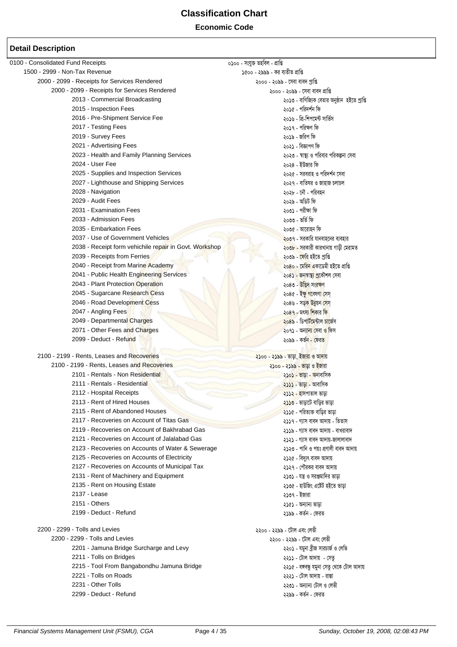**Economic Code** 

| 0100 - Consolidated Fund Receipts                      | ০১০০ - সংযুক্ত তহবিল - প্ৰাপ্তি                   |
|--------------------------------------------------------|---------------------------------------------------|
| 1500 - 2999 - Non-Tax Revenue                          | ১৫০০ - ২৯৯৯ - কর ব্যতীত প্রাপ্তি                  |
| 2000 - 2099 - Receipts for Services Rendered           | ২০০০ - ২০৯৯ - সেবা বাবদ প্রাপ্তি                  |
| 2000 - 2099 - Receipts for Services Rendered           | ২০০০ - ২০৯৯ - সেবা বাবদ প্রাপ্তি                  |
| 2013 - Commercial Broadcasting                         | ২০১৩ - বাণিজ্যিক বেতার অনুষ্ঠান  হইতে প্রাপ্তি    |
| 2015 - Inspection Fees                                 | ২০১৫ - পরিদর্শন ফি                                |
| 2016 - Pre-Shipment Service Fee                        | ২০১৬ - প্রি-শিপমেন্ট সার্ভিস                      |
| 2017 - Testing Fees                                    | ২০১৭ - পরিক্ষণ ফি                                 |
| 2019 - Survey Fees                                     | ২০১৯ - জরিপ ফি                                    |
| 2021 - Advertising Fees                                | ২০২১ - বিজ্ঞাপণ ফি                                |
| 2023 - Health and Family Planning Services             | ২০২৩ - স্বাস্থ্য ও পরিবার পরিকল্পনা সেবা          |
| 2024 - User Fee                                        | ২০২৪ - ইউজার ফি                                   |
| 2025 - Supplies and Inspection Services                | ২০২৫ - সরবরাহ ও পরিদর্শন সেবা                     |
|                                                        |                                                   |
| 2027 - Lighthouse and Shipping Services                | ২০২৭ - বাতিঘর ও জাহাজ চলাচল                       |
| 2028 - Navigation                                      | ২০২৮ - নৌ - পরিবহন                                |
| 2029 - Audit Fees                                      | ২০২৯ - অডিট ফি                                    |
| 2031 - Examination Fees                                | ২০৩১ - পরীক্ষা ফি                                 |
| 2033 - Admission Fees                                  | ২০৩৩ - ভৰ্তি ফি                                   |
| 2035 - Embarkation Fees                                | ২০৩৫ - আরোহন ফি                                   |
| 2037 - Use of Government Vehicles                      | <mark>২০৩৭ - সরকারি যানবাহনের ব্যবহার</mark>      |
| 2038 - Receipt form vehichile repair in Govt. Workshop | ২০ <b>৩৮ -</b> সরকারী কারখানায় গাড়ী মেরামত      |
| 2039 - Receipts from Ferries                           | ২০৩৯ - ফেরি হইতে প্রাপ্তি                         |
| 2040 - Receipt from Marine Academy                     | ২০৪০ - মেরি <mark>ন এ</mark> কাডেমী হইতে প্রাপ্তি |
| 2041 - Public Health Engineering Services              | ২০৪ <mark>১ - জনস্বাস্থ্য প্ৰ</mark> কৌশল সেবা    |
| 2043 - Plant Protection Operation                      | ২০৪৩ - উদ্ভিদ সংরক্ষণ                             |
| 2045 - Sugarcane Research Cess                         | ২০৪৫ - ইক্ <mark>ষু গ</mark> বেষণা সেস্           |
| 2046 - Road Development Cess                           | ২০৪৬ - সড় <mark>ক উন্নয়ন সে</mark> স্           |
| 2047 - Angling Fees                                    | ২০৪৭ - মৎস্য শিকার ফি                             |
| 2049 - Departmental Charges                            | ২০৪৯ - ডিপার্টমেন্টাল চার্জেস                     |
| 2071 - Other Fees and Charges                          | ২০৭১ - অন্যান্য সেবা <mark>ও </mark> ফিস          |
| 2099 - Deduct - Refund                                 | ২০৯৯ - কৰ্তন <mark>- ফে</mark> রত                 |
|                                                        |                                                   |
| 2100 - 2199 - Rents, Leases and Recoveries             | ২১০০ - ২১৯৯ - ভাড়া, ইজারা ও আদায়                |
| 2100 - 2199 - Rents, Leases and Recoveries             | ২১০০ - ২১৯৯ - ভাড়া ও ইজারা                       |
| 2101 - Rentals - Non Residential                       | ২ <b>১০১ - ভাড়া <mark>- অ</mark>নাবাসি</b> ক     |
| 2111 - Rentals - Residential                           | ২১১১ - ভা <mark>ড়া</mark> - আবাসিক               |
| 2112 - Hospital Receipts                               | ২১১২ - হাসপাতাল ভাড়া                             |
| 2113 - Rent of Hired Houses                            | <mark>২১১৩</mark> - ভাড়াটে বাড়ির ভাড়া          |
| 2115 - Rent of Abandoned Houses                        | ২১১৫ - পরিত্যক্ত বাড়ির ভাড়া                     |
| 2117 - Recoveries on Account of Titas Gas              | ২১১৭ - গ্যাস বাবদ আদায় - তিতাস                   |
| 2119 - Recoveries on Account of Bakhrabad Gas          | ২১১৯ - গ্যাস বাবদ আদায় - বাখরাবাদ                |
| 2121 - Recoveries on Account of Jalalabad Gas          | ২১২১ - গ্যাস বাবদ আদায়-জালালাবাদ                 |
| 2123 - Recoveries on Accounts of Water & Sewerage      | ২১২৩ - পানি ও পয়ঃ প্রণালী বাবদ আদায়             |
| 2125 - Recoveries on Accounts of Electricity           | ২১২৫ - বিদ্যুৎ বাবদ আদায়                         |
|                                                        |                                                   |
| 2127 - Recoveries on Accounts of Municipal Tax         | ২১২৭ - পৌরকর বাবদ আদায়                           |
| 2131 - Rent of Machinery and Equipment                 | ২১৩১ - যন্ত্র ও সরঞ্জমাদির ভাড়া                  |
| 2135 - Rent on Housing Estate                          | ২১৩৫ - হাউজিং এষ্টেট হইতে ভাড়া                   |
| 2137 - Lease                                           | ২১৩৭ - ইজারা                                      |
| 2151 - Others                                          | ২১৫১ - অন্যান্য ভাড়া                             |
| 2199 - Deduct - Refund                                 | ২১৯৯ - কর্তন - ফেরত                               |
| 2200 - 2299 - Tolls and Levies                         | ২২০০ - ২২৯৯ - টোল এবং লেভী                        |
| 2200 - 2299 - Tolls and Levies                         | ২২০০ - ২২৯৯ - টোল এবং লেডী                        |
| 2201 - Jamuna Bridge Surcharge and Levy                | ২২০১ - যমুনা ব্ৰীজ সারচার্জ ও লেভি                |
| 2211 - Tolls on Bridges                                |                                                   |
| 2215 - Tool From Bangabondhu Jamuna Bridge             | ২২১১ - টোল আদায়  - সেতু                          |
| 2221 - Tolls on Roads                                  | ২২১৫ - বঙ্গবন্ধু যমুনা সেতু থেকে টোল আদায়        |
| 2231 - Other Tolls                                     | ২২২১ - টোল আদায় - রাস্তা                         |
|                                                        | ২২৩১ - অন্যান্য টোল ও লেভী                        |
| 2299 - Deduct - Refund                                 | ২২৯৯ - কর্তন - ফেরত                               |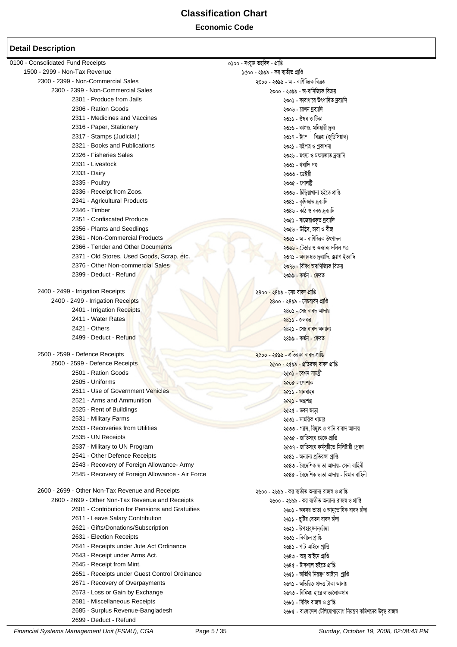#### **Economic Code**

| 0100 - Consolidated Fund Receipts                                                                   | ০১০০ - সংযুক্ত তহবিল - প্ৰাপ্তি                               |
|-----------------------------------------------------------------------------------------------------|---------------------------------------------------------------|
| 1500 - 2999 - Non-Tax Revenue                                                                       | ১৫০০ - ২৯৯৯ - কর ব্যতীত প্রাপ্তি                              |
| 2300 - 2399 - Non-Commercial Sales                                                                  | ২৩০০ - ২৩৯৯ - অ - বাণিজ্যিক বিক্রয়                           |
| 2300 - 2399 - Non-Commercial Sales                                                                  | ২৩০০ - ২৩৯৯ - অ-বানিজ্যিক বিক্রয়                             |
| 2301 - Produce from Jails                                                                           | ২৩০১ - কারাগারে উৎপাদিত দ্রব্যাদি                             |
| 2306 - Ration Goods                                                                                 | ২৩০৬ - রেশন দ্রব্যাদি                                         |
| 2311 - Medicines and Vaccines                                                                       | ২৩১১ - ঔষধ ও টিকা                                             |
| 2316 - Paper, Stationery                                                                            | ২৩১৬ - কাগজ, মনিহারী দ্রব্য                                   |
| 2317 - Stamps (Judicial)                                                                            | ২৩১৭ - ষ্ট্যাম্ বিক্রয় (জুডিসিয়াল)                          |
| 2321 - Books and Publications                                                                       | ২৩২১ - বইপত্ৰ ও প্ৰকাশনা                                      |
| 2326 - Fisheries Sales                                                                              | ২৩২৬ - মৎস্য ও মৎস্যজাত দ্রব্যাদি                             |
| 2331 - Livestock                                                                                    | ২৩৩১ - গবাদি পশু                                              |
| 2333 - Dairy                                                                                        | ২৩৩৩ - ডেইরী                                                  |
| 2335 - Poultry                                                                                      | ২৩৩৫ - পোলট্ৰি                                                |
| 2336 - Receipt from Zoos.                                                                           | ২৩৩৬ - চিড়িয়াখানা হইতে প্ৰাপ্তি                             |
| 2341 - Agricultural Products                                                                        | ২৩৪১ - কৃষিজাত দ্রব্যাদি                                      |
| 2346 - Timber                                                                                       | ২৩৪৬ - কাঠ ও বনজ দ্রব্যাদি                                    |
| 2351 - Confiscated Produce                                                                          | ২৩৫১ - বাজেয়াপ্তকৃত দ্রব্যাদি                                |
| 2356 - Plants and Seedlings                                                                         | ২৩৫৬ - উদ্ভিদ, চারা ও বীজ                                     |
| 2361 - Non-Commercial Products                                                                      | <mark>২৩৬১</mark> - অ - বাণিজ্যিক উৎপাদন                      |
| 2366 - Tender and Other Documents                                                                   | ২৩৬৬ - টেন্ডার ও অন্যান্য দলিল পত্র                           |
| 2371 - Old Stores, Used Goods, Scrap, etc.                                                          | ২৩৭১ - <mark>অব্য</mark> বহৃত দ্ৰব্যাদি, স্ক্ৰ্যাপ ইত্যাদি    |
| 2376 - Other Non-commercial Sales                                                                   | ২৩৭৬ - বিবি <mark>ধ অ</mark> বাণিজ্যিক বিক্রয়                |
| 2399 - Deduct - Refund                                                                              | ২৩৯৯ - কর্তন - ফেরত                                           |
|                                                                                                     |                                                               |
| 2400 - 2499 - Irrigation Receipts                                                                   | ২৪০০ - ২৪৯৯ - সেচ বাবদ প্রাপ্তি                               |
| 2400 - 2499 - Irrigation Receipts                                                                   | ২৪০০ - ২৪৯৯ - সেচবাবদ প্রাপ্তি                                |
| 2401 - Irrigation Receipts                                                                          | ২৪০১ - সেচ বাবদ আদায়                                         |
| 2411 - Water Rates                                                                                  | ২৪১১ - জলকর                                                   |
| 2421 - Others                                                                                       | ২৪২১ - সেচ বাবদ অন্যান্য                                      |
| 2499 - Deduct - Refund                                                                              | ২৪৯৯ - কৰ্তন <mark>- ফেরত</mark>                              |
|                                                                                                     |                                                               |
| 2500 - 2599 - Defence Receipts                                                                      | ২৫০০ - ২৫৯৯ - প্ৰতিরক্ষা বাবদ প্ৰাপ্তি                        |
| 2500 - 2599 - Defence Receipts                                                                      | ২৫০০ - ২৫৯৯ - প্ৰতিরক্ষ <mark>া বা</mark> বদ প্ৰাপ্তি         |
| 2501 - Ration Goods                                                                                 | ২৫০১ - রেশন সামগ্রী                                           |
| 2505 - Uniforms                                                                                     | ২৫০৫ - পোশাক                                                  |
| 2511 - Use of Government Vehicles                                                                   | ২৫১১ - যানবাহন                                                |
| 2521 - Arms and Ammunition                                                                          | ২৫২১ - অন্তৰ্শস্ত                                             |
| 2525 - Rent of Buildings                                                                            | ২৫২৫ - ভবন ভাডা                                               |
| 2531 - Military Farms                                                                               | ২৫৩১ - সামরিক খামার                                           |
| 2533 - Recoveries from Utilities                                                                    | ২৫৩৩ - গ্যাস, বিদ্যুৎ ও পানি বাবাদ আদায়                      |
| 2535 - UN Receipts                                                                                  | ২৫৩৫ - জাতিসংঘ থেকে প্রাপ্তি                                  |
| 2537 - Military to UN Program                                                                       | ২৫৩৭ - জাতিসংঘ কর্মসূচীতে মিলিটারী প্রেরণ                     |
| 2541 - Other Defence Receipts                                                                       | ২৫৪১ - অন্যান্য প্রতিরক্ষা প্রাপ্তি                           |
| 2543 - Recovery of Foreign Allowance- Army                                                          | ২৫৪৩ - বৈদেশিক ভাতা আদায়- সেনা বাহিনী                        |
| 2545 - Recovery of Foreign Allowance - Air Force                                                    | ২৫৪৫ - বৈদেশিক ভাতা আদায় - বিমান বাহিনী                      |
| 2600 - 2699 - Other Non-Tax Revenue and Receipts                                                    |                                                               |
|                                                                                                     | ২৬০০ - ২৬৯৯ - কর ব্যতীত অন্যান্য রাজস্ব ও প্রাপ্তি            |
| 2600 - 2699 - Other Non-Tax Revenue and Receipts<br>2601 - Contribution for Pensions and Gratuities | ২৬০০ - ২৬৯৯ - কর ব্যতীত অন্যান্য রাজস্ব ও প্রাপ্তি            |
|                                                                                                     | ২৬০১ - অবসর ভাতা ও আনুতোষিক বাবদ চাঁদা                        |
| 2611 - Leave Salary Contribution                                                                    | ২৬১১ - ছুটির বেতন বাবদ চাঁদা                                  |
| 2621 - Gifts/Donations/Subscription                                                                 | ২৬২১ - উপহার/দান/চাঁদা                                        |
| 2631 - Election Receipts                                                                            | ২৬৩১ - নিৰ্বাচন প্ৰাপ্তি                                      |
| 2641 - Receipts under Jute Act Ordinance                                                            | ২৬৪১ - পাট আইনে প্ৰাপ্তি                                      |
| 2643 - Receipt under Arms Act.                                                                      | ২৬৪৩ - অস্ত্ৰ আইনে প্ৰাপ্তি                                   |
| 2645 - Receipt from Mint.                                                                           | ২৬৪৫ - টাকশাল হইতে প্ৰাপ্তি                                   |
| 2651 - Receipts under Guest Control Ordinance                                                       | ২৬৫১ - অতিথি নিয়ন্ত্ৰণ আইনে প্ৰাপ্তি                         |
| 2671 - Recovery of Overpayments                                                                     | ২৬৭১ - অতিরিক্ত প্রদত্ত টাকা আদায়                            |
| 2673 - Loss or Gain by Exchange                                                                     | ২৬৭৩ - বিনিময় হারে লাভ/লোকসান                                |
| 2681 - Miscellaneous Receipts                                                                       | ২৬৮১ - বিবিধ রাজস্ব ও প্রাপ্তি                                |
| 2685 - Surplus Revenue-Bangladesh                                                                   | ২৬৮৫ - বাংলাদেশ টেলিযোগাযোগ নিয়ন্ত্রণ কমিশনের উদ্বত্ত রাজস্ব |
| 2699 - Deduct - Refund                                                                              |                                                               |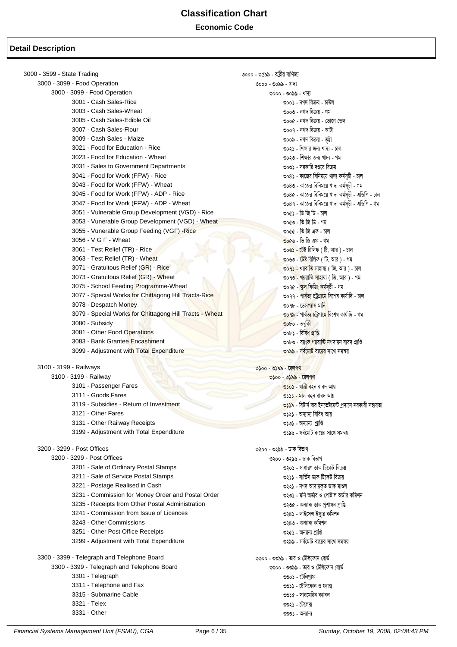| 3000 - 3599 - State Trading                             | ৩০০০ - ৩৫৯৯ - রাষ্ট্রীয় বাণিজ্য                              |
|---------------------------------------------------------|---------------------------------------------------------------|
| 3000 - 3099 - Food Operation                            | ৩০০০ - ৩০৯৯ - খাদ্য                                           |
| 3000 - 3099 - Food Operation                            | ৩০০০ - ৩০৯৯ - খাদ্য                                           |
| 3001 - Cash Sales-Rice                                  | ৩০০১ - নগদ বিক্রয় - চাউল                                     |
| 3003 - Cash Sales-Wheat                                 | ৩০০৩ - নগদ বিক্রয় - গম                                       |
| 3005 - Cash Sales-Edible Oil                            | ৩০০৫ - নগদ বিক্রয় - ভোজ্য তেল                                |
| 3007 - Cash Sales-Flour                                 | ৩০০৭ - নগদ বিক্ৰয় - আটা                                      |
| 3009 - Cash Sales - Maize                               | ৩০০৯ - নগদ বিক্রয় - ভূট্টা                                   |
| 3021 - Food for Education - Rice                        |                                                               |
| 3023 - Food for Education - Wheat                       | ৩০২১ - শিক্ষার জন্য খাদ্য - চাল                               |
|                                                         | ৩০২৩ - শিক্ষার জন্য খাদ্য - গম                                |
| 3031 - Sales to Government Departments                  | ৩০৩১ - সরকারি দপ্তরে বিক্রয়                                  |
| 3041 - Food for Work (FFW) - Rice                       | ৩০৪১ - কাজের বিনিময়ে খাদ্য কর্মসূচী - চাল                    |
| 3043 - Food for Work (FFW) - Wheat                      | ৩০৪৩ - কাজের বিনিময়ে খাদ্য কর্মসূচী - গম                     |
| 3045 - Food for Work (FFW) - ADP - Rice                 | ৩০৪৫ - কাজের বিনিময়ে খাদ্য কর্মসূচী - এডিপি - চাল            |
| 3047 - Food for Work (FFW) - ADP - Wheat                | ৩০৪৭ - কাজের বিনিময়ে খাদ্য কর্মসূচী - এডিপি - গম             |
| 3051 - Vulnerable Group Development (VGD) - Rice        | ৩০৫১ - তি জি ডি - চাল                                         |
| 3053 - Vunerable Group Development (VGD) - Wheat        | ৩০৫৩ - ভি জি ডি - গম                                          |
| 3055 - Vunerable Group Feeding (VGF) -Rice              | ৩০৫৫ - ভি জি এফ - চাল                                         |
| 3056 - V G F - Wheat                                    | ৩০৫৬ - ভি জি এফ - গম                                          |
| 3061 - Test Relief (TR) - Rice                          | ৩০৬ <mark>১ - টে</mark> ষ্ট রিলিফ ( টি. আর ) - চাল            |
| 3063 - Test Relief (TR) - Wheat                         | <u>৩০৬৩ - টেষ্ট রিলিফ ( টি. আর ) - গম</u>                     |
| 3071 - Gratuitous Relief (GR) - Rice                    | ৩০৭১ - খয়রাতি সাহায্য (জি. আর) - চাল                         |
| 3073 - Gratuitous Relief (GR) - Wheat                   | ৩০৭৩ - খয়রাতি সাহায্য ( জি. আর) - গম                         |
| 3075 - School Feeding Programme-Wheat                   | ৩০৭৫ - স্কুল ফিডি <mark>ং ক</mark> ৰ্মসূচী - গম               |
| 3077 - Special Works for Chittagong Hill Tracts-Rice    | ৩০৭৭ - পা <mark>ৰ্বত্য চট্ৰগ্ৰামে</mark> বিশেষ কাৰ্যাদি - চাল |
| 3078 - Despatch Money                                   | ৩০৭৮ - ডেসপ্যাস মানি                                          |
| 3079 - Special Works for Chittagong Hill Tracts - Wheat | <mark>৩০৭৯ - পাৰ্বত্য চট্টগ্ৰামে বিশে</mark> ষ কাৰ্যাদি - গম  |
| 3080 - Subsidy                                          |                                                               |
|                                                         | ৩০৮০ - ভতুকী                                                  |
| 3081 - Other Food Operations                            | ৩০৮১ - বিবিধ প্ৰাপ্তি                                         |
| 3083 - Bank Grantee Encashment                          | ৩০৮৩ - ব্যাং <mark>ক গ্যা</mark> রান্টি নগদায়ন বাবদ প্রাপ্তি |
| 3099 - Adjustment with Total Expenditure                | ৩০৯৯ - সর্বমোট ব্যয়ের সাথে সমন্বয়                           |
| 3100 - 3199 - Railways                                  | ৩১০০ - ৩১৯৯ - রেলপথ                                           |
| 3100 - 3199 - Railway                                   | ৩১০০ - ৩১৯৯ - রেলপথ                                           |
| 3101 - Passenger Fares                                  | ৩১০১ - যাত্রী বহন বাবদ আয়                                    |
| 3111 - Goods Fares                                      | ৩১১১ - মাল বহন বাবদ আয়                                       |
| 3119 - Subsidies - Return of Investment                 | ৩১১৯ - রিটার্ন অব ইনভেষ্টমেন্ট প্রদানে সরকারী সহায়তা         |
| 3121 - Other Fares                                      | ৩১২১ - অন্যান্য বিবিধ আয়                                     |
| 3131 - Other Railway Receipts                           | ৩১৩১ - অন্যান্য প্ৰাপ্তি                                      |
| 3199 - Adjustment with Total Expenditure                | ৩১৯৯ - সর্বমোট ব্যয়ের সাথে সমন্বয়                           |
|                                                         |                                                               |
| 3200 - 3299 - Post Offices                              | ৩২০০ - ৩২৯৯ - ডাক বিভাগ                                       |
| 3200 - 3299 - Post Offices                              | ৩২০০ - ৩২৯৯ - ডাক বিভাগ                                       |
| 3201 - Sale of Ordinary Postal Stamps                   | ৩২০১ - সাধারণ ডাক টিকেট বিক্রয়                               |
| 3211 - Sale of Service Postal Stamps                    | ৩২১১ - সার্ভিস ডাক টিকেট বিক্রয়                              |
| 3221 - Postage Realised in Cash                         | ৩২২১ - নগদ আদায়কৃত ডাক মাশুল                                 |
| 3231 - Commission for Money Order and Postal Order      | ৩২৩১ - মনি অর্ডার ও পোষ্টাল অর্ডার কমিশন                      |
| 3235 - Receipts from Other Postal Administration        | ৩২৩৫ - অন্যান্য ডাক প্ৰশাসন প্ৰাপ্তি                          |
| 3241 - Commission from Issue of Licences                | ৩২৪১ - লাইসেন্স ইস্যুর কমিশন                                  |
| 3243 - Other Commissions                                | ৩২৪৩ - অন্যান্য কমিশন                                         |
| 3251 - Other Post Office Receipts                       | ৩২৫১ - অন্যান্য প্ৰাপ্তি                                      |
| 3299 - Adjustment with Total Expenditure                | ৩২৯৯ - সর্বমোট ব্যয়ের সাথে সমন্বয়                           |
|                                                         |                                                               |
| 3300 - 3399 - Telegraph and Telephone Board             | ৩৩০০ - ৩৩৯৯ - তার ও টেলিফোন বোর্ড                             |
| 3300 - 3399 - Telegraph and Telephone Board             | ৩৩০০ - ৩৩৯৯ - তার ও টেলিফোন বোর্ড                             |
| 3301 - Telegraph                                        | ৩৩০১ - টেলিগ্ৰাফ                                              |
| 3311 - Telephone and Fax                                | ৩৩১১ - টেলিফোন ও ফ্যাক্স                                      |
| 3315 - Submarine Cable                                  | ৩৩১৫ - সাবমেরিন ক্যাবল                                        |
| 3321 - Telex                                            | ৩৩২১ - টেলেক্স                                                |
| 3331 - Other                                            | ৩৩৩১ - অন্যান্য                                               |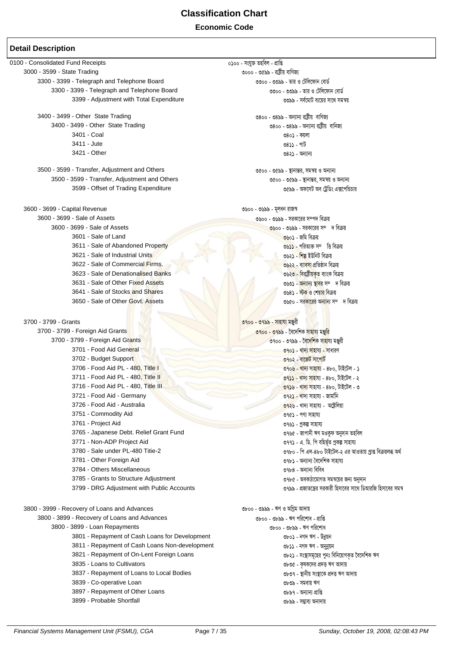0100 - Consolidated Fund Receipts ০১০০ - সংযুক্ত তহবিল - প্ৰাপ্তি 3000 - 3599 - State Trading ৩০০০ - ৩৫৯৯ - রাষ্ট্রীয় বাণিজ্য 3300 - 3399 - Telegraph and Telephone Board ৩৩০০ - ৩৩৯৯ - তার ও টেলিফোন বোর্ড 3300 - 3399 - Telegraph and Telephone Board ৩৩০০ - ৩৩৯৯ - তার ও টেলিফোন বোর্ড 3399 - Adjustment with Total Expenditure ৩৩৯৯ - সর্বমোট ব্যয়ের সাথে সমন্বয় 3400 - 3499 - Other State Trading ৩৪০০ - ৩৪৯৯ - অন্যান্য রাষ্টীয় বাণিজ্য ৩৪০০ - ৩৪৯৯ - অন্যান্য রাষ্ট্রীয় বানিজ্য 3400 - 3499 - Other State Trading 3401 - Coal ৩৪০১ - কয়লা 3411 - Jute ৩৪১১ - পাট ৩৪২১ - অন্যান্য 3421 - Other 3500 - 3599 - Transfer, Adjustment and Others ৩৫০০ - ৩৫৯৯ - স্থানান্তর, সমন্বয় ও অন্যান্য 3500 - 3599 - Transfer, Adjustment and Others ৩৫০০ - ৩৫৯৯ - স্থানান্তর, সমন্বয় ও অন্যান্য 3599 - Offset of Trading Expenditure ৩৫৯৯ - অফসেট অব টেডিং এক্সপেন্ডিচার 3600 - 3699 - Capital Revenue ৩৬০০ - ৩৬৯৯ - মূলধন রাজস্ব 3600 - 3699 - Sale of Assets ৩৬০০ - ৩৬৯৯ - সরকারের সম্পদ বিক্রয 3600 - 3699 - Sale of Assets ৩৬০০ - ৩৬৯৯ - সরকারের সম্দ রিক্রয  $3601 - 220$  of Land ৩৬০১ - জমি বিক্রয় 3611 - Sale of Abandoned Property ৩৬১১ - পরিত্যক্ত সম্ভি বিক্রয় 3621 - Sale of Industrial Units ৩৬২১ - শিল্প ইউনিট বিক্রয় 3622 - Sale of Commercial Firms. ৩৬২২ - ব্যাবসা প্রতিষ্ঠান বিক্রয় 3623 - Sale of Denationalised Banks ৩৬২৩ - বিরাষ্ট্রীয়কত ব্যাংক বিক্রয় 3631 - Sale of Other Fixed Assets ৩৬৩১ - অন্যান্য স্থাবর সম্দ বিক্রয 3641 - Sale of Stocks and Shares ৩৬৪১ - স্টক ও শেয়ার বিক্রয় 3650 - Sale of Other Govt, Assets ৩৬৫০ - সর<mark>কারের অন্যান্য সম্দ দ বিক্রয়</mark> 3700 - 3799 - Grants ৩৭০০ - ৩৭৯৯ - সাহায্য মঞ্জরী 3700 - 3799 - Foreign Aid Grants ৩৭০০ - ৩৭৯৯ - বৈদেশিক সাহায্য মঞ্জুরি 3700 - 3799 - Foreign Aid Grants ৩৭০০ - ৩৭৯৯ - বৈ<mark>দেশিক সাহা</mark>য্য মঞ্জুরী 3701 - Food Aid General ৩৭০১ - খাদ্য সাহায্য - সাধারণ 3702 - Budget Support ৩৭০২ - বাজেট সাপোর্ট 3706 - Food Aid PL - 480, Title L ৩৭০৬ - খাদ্য সাহায্য - ৪৮০. টাইটেল - ১ 3711 - Food Aid PL - 480, Title II ৩৭১১ - খাদ্য সাহায্য - ৪৮০, টাইটেল - ২ 3716 - Food Aid PL - 480. Title III ৩৭১৬ - খাদ্য সাহায্য - ৪৮০. টাইটেল - ৩ 3721 - Food Aid - Germany ৩৭২১ - খাদ্য সাহায্য - জার্মানি 3726 - Food Aid - Australia ৩৭২৬ - খাদ্য সাহায্য - অষ্টেলিয়া 3751 - Commodity Aid ৩৭৫১ - পণ্য সাহায্য 3761 - Project Aid ৩৭৬১ - প্ৰকল্প সাহায্য 3765 - Japanese Debt. Relief Grant Fund ৩৭৬৫ - জাপানী ঋণ মওকুফ অনুদান তহবিল 3771 - Non-ADP Project Aid ৩৭৭১ - এ. ডি. পি বহির্ভত প্রকল্প সাহায্য 3780 - Sale under PL-480 Titie-2 ৩৭৮০ - পি এল-৪৮০ টাইটেল-২ এর আওতায় প্রাপ্ত বিক্রয়লব্ধ অর্থ 3781 - Other Foreign Aid ৩৭৮১ - অন্যান্য বৈদেশিক সাহায্য 3784 - Others Miscellaneous ৩৭৮৪ - অন্যান্য বিবিধ 3785 - Grants to Structure Adiustment ৩৭৮৫ - অবকাঠামোগত সমন্বয়ের জন্য অনদান ৩৭৯৯ - প্রজাতন্ত্রের সরকারী হিসাবের সাথে ডিআরজি হিসাবের সমন্ব 3799 - DRG Adjustment with Public Accounts 3800 - 3999 - Recovery of Loans and Advances ৩৮০০ - ৩৯৯৯ - ঋণ ও অগ্নিম আদায় 3800 - 3899 - Recovery of Loans and Advances ৩৮০০ - ৩৮৯৯ - ঋণ পরিশোধ - প্রাপ্তি 3800 - 3899 - Loan Repayments ৩৮০০ - ৩৮৯৯ - ঋণ পরিশোধ 3801 - Repayment of Cash Loans for Development ৩৮০১ - নগদ ঋণ - উনুয়ন 3811 - Repayment of Cash Loans Non-development ৩৮১১ - নগদ ঋণ - অনন্য়ন 3821 - Repayment of On-Lent Foreign Loans ৩৮২১ - সংস্থাসমূহের পুনঃ বিনিয়োগকত বৈদেশিক ঋণ 3835 - Loans to Cultivators ৩৮৩৫ - কষকদের প্রদত্ত ঋণ আদায় 3837 - Repayment of Loans to Local Bodies ৩৮৩৭ - স্থানীয় সংস্থাকে প্রদত্ত ঋণ আদায় 3839 - Co-operative Loan ৩৮৩৯ - সমবায় ঋণ 3897 - Repayment of Other Loans ৩৮৯৭ - অন্যান্য প্রাপ্তি 3899 - Probable Shortfall ৩৮৯৯ - সম্ভাব্য অনাদায়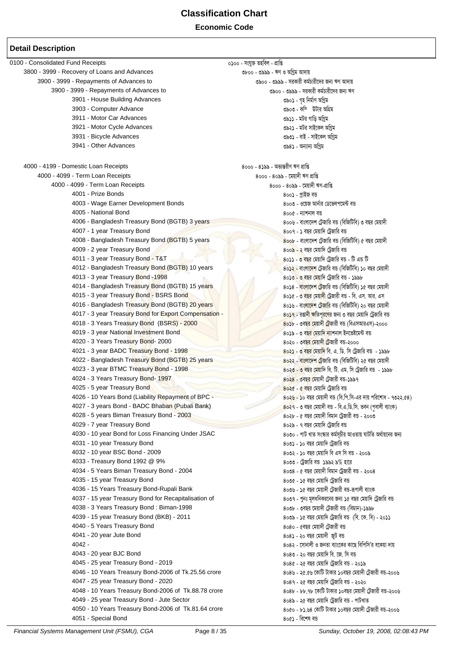**Economic Code**

#### **Detail Description**

 $0100$  - Consolidated Fund Receipts  $0.00$  - সংযুক্ত তহবিল - প্ৰাপ্তি<br>3800 - 3999 - Recovery of Loans and Advances ৩৮০০ - ৩৯৯৯ - ঋণ ও অগ্নিম আদায় 3800 - 3999 - Recovery of Loans and Advances 3900 - 3999 - Repayments of Advances to 3900 - ৩৯৯১ - ক্ষেত্রতী জন্য কর্মারী কর্মচারীদের জন্য ঋণ আদায়<br>3900 - 3999 - Repayments of Advances to 3999 - জন্য ১৯৯১ - সরকারী কর্মচারীদের জন্য ঋণ 3900 - 3999 - Repayments of Advances to 3901 - House Building Advances  $\circ$ ১০১ - গৃহ নির্মাণ অগ্রিম 3903 - Computer Advance 3903 - Kw¤DUvi AwMÖg 3911 - Motor Car Advances 3911 - gUi Mvwo AwMªg 3921 - Motor Cycle Advances 3931 - Bicycle Advances 3931 - evB - mvB‡Kj AwMªg 3941 - Other Advances বিষয়ে সামৰ বাবে কাৰ্য কৰি আৰু স্বাস্থ্য স্বাস্থ্য স্বাস্থ্য স্বাস্থ্য স্বাস্থ্য স্বাস্থ্য 4000 - 4199 - Domestic Loan Receipts<br>4000 - 4099 - Term Loan Receipts 4000 - 4099 - Term Loan Receipts 4000 - 4099 - Term Loan Receipts<br>4000 - 4099 - Term Loan Receipts 4000 - 4099 - 5 Azir Figure 4000 - 4099 - 4000 - 4099 - 4000 - 4099 - 4000 -4000 - 4099 - Term Loan Receipts 4001 - Prize Bonds 4001 - cªvBR eÛ 4003 - Wage Earner Development Bonds 4005 - National Bond<br>1998 - Angladesh Treasury Bond (BGTB) 3 years (স্ত্রতিক্রিতির ক্রিকেট স্বাংলাদেশ টেজারি বঙ (বিজিটিবি) ৩ বছর মেয়াদী 4006 - Bangladesh Treasury Bond (BGTB) 3 years 4007 - 1 year Treasury Bond + 1 year Analysis + 1 year Analysis + 1 year Analysis + 1 year Analysis + 1 year Analysis + 1 year Analysis + 1 year Analysis + 1 year Analysis + 1 year Analysis + 1 year Analysis + 1 year Anal 4008 - Bangladesh Treasury Bond (BGTB) 5 years 4008 - ৰাংলাদেশ টেজারি বঙ (বিজিটিবি) ৫ বছর মেয়াদী  $4009$  - 2 year Treasury Bond  $800$  - ২ বছর মেয়াদি ট্রেজারি বড 4011 - 3 year Treasury Bond - T&T 4011 - 10 AND 4011 - 3 year Treasury Bond - T&T 4012 - Bangladesh Treasury Bond (BGTB) 10 years 4012 - ৰাজ্যমেশ টেজারি বঙ (বিজিটিবি) ১০ বছর মেয়াদী  $4013$  - 3 year Treasury Bond -1998  $\overline{\phantom{0}}$  ,  $\overline{\phantom{0}}$  ,  $\overline{\phantom{0}}$  and  $\overline{\phantom{0}}$  and  $\overline{\phantom{0}}$  and  $\overline{\phantom{0}}$  and  $\overline{\phantom{0}}$  and  $\overline{\phantom{0}}$  and  $\overline{\phantom{0}}$  and  $\overline{\phantom{0}}$  and  $\overline{\phantom{0}}$  and  $\overline{\phantom{0}}$  a 4014 - Bangladesh Treasury Bond (BGTB) 15 years 4014 - eva + 8014 - ৰাংলাদেশ টেজারি বঙ (বিজিটিবি) ১৫ বছর মেয়াদী 4015 - 3 year Treasury Bond - BSRS Bond 4015 - ১৯৯১ - ১৯৯১ - ১৯৯১ - ৩ বছর মেয়াদী ট্রেজারী বড - বি. এস. আর. এস 4016 - Bangladesh Treasury Bond (BGTB) 20 years 4016 - 8016 - ৰাংলাদেশ টেজারি বড (বিজিটিবি) ২০ বছর মেয়াদী 4017 - 3 year Treasury Bond for Export Compensation - 2000 - 2000 - 2000 - 2018 - 3 eQi + - রঞ্জানী ক্ষতিপূর্ণের জন্য ৩ বছর মেয়াদি ট্রেজারি বড় ।<br>4018 - 3 Years Treasury Bond (BSRS) - 2000 - 2000 - 2018 - 2018 - 2018 4018 - 3 Years Treasury Bond (BSRS) - 2000<br>4019 - 3 year National Investment Bond (web the San Francisco †gaving and the San Avis e o বছর মেয়াদি ন্যাশনাল ইনভেষ্টমেন্ট বড 4019 - 3 year National Investment Bond 4020 - 3 Years Treasury Bond- 2000 4020 - 2000 4020 - 36Qo - ৩বছর মেয়াদী টেজারী বড-২০০০ 4021 - 3 year BADC Treasury Bond - 1998 4021 - 3 and 4021 - 3 year Angle & 5 and 5 and 5 and 5 and 4021 - 3 year Angle + 1998 4022 - Bangladesh Treasury Bond (BGTB) 25 years 4022 - 2022 - ৰাংলাদেশ টেজারি বঙ (বিজিটিবি) ২৫ বছর মেয়াদী<br>4023 - 3 year BTMC Treasury Bond - 1998 - 1998 - 1998 - 1998 - 1998 মেয়াদি বি. টি. এম. সি টেজারি বঙ  $8$ ০২৩ - ৩ বছর মেয়াদি বি. টি. এম. সি ট্রেজারি বন্ড - ১৯৯৮  $4024$  - 3 Years Treasury Bond- 1997  $\overline{\phantom{1}}$   $8088$  -  $9088$  -  $9088$   $\overline{\phantom{1}}$   $9088$  -  $9088$   $\overline{\phantom{1}}$   $9088$  -  $9088$   $\overline{\phantom{1}}$   $9088$   $\overline{\phantom{1}}$   $9088$   $\overline{\phantom{1}}$  $4025$  - 5 year Treasury Bond  $\sim$   $80\sqrt[3]{e}$   $\sqrt[3]{\sqrt[3]{e}}$   $\sqrt[3]{\sqrt[3]{e}}$   $\sqrt[3]{\sqrt[3]{e}}$   $\sqrt[3]{\sqrt[3]{e}}$   $\sqrt[3]{\sqrt[3]{e}}$   $\sqrt[3]{\sqrt[3]{e}}$   $\sqrt[3]{\sqrt[3]{e}}$   $\sqrt[3]{\sqrt[3]{e}}$   $\sqrt[3]{\sqrt[3]{e}}$   $\sqrt[3]{\sqrt[3]{e}}$   $\sqrt[3]{\sqrt[3]{e}}$   $\sqrt[3]{\sqrt[$ 4026 - 10 Years Bond (Liability Repayment of BPC - 4026 - 4026 - 10 + 10 eQi + 732.68) 8026 - 30 ass and 732.68 4027 - 3 years Bond - BADC Bhab<mark>an (Pubali Bank) ধৰ্মীয় কৰা পৰা ১</mark>০১৭ - ৩ বছৰ মেয়াদী বড - বি.এ.ডি.সি. ভবন (পৰালী ব্যাংক) 4028 - 5 years Biman Treasury Bond - 2003 4028 - 2008 80২৮ - ৫ বছর মেয়াদী বিমান ট্রেজারী বঙ - ২০০৩ 4029 - 7 year Treasury Bond<br>1990 - 40 year Bond for Loss Financing Under JSAC (১৯৯১) ৪০৩০ - পাট খাত সংস্কার কর্মসূচীর আওতায় ঘাটতি অর্থায়নের জন্য 4030 - 10 year Bond for Loss Financing Under JSAC  $4031$  - 10 year Treasury Bond  $800$  - ১০ বছর মেয়াদি ট্রেজারি বড 4032 - 10 year BSC Bond - 2009  $\frac{1}{20}$  and the GM wave GM was a sole of  $\frac{1}{20}$  and  $\frac{1}{20}$  and  $\frac{1}{20}$  and  $\frac{1}{20}$  and  $\frac{1}{20}$  and  $\frac{1}{20}$  and  $\frac{1}{20}$  and  $\frac{1}{20}$  and  $\frac{1}{20}$  and  $\frac{1}{20}$  4033 - Treasury Bond 1992 @ 9% 4033 - †UªRvwi eÛ 1992 9% nv‡i 4034 - 5 Years Biman Treasury Bond - 2004 - সামের সার্য সার্য করে ১৯৩৪ - ৫ বছর মেয়াদী বিমান ট্রেজারী বড - ২০০৪  $4035$  - 15 year Treasury Bond 4035 - 15 year Treasury Bond 4036 - 15 Years Treasury Bond-Rupali Bank 4036 - 15 eQi †gqv`x †U«Rvix eÛ-iƒcvjx e¨vsK 4037 - 15 year Treasury Bond for Recapitalisation of 4038 - 3 Years Treasury Bond : Biman-1998  $\overline{\phantom{1}}$  800b -  $\overline{\phantom{1}}$  ১৯৫৮  $\overline{\phantom{1}}$  (কুলরী বন্তু (বিমান)-১৯৯৮ 4039 - 15 year Treasury Bond (BKB) - 2011 4039 - 16 election + 15 years (রি. কে. বি) - ২০১১ 4040 - 5 Years Treasury Bond 4040 - 5eQi †gqv`x †U«Rvix eÛ  $4041$  - 20 year Jute Bond  $4042$  -  $8083$  - ২০ বছর মেয়াদী জুট বড<br> $4042$  -  $9083$  - সোনালী ও জনতা বাংকে 808২ - সোনালী ও জনতা ব্যাংকের কাছে বিপিসি'র বকেয়া দায়  $4043$  - 20 year BJC Bond  $8080$  -  $8080$  -  $8080$  -  $8080$  -  $8080$  -  $8080$  -  $8080$  -  $8080$  -  $8080$  -  $8080$  $4045$  - 25 year Treasury Bond - 2019  $808$  -  $26$  বছর মেয়াদি টেজারি বড - ২০১৯ 4046 - 10 Years Treasury Bond-2006 of Tk.25.56 crore  $\frac{8089 - 26.66}{808}$  - 26.69 কোটি টাকার ১০ৰছর মেয়াদী টেজারী বড-২০০৬  $4047$  -  $25$  year Treasury Bond -  $2020$   $8089$  -  $2030$ 4048 - 10 Years Treasury Bond-2006 of Tk.88.78 crore 4048 - 88.78 ‡KvwU UvKvi 10eQi †gqv`x †U«Rvix eÛ-2006 4049 - 25 year Treasury Bond - Jute Sector 4049 - 25 eQi †gqvw` †UªRvwi eÛ - cvULvZ 4050 - 10 Years Treasury Bond-2006 of Tk.81.64 crore  $4051$  - Special Bond  $806$  - বিশেষ বড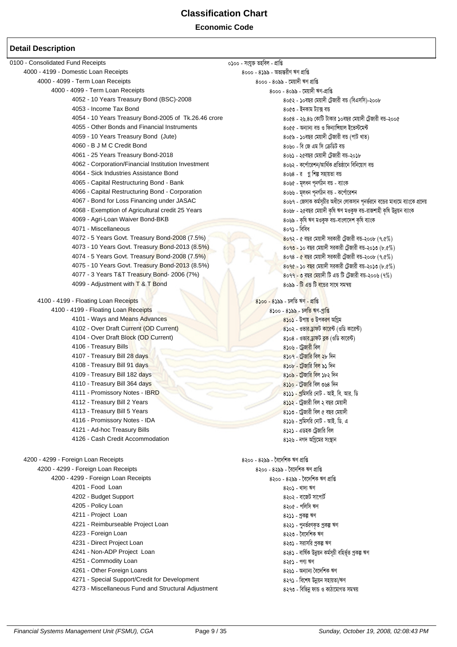#### **Economic Code**

| 0100 - Consolidated Fund Receipts                       | ০১০০ - সংযুক্ত তহবিল - প্ৰাপ্তি                                              |
|---------------------------------------------------------|------------------------------------------------------------------------------|
| 4000 - 4199 - Domestic Loan Receipts                    | 8000 - 8১৯৯ - অভ্যন্তরীণ ঋণ প্রাপ্তি                                         |
| 4000 - 4099 - Term Loan Receipts                        | 8000 - 80৯৯ - মেয়াদী ঋণ প্রাপ্তি                                            |
| 4000 - 4099 - Term Loan Receipts                        | 8000 - 80৯৯ - মেয়াদী ঋণ-প্ৰাপ্তি                                            |
| 4052 - 10 Years Treasury Bond (BSC)-2008                | ৪০৫২ - ১০বছর মেয়াদী ট্রেজারী বন্ত (বিএসসি)-২০০৮                             |
| 4053 - Income Tax Bond                                  | ৪০৫৩ - ইনকাম ট্যাক্স বন্ত                                                    |
| 4054 - 10 Years Treasury Bond-2005 of Tk.26.46 crore    | ৪০৫৪ - ২৬.৪৬ কোটি টাকার ১০বছর মেয়াদী ট্রেজারী বন্ড-২০০৫                     |
| 4055 - Other Bonds and Financial Instruments            | ৪০৫৫ - অন্যান্য বন্ত ও ফিন্যাঙ্গিয়াল ইভেস্টমেন্ট                            |
| 4059 - 10 Years Treasury Bond (Jute)                    | ৪০৫৯ - ১০বছর মেয়াদী ট্রেজারী বন্ড (পাট খাত)                                 |
| 4060 - B J M C Credit Bond                              | ৪০৬০ - বি জে এম সি ক্রেডিট বন্ড                                              |
| 4061 - 25 Years Treasury Bond-2018                      | ৪০৬১ - ২৫বছর মেয়াদী ট্রেজারী বন্ত-২০১৮                                      |
| 4062 - Corporation/Financial Institution Investment     | ৪০৬২ - কর্পোরেশন/আর্থিক প্রতিষ্ঠানে বিনিয়োগ বন্ত                            |
| 4064 - Sick Industries Assistance Bond                  | ৪০৬৪ - র গ্ন শিল্প সহায়তা বন্ড                                              |
| 4065 - Capital Restructuring Bond - Bank                | ৪০৬৫ - মূলধন পূনর্গঠন বন্ত - ব্যাংক                                          |
| 4066 - Capital Restructuring Bond - Corporation         | ৪০৬৬ - মূলধন পূনর্গঠন বন্ত - কর্পোরেশন                                       |
| 4067 - Bond for Loss Financing under JASAC              | ৪০৬৭ - জেসাক কর্মসূচীর অধীনে লোকসান পূনর্ভরনে বন্ডের মাধ্যমে ব্যাংকে প্রদেয় |
| 4068 - Exemption of Agricultural credit 25 Years        | ৪০৬৮ - ২৫বছর মেয়াদী কৃষি ঋণ মওকুফ বন্ড-রাজশাহী কৃষি উন্নয়ন ব্যাংক          |
| 4069 - Agri-Loan Waiver Bond-BKB                        | ৪০৬৯ - কৃষি ঋণ মওকুফ বন্ত-বাংলাদেশ কৃষি ব্যাংক                               |
| 4071 - Miscellaneous                                    | ৪০৭১ - বিবিধ                                                                 |
| 4072 - 5 Years Govt. Treasury Bond-2008 (7.5%)          | $8092$ - ৫ বছর মেয়াদী সরকারী ট্রেজারী বন্ড-২০০৮ $(9.6\%)$                   |
| 4073 - 10 Years Govt. Treasury Bond-2013 (8.5%)         | $8$ ০৭৩ - ১০ বছর মেয়াদী সরকারী ট্রেজারী বন্ড-২০১৩ (৮.৫%)                    |
| 4074 - 5 Years Govt. Treasury Bond-2008 (7.5%)          | $8098$ - $\alpha$ বছর মেয়াদী সরকারী ট্রেজারী বন্ড-২০০৮ (৭.৫%)               |
| 4075 - 10 Years Govt. Treasury Bond-2013 (8.5%)         | $8090 - 50$ বছর মেয়াদী সরকারী ট্রেজারী বড-২০১৩ (৮.৫%)                       |
| 4077 - 3 Years T&T Treasury Bond- 2006 (7%)             | $8099$ - ৩ বছর মেয়াদী টি এন্ড টি ট্রেজারী বন্ড-২০০৬ (৭%)                    |
| 4099 - Adjustment with T & T Bond                       | ৪০৯৯ - টি এন্ড টি <mark>ব</mark> ন্ডের সাথে সমন্বয়                          |
|                                                         |                                                                              |
| 4100 - 4199 - Floating Loan Receipts                    | $8$ ১০০ - $8$ ১৯৯ - চলতি ঋণ - প্রাপ্তি                                       |
| 4100 - 4199 - Floating Loan Receipts                    | 8১০০ - 8১৯৯ - চলতি ঋণ-প্ৰাপ্তি                                               |
| 4101 - Ways and Means Advances                          | 8১০১ - উপায় ও উপকরণ অগ্রিম                                                  |
| 4102 - Over Draft Current (OD Current)                  | 8১০২ - ওভার ড্রাফট কারেন্ট (ওডি কারেন্ট)                                     |
| 4104 - Over Draft Block (OD Current)                    | 8১০৪ - ওভার ডাফট ব্লক (ওডি কারেন্ট)                                          |
| 4106 - Treasury Bills                                   | <u> ৪১০৬ - ট্রেজারী বিল</u>                                                  |
| 4107 - Treasury Bill 28 days                            | 8১০৭ - টেজারি বিল ২৮ দিন                                                     |
| 4108 - Treasury Bill 91 days                            | 8১০৮ - টেজারি বিল ৯১ দিন                                                     |
| 4109 - Treasury Bill 182 days                           | 8১০৯ - ট্রেজারি বিল ১৮২ দিন                                                  |
| 4110 - Treasury Bill 364 days                           | ৪১১০ - টেজারি বিল ৩৬৪ দিন                                                    |
| 4111 - Promissory Notes - IBRD                          | 8১১১ - প্রমিসরি নোট - আই. বি. আর. ডি                                         |
| 4112 - Treasury Bill 2 Years                            | ৪১১২ - ট্রেজারী বিল ২ বছর মেয়াদী                                            |
| 4113 - Treasury Bill 5 Years                            | $8$ ১১৩ - ট্রেজারী বিল ৫ বছর মেয়াদী                                         |
| 4116 - Promissory Notes - IDA                           | ৪১১৬ - প্রমিসরি নোট - আই. ডি. এ                                              |
| 4121 - Ad-hoc Treasury Bills                            | ৪১২১ - এডহক ট্রেজারি বিল                                                     |
| 4126 - Cash Credit Accommodation                        | ৪১২৬ - নগদ অগ্রিমের সংস্থান                                                  |
|                                                         |                                                                              |
| 4200 - 4299 - Foreign Loan Receipts                     | ৪২০০ - ৪২৯৯ - বৈদেশিক ঋণ প্ৰাপ্তি                                            |
| 4200 - 4299 - Foreign Loan Receipts                     |                                                                              |
|                                                         | ৪২০০ - ৪২৯৯ - বৈদেশিক ঋণ প্ৰাপ্তি                                            |
| 4200 - 4299 - Foreign Loan Receipts<br>4201 - Food Loan | ৪২০০ - ৪২৯৯ - বৈদেশিক ঋণ প্ৰাপ্তি                                            |
|                                                         | ৪২০১ - খাদ্য ঋণ                                                              |
| 4202 - Budget Support                                   | ৪২০২ - বাজেট সাপোর্ট                                                         |
| 4205 - Policy Loan                                      | ৪২০৫ - পলিসি ঋণ                                                              |
| 4211 - Project Loan                                     | 8২১১ - প্ৰকল্প ঋণ                                                            |
| 4221 - Reimburseable Project Loan                       | ৪২২১ - পুনৰ্ভরণকৃত প্ৰকল্প ঋণ                                                |
| 4223 - Foreign Loan                                     | ৪২২৩ - বৈদেশিক ঋণ                                                            |
| 4231 - Direct Project Loan                              | ৪২৩১ - সরাসরি প্রকল্প ঋণ                                                     |
| 4241 - Non-ADP Project Loan                             | ৪২৪১ - বাৰ্ষিক উন্নয়ন কৰ্মসূচী বহিৰ্ভূত প্ৰকল্প ঋণ                          |
| 4251 - Commodity Loan                                   | $826$ - পণ্য ঋণ                                                              |
| 4261 - Other Foreign Loans                              | ৪২৬১ - অন্যান্য বৈদেশিক ঋণ                                                   |
| 4271 - Special Support/Credit for Development           | ৪২৭১ - বিশেষ উন্নয়ন সহায়তা/ঋণ                                              |
| 4273 - Miscellaneous Fund and Structural Adjustment     | ৪২৭৩ - বিভিন্ন ফান্ড ও কাঠামোগত সমন্বয়                                      |
|                                                         |                                                                              |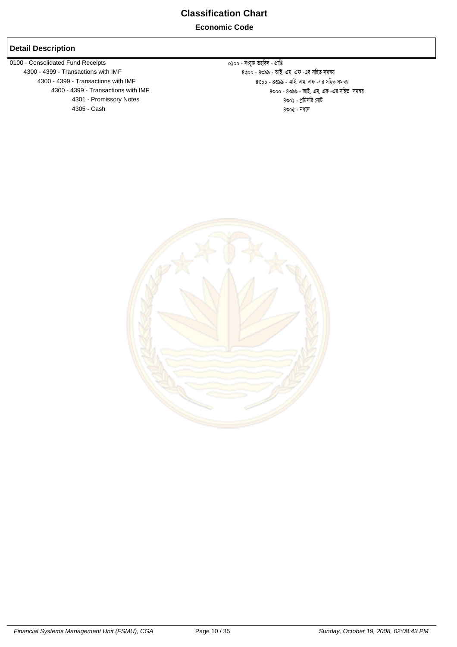0100 - Consolidated Fund Receipts<br>
4300 - 4399 - Transactions with IMF<br>
8৩০০ - ৪৩৯৯ - আই. ে - 4399 - Transactions with IMF (১৮৪৫) - ১৩৯৯ - ১৯৯৯ - জাই. এম. এফ -এর সহিত সমস্য<br>4300 - 4399 - Transactions with IMF (১৮৯৪) - ১৯৯৯ - ১৯৯৯ - ১৯৯৯ - জাই. এম. এফ -এর সহিত 4301 - Promissory Notes 4301 - cªwgmwi †bvU 4305 - Cash

ে 4399 - Transactions with IMF (کالات المعروفي المعروفي المعروفي المعروفي المعروفي المعروفي المعروفي المعروفي<br>4300 - 4399 - Transactions with IMF (المعروفي المعروفي المعروفي المعروفي المعروفي المعروفي المعروفي المعروفي 8৩০০ - 8৩৯৯ - আই. এম. এফ -এর সহিত সমন্বয়<br>৪৩০১ - প্রমিসরি নোট

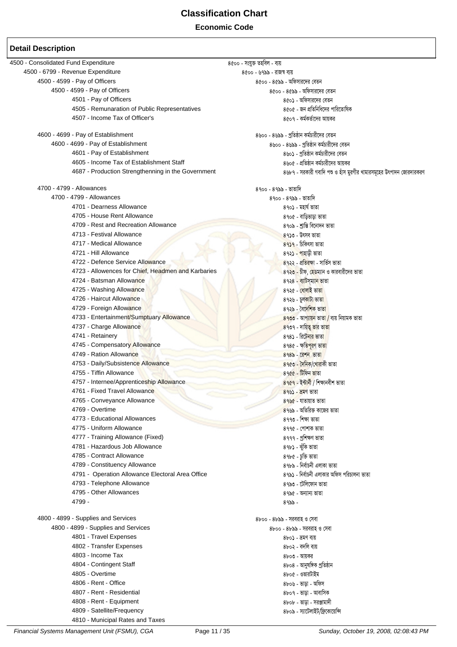┕

| 4500 - Consolidated Fund Expenditure               | ৪৫০০ - সংযুক্ত তহবিল - ব্যয়                                       |
|----------------------------------------------------|--------------------------------------------------------------------|
| 4500 - 6799 - Revenue Expenditure                  | ৪৫০০ - ৬৭৯৯ - রাজস্ব ব্যয়                                         |
| 4500 - 4599 - Pay of Officers                      | ৪৫০০ - ৪৫৯৯ - অফিসারদের বেতন                                       |
| 4500 - 4599 - Pay of Officers                      | ৪৫০০ - ৪৫৯৯ - অফিসারদের বেতন                                       |
| 4501 - Pay of Officers                             | ৪৫০১ - অফিসারদের বেতন                                              |
| 4505 - Remunaration of Public Representatives      | ৪৫০৫ - জন প্রতিনিধিদের পারিতোষিক                                   |
| 4507 - Income Tax of Officer's                     | ৪৫০৭ - কর্মকর্তাদের আয়কর                                          |
|                                                    |                                                                    |
| 4600 - 4699 - Pay of Establishment                 | ৪৬০০ - ৪৬৯৯ - প্রতিষ্ঠান কর্মচারীদের বেতন                          |
| 4600 - 4699 - Pay of Establishment                 | ৪৬০০ - ৪৬৯৯ - প্রতিষ্ঠান কর্মচারীদের বেতন                          |
| 4601 - Pay of Establishment                        | ৪৬০১ - প্রতিষ্ঠান কর্মচারীদের বেতন                                 |
| 4605 - Income Tax of Establishment Staff           | ৪৬০৫ - প্রতিষ্ঠান কর্মচারীদের আয়কর                                |
| 4687 - Production Strengthenning in the Government | ৪৬৮৭ - সরকারী গবাদি পশু ও হাঁস মুরগীর খামারসমূহের উৎপাদন জোরদারকরণ |
|                                                    |                                                                    |
| 4700 - 4799 - Allowances                           | ৪৭০০ - ৪৭৯৯ - ভাতাদি                                               |
| 4700 - 4799 - Allowances                           | ৪৭০০ - ৪৭৯৯ - ভাতাদি                                               |
| 4701 - Dearness Allowance                          | ৪৭০১ - মহাৰ্ঘ ভাতা                                                 |
| 4705 - House Rent Allowance                        | ৪৭০৫ - বাড়িভাড়া ভাতা                                             |
| 4709 - Rest and Recreation Allowance               | ৪৭০৯ - শ্ৰান্তি বিনোদন ভাতা                                        |
| 4713 - Festival Allowance                          | ৪৭১৩ - উৎসব ভাতা                                                   |
| 4717 - Medical Allowance                           | $89$ ১৭ - চিকিৎসা ভাতা                                             |
| 4721 - Hill Allowance                              |                                                                    |
| 4722 - Defence Service Allowance                   | ৪৭২১ - পাহাড়ী ভাতা                                                |
|                                                    | <mark>৪৭২২ - প্রতিরক্ষা - সার্ভিস ভাতা</mark>                      |
| 4723 - Allowences for Chief, Headmen and Karbaries | ৪৭২৩ - চীফ, হেডম্যান ও কারবারীদের ভাতা                             |
| 4724 - Batsman Allowance                           | ৪৭২৪ <mark>- ব্যাটস্ম্যান ভা</mark> তা                             |
| 4725 - Washing Allowance                           | ৪৭২৫ - <mark>ধোলাই ভাতা</mark>                                     |
| 4726 - Haircut Allowance                           | ৪৭২৬ - চুলকাটা ভাতা                                                |
| 4729 - Foreign Allowance                           | ৪৭২৯ - বৈদেশিক ভা <mark>তা</mark>                                  |
| 4733 - Entertainment/Sumptuary Allowance           | 89৩৩ - আপ্যায়ন ভাতা / ব্যয় নিয়ামক ভাতা                          |
| 4737 - Charge Allowance                            | ৪৭৩৭ - দায়িত্ব ভার ভাতা                                           |
| 4741 - Retainery                                   | ৪৭৪১ - রিটেনার ভাতা                                                |
| 4745 - Compensatory Allowance                      | ৪৭৪৫ - ক্ষতিপুরণ ভা <mark>তা</mark>                                |
| 4749 - Ration Allowance                            | 898৯ - রেশন ভাতা                                                   |
| 4753 - Daily/Subsistence Allowance                 | ৪৭৫৩ - দৈনিক/খোৱাকী ভাতা                                           |
| 4755 - Tiffin Allowance                            | ৪৭৫৫ - টিফিন ভাতা                                                  |
| 4757 - Internee/Apprenticeship Allowance           | 89৫9 - ইন্টাৰ্নী / শিক্ষানবীশ ভাতা                                 |
| 4761 - Fixed Travel Allowance                      | ৪৭৬১ - ভ্ৰমণ ভাতা                                                  |
| 4765 - Conveyance Allowance                        | <u>৪৭৬৫ - যাতায়াত ভাতা</u>                                        |
| 4769 - Overtime                                    | $8$ ৭৬৯ - অতিরিক্ত কাজের ভাতা                                      |
| 4773 - Educational Allowances                      | ৪৭৭৩ - শিক্ষা ভাতা                                                 |
| 4775 - Uniform Allowance                           | ৪৭৭৫ - পোশাক ভাতা                                                  |
| 4777 - Training Allowance (Fixed)                  | ৪৭৭৭ - প্ৰশিক্ষণ ভাতা                                              |
| 4781 - Hazardous Job Allowance                     | ৪৭৮১ - ঝুঁকি ভাতা                                                  |
| 4785 - Contract Allowance                          | ৪৭৮৫ - চুক্তি ভাতা                                                 |
| 4789 - Constituency Allowance                      | ৪৭৮৯ - নিৰ্বাচনী এলাকা ভাতা                                        |
| 4791 - Operation Allowance Electoral Area Office   | ৪৭৯১ - নির্বাচনী এলাকার অফিস পরিচালনা ভাতা                         |
| 4793 - Telephone Allowance                         |                                                                    |
|                                                    | ৪৭৯৩ - টেলিফোন ভাতা                                                |
| 4795 - Other Allowances<br>4799 -                  | ৪৭৯৫ - অন্যান্য ভাতা                                               |
|                                                    | ৪৭৯৯ -                                                             |
| 4800 - 4899 - Supplies and Services                | ৪৮০০ - ৪৮৯৯ - সরবরাহ ও সেবা                                        |
| 4800 - 4899 - Supplies and Services                | ৪৮০০ - ৪৮৯৯ - সরবরাহ ও সেবা                                        |
| 4801 - Travel Expenses                             |                                                                    |
| 4802 - Transfer Expenses                           | ৪৮০১ - ভ্ৰমণ ব্যয়                                                 |
|                                                    | ৪৮০২ - বদলি ব্যয়                                                  |
| 4803 - Income Tax                                  | ৪৮০৩ - আয়কর                                                       |
| 4804 - Contingent Staff                            | ৪৮০৪ - আনুষঙ্গিক প্ৰতিষ্ঠান                                        |
| 4805 - Overtime                                    | ৪৮০৫ - ওভারটাইম                                                    |
| 4806 - Rent - Office                               | ৪৮০৬ - ভাড়া - অফিস                                                |
| 4807 - Rent - Residential                          | ৪৮০৭ - ভাড়া - আবাসিক                                              |
| 4808 - Rent - Equipment                            | 8৮০৮ - তাড়া - সরঞ্জামাদী                                          |
| 4809 - Satellite/Frequency                         | ৪৮০৯ - স্যাটেলাইট/ফ্রিকোয়েন্সি                                    |
| 4810 - Municipal Rates and Taxes                   |                                                                    |

*Financial Systems Management Unit (FSMU), CGA* Page 11 / 35 *Sunday, October 19, 2008, 02:08:43 PM*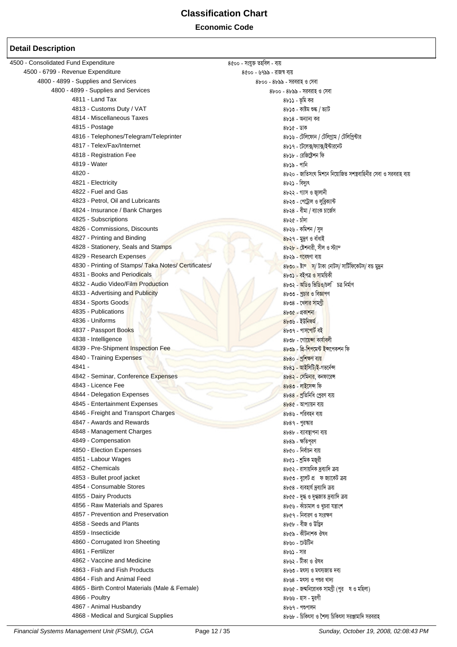### **Classification Chart Economic Code**

| 4500 - Consolidated Fund Expenditure                      | ৪৫০০ - সংযুক্ত তহবিল - ব্যয়                                     |
|-----------------------------------------------------------|------------------------------------------------------------------|
| 4500 - 6799 - Revenue Expenditure                         | ৪৫০০ - ৬৭৯৯ - রাজস্ব ব্যয়                                       |
| 4800 - 4899 - Supplies and Services                       | ৪৮০০ - ৪৮৯৯ - সরবরাহ ও সেবা                                      |
| 4800 - 4899 - Supplies and Services                       | ৪৮০০ - ৪৮৯৯ - সরবরাহ ও সেবা                                      |
| 4811 - Land Tax                                           | ৪৮১১ - ভূমি কর                                                   |
| 4813 - Customs Duty / VAT                                 | ৪৮১৩ - কাষ্টম শুল্ক / ভ্যাট                                      |
| 4814 - Miscellaneous Taxes                                | ৪৮১৪ - অন্যান্য কর                                               |
| 4815 - Postage                                            | ৪৮১৫ - ডাক                                                       |
| 4816 - Telephones/Telegram/Teleprinter                    | ৪৮১৬ - টেলিফোন / টেলিগ্রাম / টেলিপ্রিন্টার                       |
| 4817 - Telex/Fax/Internet                                 | ৪৮১৭ - টেলেক্স/ফ্যাক্স/ইন্টারনেট                                 |
| 4818 - Registration Fee                                   | ৪৮১৮ - রেজিষ্টেশন ফি                                             |
| 4819 - Water                                              |                                                                  |
|                                                           | ৪৮১৯ - পানি                                                      |
| 4820 -                                                    | ৪৮২০ - জাতিসংঘ মিশনে নিয়োজিত সশস্ত্রবাহিনীর সেবা ও সরবরাহ ব্যয় |
| 4821 - Electricity                                        | ৪৮২১ - বিদ্যুৎ                                                   |
| 4822 - Fuel and Gas                                       | ৪৮২২ - গ্যাস ও জ্বালানী                                          |
| 4823 - Petrol, Oil and Lubricants                         | ৪৮২৩ - পেট্রোল ও লুব্রিক্যান্ট                                   |
| 4824 - Insurance / Bank Charges                           | ৪৮২৪ - বীমা / ব্যাংক চার্জেস                                     |
| 4825 - Subscriptions                                      | ৪৮২৫ - চাঁদা                                                     |
| 4826 - Commissions, Discounts                             | ৪৮২৬ - কমিশন / সুদ                                               |
| 4827 - Printing and Binding                               | 8৮২৭ - মুদ্রণ ও বাঁধাই                                           |
| 4828 - Stationery, Seals and Stamps                       | 8৮২৮ - ষ্টেশনারী, সীল ও স্ট্যাম্                                 |
| 4829 - Research Expenses                                  | 8৮২৯ - গবেষণা ব্যয়                                              |
| 4830 - Printing of Stamps/Taka Notes/Certificates/        | 8৮৩০ - ষ্টাম্ম স/ টাকা নোটস/ সার্টিফিকেটস/ বন্ত মুদ্রন           |
| 4831 - Books and Periodicals                              | 8৮৩১ - বইপত্ৰ <mark>ও সা</mark> ময়িকী                           |
| 4832 - Audio Video/Film Production                        | ৪৮৩২ - অডিও ভিডিও/চল <b>ি চত্ৰ নিৰ্মা</b> ণ                      |
| 4833 - Advertising and Publicity                          | ৪৮৩৩ - <u>প্ৰচার ও বিজ্ঞা</u> পণ                                 |
| 4834 - Sports Goods                                       | ৪৮৩৪ - খেলার সামগ্রী                                             |
| 4835 - Publications                                       | $8b$ ৩৫ - প্রকাশনা                                               |
| 4836 - Uniforms                                           | $8b$ ৩৬ - ইউনিফম                                                 |
| 4837 - Passport Books                                     | ৪৮৩৭ - পাসপোর্ট বই                                               |
| 4838 - Intelligence                                       | ৪৮৩৮ - গোয়ে <mark>ন্দা কাৰ্যাব</mark> লী                        |
| 4839 - Pre-Shipment Inspection Fee                        | <u> ৪৮৩৯ - প্রি-শিপমেন্ট ইন্সপেকশন ফি</u>                        |
| 4840 - Training Expenses                                  | $8b80$ - প্রশিক্ষণ ব্যয়                                         |
| 4841 -                                                    |                                                                  |
|                                                           | 8৮8১ - আইসিটি/ই-গভর্নেন্স                                        |
| 4842 - Seminar, Conference Expenses<br>4843 - Licence Fee | <u> ৪৮৪২ - সেমিনার,</u> কনফারেন্স                                |
|                                                           | $8b80$ - লাইসেন্স ফি                                             |
| 4844 - Delegation Expenses                                | 8৮88 - প্রতিনিধি প্রেরণ ব্যয়                                    |
| 4845 - Entertainment Expenses                             | $8b8c$ - আপ্যায়ন ব্যয়                                          |
| 4846 - Freight and Transport Charges                      | ৪৮৪৬ - পরিবহন ব্যয়                                              |
| 4847 - Awards and Rewards                                 | ৪৮৪৭ - পুরস্কার                                                  |
| 4848 - Management Charges                                 | ৪৮৪৮ - ব্যাবস্থাপনা ব্যয়                                        |
| 4849 - Compensation                                       | ৪৮৪৯ - ক্ষতিপুরণ                                                 |
| 4850 - Election Expenses                                  | ৪৮৫০ - নিৰ্বাচন ব্যয়                                            |
| 4851 - Labour Wages                                       | ৪৮৫১ - শ্রমিক মজুরী                                              |
| 4852 - Chemicals                                          | ৪৮৫২ - রাসায়নিক দ্রব্যাদি ক্রয়                                 |
| 4853 - Bullet proof jacket                                | ৪৮৫৩ - বুলেট প্র ফ জ্যাকেট ক্রয়                                 |
| 4854 - Consumable Stores                                  | ৪৮৫৪ - ব্যবহার্য দ্রব্যাদি ক্রয়                                 |
| 4855 - Dairy Products                                     | ৪৮৫৫ - দুগ্ধ ও দুগ্ধজাত দ্রব্যাদি ক্রয়                          |
| 4856 - Raw Materials and Spares                           | ৪৮৫৬ - কাঁচামাল ও খুচরা যন্ত্রাংশ                                |
| 4857 - Prevention and Preservation                        | ৪৮৫৭ - নিবারণ ও সংরক্ষণ                                          |
| 4858 - Seeds and Plants                                   | ৪৮৫৮ - বীজ ও উদ্ভিদ                                              |
| 4859 - Insecticide                                        | ৪৮৫৯ - কীটনাশক ঔষধ                                               |
| 4860 - Corrugated Iron Sheeting                           | ৪৮৬০ - ঢেউটিন                                                    |
| 4861 - Fertilizer                                         | ৪৮৬১ - সার                                                       |
| 4862 - Vaccine and Medicine                               | ৪৮৬২ - টীকা ও ঔষধ                                                |
| 4863 - Fish and Fish Products                             | ৪৮৬৩ - মৎস্য ও মৎস্যজাত দব্য                                     |
| 4864 - Fish and Animal Feed                               |                                                                  |
|                                                           | ৪৮৬৪ - মৎস্য ও পশুর খাদ্য                                        |
| 4865 - Birth Control Materials (Male & Female)            | 8৮৬৫ - জন্মনিরোধক সামগ্রী (পুর ষ ও মহিলা)                        |
| 4866 - Poultry                                            | ৪৮৬৬ - হাস - মুরগী                                               |
| 4867 - Animal Husbandry                                   | ৪৮৬৭ - পশুপালন                                                   |
| 4868 - Medical and Surgical Supplies                      | ৪৮৬৮ - চিকিৎসা ও শৈল্য চিকিৎসা সরঞ্জামাদি সরবরাহ                 |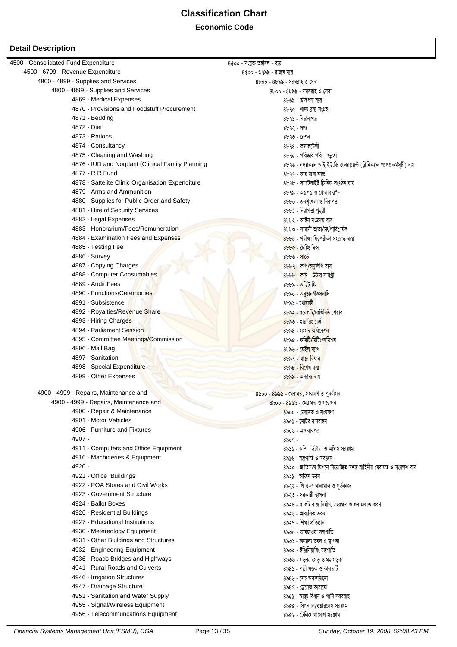**Economic Code** 

| 4500 - Consolidated Fund Expenditure              | ৪৫০০ - সংযুক্ত তহবিল - ব্যয়                                               |
|---------------------------------------------------|----------------------------------------------------------------------------|
| 4500 - 6799 - Revenue Expenditure                 | ৪৫০০ - ৬৭৯৯ - রাজস্ব ব্যয়                                                 |
| 4800 - 4899 - Supplies and Services               | ৪৮০০ - ৪৮৯৯ - সরবরাহ ও সেবা                                                |
| 4800 - 4899 - Supplies and Services               | 8৮০০ - ৪৮৯৯ - সরবরাহ ও সেবা                                                |
| 4869 - Medical Expenses                           | ৪৮৬৯ - চিকিৎসা ব্যয়                                                       |
| 4870 - Provisions and Foodstuff Procurement       | ৪৮৭০ - খাদ্য দ্রব্য সংগ্রহ                                                 |
| 4871 - Bedding                                    | ৪৮৭১ - বিছানাপত্র                                                          |
| 4872 - Diet                                       | $8b92 - 99$                                                                |
| 4873 - Rations                                    | ৪৮৭৩ - রেশন                                                                |
| 4874 - Consultancy                                | ৪৮৭৪ - কন্সালটেন্সী                                                        |
| 4875 - Cleaning and Washing                       | ৪৮৭৫ - পরিষ্কার পরি ছন্নতা                                                 |
| 4876 - IUD and Norplant (Clinical Family Planning | ৪৮৭৬ - বন্ধ্যাকরন আই.ইউ.ডি ও নরপ্প্যান্ট (ক্লিনিক্যাল পঃপঃ কর্মসূচী) ব্যয় |
| 4877 - R R Fund                                   | ৪৮৭৭ - আর আর ফান্ড                                                         |
| 4878 - Sattelite Clinic Organisation Expenditure  | ৪৮৭৮ - স্যাটেলাইট ক্লিনিক সংগঠন ব্যয়                                      |
| 4879 - Arms and Ammunition                        | ৪৮৭৯ - অন্ত্রশস্ত্র ও গোলাবার"দ                                            |
| 4880 - Supplies for Public Order and Safety       | ৪৮৮০ - জনশৃংখলা ও নিরাপত্তা                                                |
| 4881 - Hire of Security Services                  | ৪৮৮১ - নিরাপত্তা প্রহরী                                                    |
| 4882 - Legal Expenses                             | ৪৮৮২ - আইন সংক্ৰান্ত ব্যয়                                                 |
| 4883 - Honorarium/Fees/Remuneration               | ৪৮৮৩ - সম্মানী ভাতা/ফি/পারিশ্রমিক                                          |
| 4884 - Examination Fees and Expenses              | 8৮৮৪ - পরীক্ষা ফি/পরীক্ষা সংক্রান্ত ব্যয়                                  |
| 4885 - Testing Fee                                | 8৮৮৫ - টেষ্টিং ফিস্                                                        |
| 4886 - Survey                                     | $8b$ ৮৬ - সার্ভে                                                           |
| 4887 - Copying Charges                            | 8৮৮৭ - কপি/অনুলিপি ব্যয়                                                   |
| 4888 - Computer Consumables                       | 8bbb - কম্ উটার সামগ্রী                                                    |
| 4889 - Audit Fees                                 | ৪৮৮৯ - অডিট ফি                                                             |
| 4890 - Functions/Ceremonies                       |                                                                            |
| 4891 - Subsistence                                | 8৮৯০ - অনুষ্ঠান/উৎসবাদি                                                    |
|                                                   | $8b$ ৯১ - খোরাকী                                                           |
| 4892 - Royalties/Revenue Share                    | <u> ৪৮৯২ - রয়েলটি/রেভিনিউ</u> শেয়ার                                      |
| 4893 - Hiring Charges                             | ৪৮৯৩ - হায়ারিং চার্জ                                                      |
| 4894 - Parliament Session                         | 8৮৯৪ - সংসদ অধিবেশন                                                        |
| 4895 - Committee Meetings/Commission              | ৪৮৯৫ - কমিটি/মিটিং/কমিশন                                                   |
| 4896 - Mail Bag                                   | 8৮৯৬ - মেইল ব্যাগ                                                          |
| 4897 - Sanitation                                 | 8৮৯৭ - স্বাস্থ্য বিধান                                                     |
| 4898 - Special Expenditure                        | ৪৮৯৮ - বিশেষ ব্যয়                                                         |
| 4899 - Other Expenses                             | <u> 8৮৯৯ - অন্যান্য ব্যয়</u>                                              |
| 4900 - 4999 - Repairs, Maintenance and            | 8৯০০ - 8৯৯৯ - মেরামত, সংরক্ষণ ও পুনর্বাসন                                  |
| 4900 - 4999 - Repairs, Maintenance and            | ৪৯০০ - ৪৯৯৯ - মেরামত ও সংরক্ষন                                             |
| 4900 - Repair & Maintenance                       | ৪৯০০ - মেরামত ও সংরক্ষণ                                                    |
| 4901 - Motor Vehicles                             | ৪৯০১ - মোটর যানবাহন                                                        |
| 4906 - Furniture and Fixtures                     | ৪৯০৬ - আসবাবপত্র                                                           |
| 4907 -                                            | $8509 -$                                                                   |
| 4911 - Computers and Office Equipment             | ৪৯১১ - কম্টিটার ও অফিস সরঞ্জাম                                             |
| 4916 - Machineries & Equipment                    | ৪৯১৬ - যন্ত্রপাতি ও সরঞ্জাম                                                |
| 4920 -                                            | ৪৯২০ - জাতিসংঘ মিশনে নিয়োজিত সশস্ত্র বাহিনীর মেরামত ও সংরক্ষণ ব্যয়       |
| 4921 - Office Buildings                           | ৪৯২১ - অফিস ভবন                                                            |
| 4922 - POA Stores and Civil Works                 |                                                                            |
| 4923 - Government Structure                       | ৪৯২২ - পি ও-এ মালামাল ও পূর্তকাজ                                           |
|                                                   | ৪৯২৩ - সরকারী স্থাপনা                                                      |
| 4924 - Ballot Boxes                               | ৪৯২৪ - বাালট বাক্স নির্মাণ, সংরক্ষণ ও গুদামজাত করণ                         |
| 4926 - Residential Buildings                      | ৪৯২৬ - আবাসিক ভবন                                                          |
| 4927 - Educational Institutions                   | ৪৯২৭ - শিক্ষা প্ৰতিষ্ঠান                                                   |
| 4930 - Metereology Equipment                      | ৪৯৩০ - আবহাওয়া যন্ত্রপাতি                                                 |
| 4931 - Other Buildings and Structures             | ৪৯৩১ - অন্যান্য ভবন ও স্থাপনা                                              |
| 4932 - Engineering Equipment                      | ৪৯৩২ - ইঞ্জিনিয়ারিং যন্ত্রপাতি                                            |
| 4936 - Roads Bridges and Highways                 | ৪৯৩৬ - সড়ক, সেতু ও মহাসড়ক                                                |
| 4941 - Rural Roads and Culverts                   | ৪৯৪১ - পল্লী সড়ক ও কালভার্ট                                               |
| 4946 - Irrigation Structures                      | ৪৯৪৬ - সেচ অবকাঠামো                                                        |
| 4947 - Drainage Structure                         | ৪৯৪৭ - ড্রেনেজ কাঠামো                                                      |
| 4951 - Sanitation and Water Supply                | ৪৯৫১ - স্বাস্থ্য বিধান ও পানি সরবরাহ                                       |
| 4955 - Signal/Wireless Equipment                  | ৪৯৫৫ - সিগন্যাল/ওয়ারলেস সরঞ্জাম                                           |
| 4956 - Telecommuncations Equipment                | ৪৯৫৬ - টেলিযোগাযোগ সরঞ্জাম                                                 |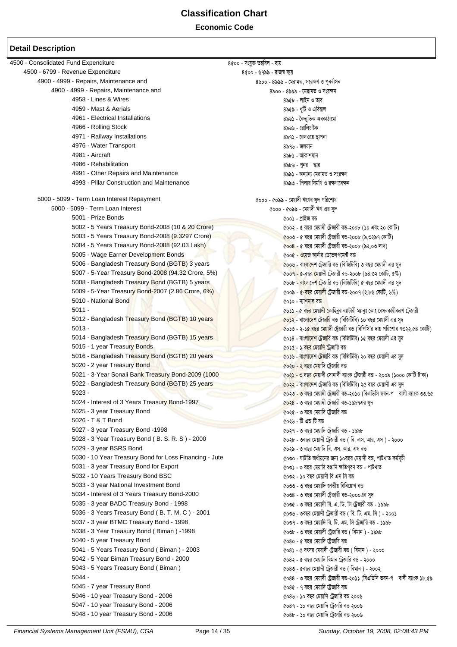| 4500 - Consolidated Fund Expenditure                        | ৪৫০০ - সংযুক্ত তহবিল - ব্যয়                                                                |
|-------------------------------------------------------------|---------------------------------------------------------------------------------------------|
| 4500 - 6799 - Revenue Expenditure                           | ৪৫০০ - ৬৭৯৯ - রাজস্ব ব্যয়                                                                  |
| 4900 - 4999 - Repairs, Maintenance and                      | ৪৯০০ - ৪৯৯৯ - মেরামত, সংরক্ষণ ও পুনর্বাসন                                                   |
| 4900 - 4999 - Repairs, Maintenance and                      | ৪৯০০ - ৪৯৯৯ - মেরামত ও সংরক্ষন                                                              |
| 4958 - Lines & Wires                                        | ৪৯৫৮ - লাইন ও তার                                                                           |
| 4959 - Mast & Aerials                                       | ৪৯৫৯ - খুটি ও এরিয়াল                                                                       |
| 4961 - Electrical Installations                             | ৪৯৬১ - বৈদ্যুতিক অবকাঠামো                                                                   |
| 4966 - Rolling Stock                                        | ৪৯৬৬ - রোলিং ষ্টক                                                                           |
| 4971 - Railway Installations                                | ৪৯৭১ - রেলওয়ে স্থাপনা                                                                      |
| 4976 - Water Transport                                      | ৪৯৭৬ - জলযান                                                                                |
| 4981 - Aircraft                                             | ৪৯৮১ - আকাশযান                                                                              |
| 4986 - Rehabilitation                                       | ৪৯৮৬ - পুনর দ্ধার                                                                           |
| 4991 - Other Repairs and Maintenance                        | ৪৯৯১ - অন্যান্য মেরামত ও সংরক্ষণ                                                            |
| 4993 - Pillar Construction and Maintenance                  | ৪৯৯৩ - পিলার নির্মাণ ও রক্ষণাবেক্ষন                                                         |
| 5000 - 5099 - Term Loan Interest Repayment                  | ৫০০০ - ৫০৯৯ - মেয়াদী ঋণের সুদ পরিশোধ                                                       |
| 5000 - 5099 - Term Loan Interest                            | ৫০০০ - ৫০৯৯ - মেয়াদী ঋণ এর সুদ                                                             |
| 5001 - Prize Bonds                                          | ৫০০১ - প্ৰাইজ বড                                                                            |
| 5002 - 5 Years Treasury Bond-2008 (10 & 20 Crore)           | ৫০০২ - ৫ বছর মেয়াদী ট্রেজারী বন্ড-২০০৮ (১০ এবং ২০ কোটি)                                    |
| 5003 - 5 Years Treasury Bond-2008 (9.3297 Crore)            | coon - ৫ বছর মেয়াদী ট্রেজারী বন্ড-২০০৮ (৯.৩২৯৭ কোটি)                                       |
| 5004 - 5 Years Treasury Bond-2008 (92.03 Lakh)              | ৫০০৪ - ৫ বছর মেয়াদী ট্রেজারী বন্ড-২০০৮ (৯২.০৩ লাখ)                                         |
| 5005 - Wage Earner Development Bonds                        | ৫০০৫ - ওয়েজ আর্নার ডেভেলপমেন্ট বন্ত                                                        |
| 5006 - Bangladesh Treasury Bond (BGTB) 3 years              | ৫০০৬ - বাংলাদেশ ট্রেজারি বন্ড (বিজিটিবি) ৩ বছর মেয়াদী এর সুদ                               |
| 5007 - 5-Year Treasury Bond-2008 (94.32 Crore, 5%)          | $\cos\theta$ - ৫-বছর মেয়াদী টেজারী বড-২০০৮ (৯৪.৩২ কোটি, ৫%)                                |
| 5008 - Bangladesh Treasury Bond (BGTB) 5 years              | ৫০০৮ <mark>- বাংলাদেশ ট্</mark> রেজারি বন্ড (বিজিটিবি) ৫ বছর মেয়াদী এর সুদ                 |
| 5009 - 5-Year Treasury Bond-2007 (2.86 Crore, 6%)           |                                                                                             |
| 5010 - National Bond                                        | $\alpha$ ০০৯ - $\alpha$ -বছর মেয়াদী ট্রেজারী বন্ড-২০০৭ (২.৮৬ কোটি, ৬%)                     |
| $5011 -$                                                    | ৫০১০ - ন্যাশ <mark>নাল বন্</mark> ড                                                         |
| 5012 - Bangladesh Treasury Bond (BGTB) 10 years             | ৫০ <b>১১ - ৫ বছর মেয়াদ<mark>ী কো</mark>হিনুর ব্যাটারী ম্যানুঃ কোং বেসরকারীকরণ ট্রেজারী</b> |
| $5013 -$                                                    | <mark>৫০১২</mark> - বাংলাদেশ টেজারি বন্ড (বিজিটিবি) ১০ বছর মেয়াদী এর সুদ                   |
| 5014 - Bangladesh Treasury Bond (BGTB) 15 years             | ৫০১৩ - ২-১৫ বছর মেয়াদী ট্রেজারী বন্ত (বিপিসি'র দায় পরিশোধ ৭৩২২.৫৪ কোটি)                   |
|                                                             | ৫০১৪ - বাংলাদেশ ট্রেজারি বন্ড (বিজিটিবি) ১৫ বছর মেয়াদী এর সুদ                              |
| 5015 - 1 year Treasury Bonds                                | ৫০১৫ - ১ ব <mark>ছর মেয়াদি ট্রে</mark> জারি বন্ড                                           |
| 5016 - Bangladesh Treasury Bond (BGTB) 20 years             | ৫০১৬ - বাংলাদেশ টেজারি বন্ড (বিজিটিবি) ২০ বছর মেয়াদী এর সুদ                                |
| 5020 - 2 year Treasury Bond                                 | ৫০২০ - ২ বছর মেয়াদি ট্রেজারি বন্ত                                                          |
| 5021 - 3-Year Sonali Bank Treasury Bond-2009 (1000          | ৫০২ <mark>১ - ৩ বছর মে</mark> য়াদী সোনালী ব্যাংক ট্রেজারী বন্ত - ২০০৯ (১০০০ কোটি টাকা)     |
| 5022 - Bangladesh Treasury Bond (BGTB) 25 years<br>$5023 -$ | ৫০২২ - বাংলাদেশ ট্রেজারি বন্ড (বিজিটিবি) ২৫ বছর মেয়াদী এর সুদ                              |
|                                                             | ৫০২৩ - ৩ বছর মেয়াদী ট্রেজারী বন্ড-২০১০ (বিএডিসি ভবন-প বালী ব্যাংক ৩৩.৬৫                    |
| 5024 - Interest of 3 Years Treasury Bond-1997               | ৫০২৪ - ৩ বছর মেয়াদী ট্রেজারী বন্ত-১৯৯৭এর সুদ                                               |
| 5025 - 3 year Treasury Bond<br>5026 - T & T Bond            | ৫০২৫ - ৩ বছর মেয়াদি ট্রেজারি বন্ড                                                          |
|                                                             | ৫০২৬ - টি এন্ড টি বন্ড                                                                      |
| 5027 - 3 year Treasury Bond -1998                           | ৫০২৭ - ৩ বছর মেয়াদি ট্রেজারি বন্ত - ১৯৯৮                                                   |
| 5028 - 3 Year Treasury Bond (B. S. R. S) - 2000             | ৫০২৮ - ৩বছর মেয়াদী ট্রেজারী বন্ত ( বি. এস. আর. এস ) - ২০০০                                 |
| 5029 - 3 year BSRS Bond                                     | ৫০২৯ - ৩ বছর মেয়াদি বি. এস. আর. এস বন্ড                                                    |
| 5030 - 10 Year Treasury Bond for Loss Financing - Jute      | ৫০৩০ - ঘাটতি অর্থায়নের জন্য ১০বছর মেয়াদী বন্ত, পাটখাত কর্মসূচী                            |
| 5031 - 3 year Treasury Bond for Export                      | ৫০৩১ - ৩ বছর মেয়াদি রপ্তানি ক্ষতিপূরণ বন্ত - পাটখাত                                        |
| 5032 - 10 Years Treasury Bond BSC                           | ৫০৩২ - ১০ বছর মেয়াদী বি এস সি বন্ত                                                         |
| 5033 - 3 year National Investment Bond                      | ৫০৩৩ - ৩ বছর মেয়াদি জাতীয় বিনিয়োগ বন্ত                                                   |
| 5034 - Interest of 3 Years Treasury Bond-2000               | ৫০৩৪ - ৩ বছর মেয়াদী ট্রেজারী বন্ড-২০০০এর সুদ                                               |
| 5035 - 3 year BADC Treasury Bond - 1998                     | ৫০৩৫ - ৩ বছর মেয়াদী বি. এ. ডি. সি ট্রেজারী বন্ড - ১৯৯৮                                     |
| 5036 - 3 Years Treasury Bond (B. T. M. C) - 2001            | ৫০৩৬ - ৩বছর মেয়াদী ট্রেজারী বন্ত ( বি. টি. এম. সি ) - ২০০১                                 |
| 5037 - 3 year BTMC Treasury Bond - 1998                     | ৫০৩৭ - ৩ বছর মেয়াদি বি. টি. এম. সি ট্রেজারি বন্ড - ১৯৯৮                                    |
| 5038 - 3 Year Treasury Bond (Biman) -1998                   | ৫০৩৮ - ৩ বছর মেয়াদী ট্রেজারি বন্ত ( বিমান ) - ১৯৯৮                                         |
| 5040 - 5 year Treasury Bond                                 | ৫০৪০ - ৫ বছর মেয়াদি ট্রেজারি বন্ড                                                          |
| 5041 - 5 Years Treasury Bond (Biman) - 2003                 | ৫০৪১ - ৫ বৎসর মেয়াদী ট্রেজারী বন্ত ( বিমান ) - ২০০৩                                        |
| 5042 - 5 Year Biman Treasury Bond - 2000                    | ৫০৪২ - ৫ বছর মেয়াদি বিমান ট্রেজারি বন্ড - ২০০০                                             |
| 5043 - 5 Years Treasury Bond (Biman)                        | ৫০৪৩ - ৫বছর মেয়াদী ট্রেজারী বন্ত ( বিমান ) - ২০০২                                          |
| $5044 -$                                                    | ৫০৪৪ - ৩ বছর মেয়াদী ট্রেজারী বন্ড-২০১১ (বিএডিসি ভবন-প বালী ব্যাংক ১৮.৫৯                    |
| 5045 - 7 year Treasury Bond                                 | ৫০৪৫ - ৭ বছর মেয়াদি ট্রেজারি বন্ড                                                          |
| 5046 - 10 year Treasury Bond - 2006                         | ৫০৪৬ - ১০ বছর মেয়াদি ট্রেজারি বন্ড ২০০৬                                                    |
| 5047 - 10 year Treasury Bond - 2006                         | ৫০৪৭ - ১০ বছর মেয়াদি ট্রেজারি বন্ড ২০০৬                                                    |
| 5048 - 10 year Treasury Bond - 2006                         | ৫০৪৮ - ১০ বছর মেয়াদি ট্রেজারি বন্ড ২০০৬                                                    |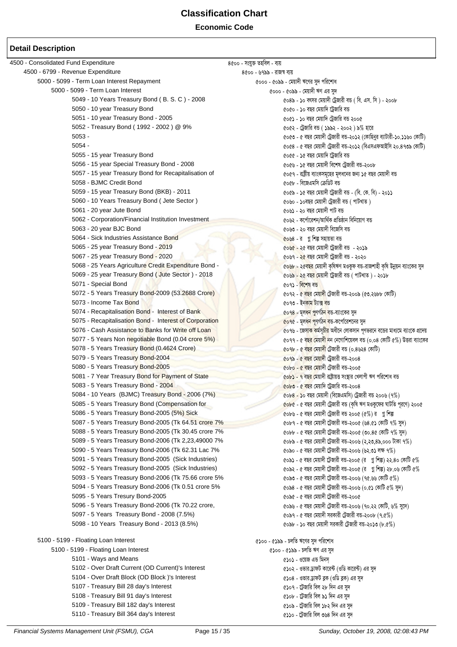**Economic Code**

| 4500 - Consolidated Fund Expenditure                          | ৪৫০০ - সংযুক্ত তহবিল - ব্যয়                                                                          |
|---------------------------------------------------------------|-------------------------------------------------------------------------------------------------------|
| 4500 - 6799 - Revenue Expenditure                             | ৪৫০০ - ৬৭৯৯ - রাজস্ব ব্যয়                                                                            |
| 5000 - 5099 - Term Loan Interest Repayment                    | ৫০০০ - ৫০৯৯ - মেয়াদী ঋণের সুদ পরিশোধ                                                                 |
| 5000 - 5099 - Term Loan Interest                              | ৫০০০ - ৫০৯৯ - মেয়াদী ঋণ এর সুদ                                                                       |
| 5049 - 10 Years Treasury Bond (B. S. C) - 2008                | $608$ ৯ - ১০ বৎসর মেয়াদী ট্রেজারী বন্ত (বি. এস. সি) - ২০০৮                                           |
| 5050 - 10 year Treasury Bond                                  | ৫০৫০ - ১০ বছর মেয়াদি ট্রেজারি বন্ড                                                                   |
| 5051 - 10 year Treasury Bond - 2005                           | ৫০৫১ - ১০ বছর মেয়াদি ট্রেজারি বন্ড ২০০৫                                                              |
| 5052 - Treasury Bond (1992 - 2002) @ 9%                       | ৫০৫২ - ট্রেজারি বন্ড ( ১৯৯২ - ২০০২ ) ৯% হারে                                                          |
| $5053 -$                                                      | ৫০৫৩ - ৫ বছর মেয়াদী ট্রেজারী বন্ড-২০১২ (কোহিনুর ব্যাটারী-১০.১১৬০ কোটি)                               |
| $5054 -$                                                      | ৫০৫৪ - ৫ বছর মেয়াদী ট্রেজারী বন্ড-২০১২ (বিএসএফআইসি ২০.৪৭৩৯ কোটি)                                     |
| 5055 - 15 year Treasury Bond                                  | ৫০৫৫ - ১৫ বছর মেয়াদি ট্রেজারি বন্ড                                                                   |
| 5056 - 15 year Special Treasury Bond - 2008                   | ৫০৫৬ - ১৫ বছর মেয়াদী বিশেষ ট্রেজারী বন্ড-২০০৮                                                        |
| 5057 - 15 year Treasury Bond for Recapitalisation of          | ৫০৫৭ - রাষ্ট্রীয় ব্যাংকসমূহের মূলধনের জন্য ১৫ বছর মেয়াদী বন্ড                                       |
| 5058 - BJMC Credit Bond                                       | ৫০৫৮ - বিজেএমসি ক্রেডিট বন্ড                                                                          |
| 5059 - 15 year Treasury Bond (BKB) - 2011                     | $\cos b$ - ১৫ বছর মেয়াদী ট্রেজারী বন্ড - (বি. কে. বি) - ২০১১                                         |
| 5060 - 10 Years Treasury Bond ( Jete Sector )                 | ৫০৬০ - ১০বছর মেয়াদী ট্রেজারী বন্ড ( পাটখাত)                                                          |
| 5061 - 20 year Jute Bond                                      | ৫০৬১ - ২০ বছর মেয়াদী পাট বন্ত                                                                        |
| 5062 - Corporation/Financial Institution Investment           | ৫০৬২ - কর্পোরেশন/আর্থিক প্রতিষ্ঠান বিনিয়োগ বন্ত                                                      |
| 5063 - 20 year BJC Bond                                       | ৫০৬৩ - ২০ বছর মেয়াদী বিজেসি বন্ত                                                                     |
| 5064 - Sick Industries Assistance Bond                        | co৬৪ - র গ্ন শিল্প সহায়তা বন্ড                                                                       |
| 5065 - 25 year Treasury Bond - 2019                           | ৫০৬৫ - ২৫ বছর মেয়াদী ট্রেজারী বন্ড - ২০১৯                                                            |
| 5067 - 25 year Treasury Bond - 2020                           | ৫০৬৭ - ২৫ বছর মেয়াদী ট্রেজারী বন্ত - ২০২০                                                            |
| 5068 - 25 Years Agriculture Credit Expenditure Bond -         | ৫০৬৮ - ২৫বছর মেয়াদী কৃষিঋণ মওকুফ বন্ড-রাজশাহী কৃষি উন্নয়ন ব্যাংকের সুদ                              |
| 5069 - 25 year Treasury Bond (Jute Sector) - 2018             | ৫০৬৯ - ২৫ বছর মেয়াদী ট্রেজারী বন্ত ( পাটখাত ) - ২০১৮                                                 |
| 5071 - Special Bond                                           | ৫০৭১ - বিশেষ বন্ <mark>ত</mark>                                                                       |
| 5072 - 5 Years Treasury Bond-2009 (53.2688 Crore)             | ৫০৭২ - ৫ বছর মেয়া <mark>দী</mark> ট্রেজারী বন্ড-২০০৯ (৫৩.২৬৮৮ কোটি)                                  |
| 5073 - Income Tax Bond                                        | ৫০৭৩ - ইনকাম ট্যাক্ <mark>স ব</mark> ন্ত                                                              |
| 5074 - Recapitalisation Bond - Interest of Bank               | <u>৫০৭৪ - মূলধন পু</u> ণর্গঠন বন্ত-ব্যাংকের সুদ                                                       |
| 5075 - Recapitalisation Bond - Interest of Corporation        | <mark>৫০৭৫</mark> - মূলধ <mark>ন পূ</mark> ণর্গঠ <mark>ন ব</mark> ন্ড-কর্পোরেশনের সুদ                 |
| 5076 - Cash Assistance to Banks for Write off Loan            | ৫০৭৬ - জেসা <mark>ক ক</mark> ৰ্মসূ <mark>চীর</mark> অধীনে লোকসান পূণভরনে বডের মাধ্যমে ব্যাংকে প্রদেয় |
| 5077 - 5 Years Non negotiable Bond (0.04 crore 5%)            | ৫০৭৭ - ৫ ব <mark>ছর মে</mark> য়াদ <mark>ী ন</mark> ন নেগোশিয়েবল বন্ড (০.০৪ কোটি ৫%) উত্তরা ব্যাংকের |
| 5078 - 5 Years Treasury Bond (0.4624 Crore)                   | <u>৫০৭৮ - ৫ বছর মেয়াদী টেজারী বন্ড (০.৪৬২৪ কোটি)</u>                                                 |
| 5079 - 5 Years Treasury Bond-2004                             | ৫০৭৯ - ৫ বছর মেয়াদী ট্রেজারী বন্ড-২০০৪                                                               |
| 5080 - 5 Years Treasury Bond-2005                             | ৫০৮০ - ৫ বছর মেয়াদী টেজারী বন্ড-২০০৫                                                                 |
| 5081 - 7 Year Treasury Bond for Payment of State              | ৫০৮১ - ৭ বছর মেয়াদী রাষ্ট্রায়ত্ত সংস্থার খেলাপী ঋণ পরিশোধ বন্ত                                      |
| 5083 - 5 Years Treasury Bond - 2004                           | ৫০৮৩ - ৫ বছর মেয়াদি ট্রেজারি বন্ড-২০০৪                                                               |
| 5084 - 10 Years (BJMC) Treasury Bond - 2006 (7%)              | $60b8 - 50$ বছর মেয়াদী (বিজেএমসি) ট্রেজারী বন্ড ২০০৬ (৭%)                                            |
| 5085 - 5 Years Treasury Bond (Compensation for                | cobc - ৫ বছর মেয়াদী ট্রেজারী বন্ড (কৃষি ঋণ মওকুফের ঘাটতি পূরণে) ২০০৫                                 |
| 5086 - 5 Years Treasury Bond-2005 (5%) Sick                   | $\alpha$ ০৮৬ - ৫ বছর মেয়াদী ট্রেজারী বন্ড ২০০৫ (৫%) র গ্ন শিল্প                                      |
| 5087 - 5 Years Treasury Bond-2005 (Tk 64.51 crore 7%          | $\omega$ ০৮৭ - ৫ বছর মেয়াদী ট্রেজারী বন্ড-২০০৫ (৬৪.৫১ কোটি ৭% সুদ)                                   |
| 5088 - 5 Years Treasury Bond-2005 (Tk 30.45 crore 7%          | $\omega$ ০৮৮ - ৫ বছর মেয়াদী ট্রেজারী বন্ড-২০০৫ (৩০.৪৫ কোটি ৭% সুদ)                                   |
| 5089 - 5 Years Treasury Bond-2006 (Tk 2,23,49000 7%           | ৫০৮৯ - ৫ বছর মেয়াদী ট্রেজারী বন্ড-২০০৬ (২,২৩,৪৯,০০০ টাকা ৭%)                                         |
| 5090 - 5 Years Treasury Bond-2006 (Tk 62.31 Lac 7%            | $\alpha$ ০৯০ - ৫ বছর মেয়াদী ট্রেজারী বন্ড-২০০৬ (৬২.৩১ লক্ষ ৭%)                                       |
| 5091 - 5 Years Treasury Bond-2005 (Sick Industries)           | $\cos$ ) - ৫ বছর মেয়াদী ট্রেজারী বন্ড-২০০৫ (র গুশিল্প) ২২.৪০ কোটি ৫%                                 |
| 5092 - 5 Years Treasury Bond-2005 (Sick Industries)           | $\cos 2 - c$ বছর মেয়াদী ট্রেজারী বন্ড-২০০৫ (র গ্ন শিল্প) ২৮.০৬ কোটি ৫%                               |
| 5093 - 5 Years Treasury Bond-2006 (Tk 75.66 crore 5%          | $\omega$ ১৩ - ৫ বছর মেয়াদী ট্রেজারী বন্ড-২০০৬ (৭৫.৬৬ কোটি ৫%)                                        |
| 5094 - 5 Years Treasury Bond-2006 (Tk 0.51 crore 5%           | $\cos 8$ - ৫ বছর মেয়াদী ট্রেজারী বন্ড-২০০৬ (০.৫১ কোটি ৫% সুদ)                                        |
| 5095 - 5 Years Tresury Bond-2005                              | ৫০৯৫ - ৫ বছর মেয়াদী ট্রেজারী বন্ড-২০০৫                                                               |
| 5096 - 5 Years Treasury Bond-2006 (Tk 70.22 crore,            | ৫০৯৬ - ৫ বছর মেয়াদী ট্রেজারী বন্ড-২০০৬ (৭০.২২ কোটি, ৬% সুদে)                                         |
| 5097 - 5 Years Treasury Bond - 2008 (7.5%)                    | $\alpha$ ০৯৭ - ৫ বছর মেয়াদী সরকারী ট্রেজারী বন্ড-২০০৮ $(9.6\%)$                                      |
| 5098 - 10 Years Treasury Bond - 2013 (8.5%)                   | $\alpha$ ০৯৮ - ১০ বছর মেয়াদী সরকারী ট্রেজারী বন্ড-২০১৩ (৮.৫%)                                        |
|                                                               |                                                                                                       |
| 5100 - 5199 - Floating Loan Interest                          | ৫১০০ - ৫১৯৯ - চলতি ঋণের সুদ পরিশোধ                                                                    |
| 5100 - 5199 - Floating Loan Interest<br>5101 - Ways and Means | ৫১০০ - ৫১৯৯ - চলতি ঋণ এর সুদ                                                                          |
|                                                               | ৫১০১ - ওয়েজ এন্ড মিনস্                                                                               |
| 5102 - Over Draft Current (OD Current)'s Interest             | ৫১০২ - ওভার ড্রাফট কারেন্ট (ওডি কারেন্ট) এর সুদ                                                       |
| 5104 - Over Draft Block (OD Block)'s Interest                 | ৫১০৪ - ওভার ড্রাফট ব্লক (ওডি ব্লক) এর সুদ                                                             |
| 5107 - Treasury Bill 28 day's Interest                        | ৫১০৭ - টেজারি বিল ২৮ দিন এর সুদ                                                                       |
| 5108 - Treasury Bill 91 day's Interest                        | ৫১০৮ - ট্রেজারি বিল ৯১ দিন এর সুদ                                                                     |
| 5109 - Treasury Bill 182 day's Interest                       | ৫১০৯ - ট্রেজারি বিল ১৮২ দিন এর সুদ                                                                    |
| 5110 - Treasury Bill 364 day's Interest                       | ৫১১০ - ট্রেজারি বিল ৩৬৪ দিন এর সুদ                                                                    |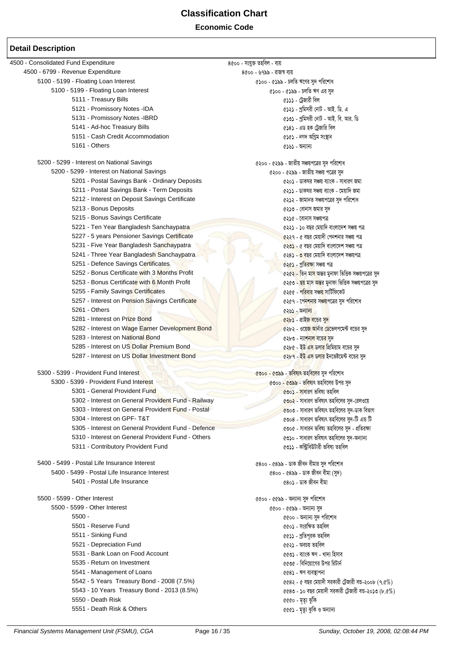| 4500 - Consolidated Fund Expenditure                | ৪৫০০ - সংযুক্ত তহবিল - ব্যয়                                            |
|-----------------------------------------------------|-------------------------------------------------------------------------|
| 4500 - 6799 - Revenue Expenditure                   | ৪৫০০ - ৬৭৯৯ - রাজস্ব ব্যয়                                              |
| 5100 - 5199 - Floating Loan Interest                | ৫১০০ - ৫১৯৯ - চলতি ঋণের সুদ পরিশোধ                                      |
| 5100 - 5199 - Floating Loan Interest                | ৫১০০ - ৫১৯৯ - চলতি ঋণ এর সুদ                                            |
| 5111 - Treasury Bills                               | ৫১১১ - ট্রেজারী বিল                                                     |
| 5121 - Promissory Notes -IDA                        | ৫১২১ - প্রমিসরী নোট - আই. ডি. এ                                         |
| 5131 - Promissory Notes -IBRD                       | ৫১৩১ - প্রমিসরী নোট - আই. বি. আর. ডি                                    |
| 5141 - Ad-hoc Treasury Bills                        | ৫১৪১ - এড হক ট্রেজারি বিল                                               |
| 5151 - Cash Credit Accommodation                    | ৫১৫১ - নগদ অগ্ৰিম সংস্থান                                               |
| 5161 - Others                                       | ৫১৬১ - অন্যান্য                                                         |
|                                                     |                                                                         |
| 5200 - 5299 - Interest on National Savings          | ৫২০০ - ৫২৯৯ - জাতীয় সঞ্চয়পত্রের সুদ পরিশোধ                            |
| 5200 - 5299 - Interest on National Savings          | ৫২০০ - ৫২৯৯ - জাতীয় সঞ্চয় পত্রের সুদ                                  |
| 5201 - Postal Savings Bank - Ordinary Deposits      | ৫২০১ - ডাকঘর সঞ্চয় ব্যাংক - সাধারণ জমা                                 |
| 5211 - Postal Savings Bank - Term Deposits          | ৫২১১ - ডাকঘর সঞ্চয় ব্যাংক - মেয়াদি জমা                                |
| 5212 - Interest on Deposit Savings Certificate      | ৫২১২ - জামানত সঞ্চয়পত্রের সুদ পরিশোধ                                   |
| 5213 - Bonus Deposits                               | ৫২১৩ - বোনাস জমার সুদ                                                   |
| 5215 - Bonus Savings Certificate                    | ৫২১৫ - বোনাস সঞ্চয়পত্ৰ                                                 |
| 5221 - Ten Year Bangladesh Sanchaypatra             | ৫২২১ - ১০ বছর মেয়াদি বাংলাদেশ সঞ্চয় পত্র                              |
| 5227 - 5 years Pensioner Savings Certificate        | ৫২২৭ - ৫ বছর মেয়াদী পেনশনার সঞ্চয় পত্র                                |
| 5231 - Five Year Bangladesh Sanchaypatra            | ৫২৩১ - ৫ বছর মেয়াদি বাংলাদেশ সঞ্চয় পত্র                               |
| 5241 - Three Year Bangladesh Sanchaypatra           | ৫২৪১ - <mark>৩ ব</mark> ছর মেয়াদি বাংলাদেশ সঞ্চয়পত্র                  |
| 5251 - Defence Savings Certificates                 | ৫২৫১ - প্ৰতিরক্ষা সঞ্চয় পত্ৰ                                           |
| 5252 - Bonus Certificate with 3 Months Profit       | ৫২৫২ - তিন মা <mark>স অ</mark> ন্তর মুনাফা ভিত্তিক সঞ্চয়পত্রের সুদ     |
| 5253 - Bonus Certificate with 6 Month Profit        | ৫২৫৩ <mark>- ছয় মাস অন্ত</mark> র মুনাফা ভিত্তিক সঞ্চয়পত্রের সুদ      |
| 5255 - Family Savings Certificates                  | ৫২৫৫ - <mark>পরিবার সঞ্চয় সা</mark> র্টিফিকেট                          |
| 5257 - Interest on Pension Savings Certificate      | ৫২৫৭ - পে <mark>নশনার সঞ্চয়</mark> পত্রের সুদ পরিশোধ                   |
| 5261 - Others                                       | ৫২৬১ - অন্যান্য                                                         |
| 5281 - Interest on Prize Bond                       | ৫২৮১ - প্রাইজ বন্ডের সু <mark>দ</mark>                                  |
| 5282 - Interest on Wage Earner Development Bond     | ৫২৮২ - ওয়ে <mark>জ আ</mark> র্নার <mark>ডে</mark> ভেলপমেন্ট বন্ডের সুদ |
| 5283 - Interest on National Bond                    | ৫২৮৩ - ন্যা <mark>শনাল বডের সু</mark> দ                                 |
| 5285 - Interest on US Dollar Premium Bond           | ৫২৮৫ - ইউ <mark>এস ডলার</mark> প্রিমিয়াম বন্ডের সুদ                    |
| 5287 - Interest on US Dollar Investment Bond        | ৫২৮৭ - ইউ এস ডলার ইনভেষ্টমেন্ট বন্ডের সুদ                               |
| 5300 - 5399 - Provident Fund Interest               | <u> ৫৩০০ - ৫৩৯৯ - ভবিষ্যৎ তহবিলের সুদ পরিশোধ</u>                        |
| 5300 - 5399 - Provident Fund Interest               | ৫৩০০ - ৫৩৯৯ - ভবিষ্যৎ তহবিলের উপর সুদ                                   |
| 5301 - General Provident Fund                       | ৫৩০১ - সাধারণ ভবিষ্য তহবিল                                              |
| 5302 - Interest on General Provident Fund - Railway | ৫৩০২ - সাধারণ ভবিষ্যৎ তহবিলের সুদ-রেলওয়ে                               |
| 5303 - Interest on General Provident Fund - Postal  | ৫৩০৩ - সাধারণ ভবিষ্যৎ তহবিলের সুদ-ডাক বিভাগ                             |
| 5304 - Interest on GPF-T&T                          | ৫৩০৪ - সাধারণ ভবিষ্যৎ তহবিলের সুদ-টি এন্ড টি                            |
| 5305 - Interest on General Provident Fund - Defence | ৫৩০৫ - সাধারন ভবিষ্য তহবিলের সুদ - প্রতিরক্ষা                           |
| 5310 - Interest on General Provident Fund - Others  | ৫৩১০ - সাধারণ ভবিষ্যৎ তহবিলের সুদ-অন্যান্য                              |
| 5311 - Contributory Provident Fund                  | ৫৩১১ - কন্ট্রিবিউটারী ভবিষ্য তহবিল                                      |
| 5400 - 5499 - Postal Life Insurance Interest        | ৫৪০০ - ৫৪৯৯ - ডাক জীবন বীমার সুদ পরিশোধ                                 |
| 5400 - 5499 - Postal Life Insurance Interest        | $(800 - (88) - 50)$ - ডাক জীবন বীমা (সুদ)                               |
| 5401 - Postal Life Insurance                        | ৫৪০১ - ডাক জীবন বীমা                                                    |
|                                                     |                                                                         |
| 5500 - 5599 - Other Interest                        | ৫৫০০ - ৫৫৯৯ - অন্যান্য সুদ পরিশোধ                                       |
| 5500 - 5599 - Other Interest                        | ৫৫০০ - ৫৫৯৯ - অন্যান্য সুদ                                              |
| $5500 -$                                            | ৫৫০০ - অন্যান্য সুদ পরিশোধ                                              |
| 5501 - Reserve Fund                                 | ৫৫০১ - সংরক্ষিত তহবিল                                                   |
| 5511 - Sinking Fund                                 | ৫৫১১ - প্ৰতিপূরক তহবিল                                                  |
| 5521 - Depreciation Fund                            | ৫৫২১ - অবচয় তহবিল                                                      |
| 5531 - Bank Loan on Food Account                    | ৫৫৩১ - ব্যাংক ঋণ - খাদ্য হিসাব                                          |
| 5535 - Return on Investment                         | ৫৫৩৫ - বিনিয়োগের উপর রিটার্ন                                           |
| 5541 - Management of Loans                          | ৫৫৪১ - ঋণ ব্যবস্থাপনা                                                   |
| 5542 - 5 Years Treasury Bond - 2008 (7.5%)          | $0.682$ - ৫ বছর মেয়াদী সরকারী ট্রেজারী বন্ত-২০০৮ $(9.6\%)$             |
| 5543 - 10 Years Treasury Bond - 2013 (8.5%)         | $0.68$ ৩ - ১০ বছর মেয়াদী সরকারী ট্রেজারী বন্ড-২০১৩ (৮.৫%)              |
| 5550 - Death Risk                                   | ৫৫৫০ - মৃত্যু ঝুঁকি                                                     |
| 5551 - Death Risk & Others                          | ৫৫৫১ - মৃত্যু ঝুকি ও অন্যান্য                                           |
|                                                     |                                                                         |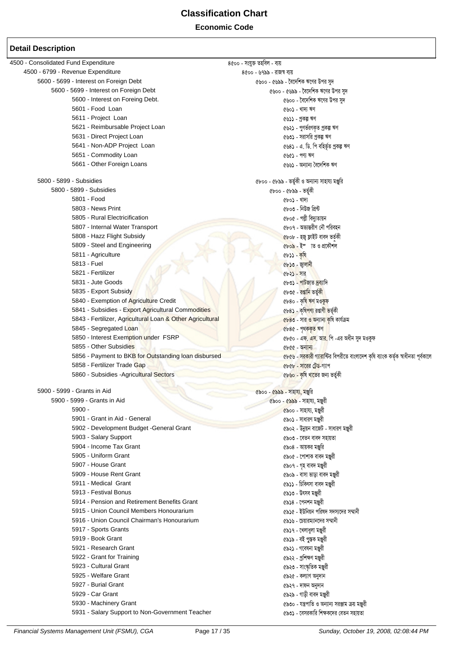**Economic Code** 

| 4500 - Consolidated Fund Expenditure                      | ৪৫০০ - সংযুক্ত তহবিল - ব্যয়                                                              |
|-----------------------------------------------------------|-------------------------------------------------------------------------------------------|
| 4500 - 6799 - Revenue Expenditure                         | ৪৫০০ - ৬৭৯৯ - রাজস্ব ব্যয়                                                                |
| 5600 - 5699 - Interest on Foreign Debt                    | ৫৬০০ - ৫৬৯৯ - বৈদেশিক ঋণের উপর সুদ                                                        |
| 5600 - 5699 - Interest on Foreign Debt                    | ৫৬০০ - ৫৬৯৯ - বৈদেশিক ঋণের উপর সুদ                                                        |
| 5600 - Interest on Foreing Debt.                          | ৫৬০০ - বৈদেশিক ঋণের উপর সুদ                                                               |
| 5601 - Food Loan                                          | ৫৬০১ - খাদ্য ঋণ                                                                           |
| 5611 - Project Loan                                       | ৫৬১১ - প্ৰকল্প ঋণ                                                                         |
| 5621 - Reimbursable Project Loan                          | ৫৬২১ - পুণর্তরণকৃত প্রকল্প ঋণ                                                             |
| 5631 - Direct Project Loan                                | ৫৬৩১ - সরাসরি প্রকল্প ঋণ                                                                  |
| 5641 - Non-ADP Project Loan                               | ৫৬৪১ - এ. ডি. পি বহির্ভূত প্রকল্প ঋণ                                                      |
| 5651 - Commodity Loan                                     | ৫৬৫১ - পণ্য ঋণ                                                                            |
| 5661 - Other Foreign Loans                                | ৫৬৬১ - অন্যান্য বৈদেশিক ঋণ                                                                |
| 5800 - 5899 - Subsidies                                   |                                                                                           |
|                                                           | ৫৮০০ - ৫৮৯৯ - ভৰ্তুকী ও অন্যান্য সাহায্য মঞ্জুরি                                          |
| 5800 - 5899 - Subsidies                                   | ৫৮০০ - ৫৮৯৯ - ভৰ্তৃকী                                                                     |
| 5801 - Food                                               | ৫৮০১ - খাদ্য                                                                              |
| 5803 - News Print                                         | ৫৮০৩ - নিউজ প্ৰিন্ট                                                                       |
| 5805 - Rural Electricification                            | ৫৮০৫ - পল্লী বিদ্যুতায়ন                                                                  |
| 5807 - Internal Water Transport                           | ৫৮০৭ - অভ্যন্তরীণ নৌ পরিবহন                                                               |
| 5808 - Hazz Flight Subsidy                                | <u>৫</u> ৮০৮ - হজু ফ্লাইট বাবদ ভৰ্তকী                                                     |
| 5809 - Steel and Engineering                              | ৫৮০৯ - ইম্ব ত ও প্ৰকৌশল                                                                   |
| 5811 - Agriculture                                        | $(b5) - 98$                                                                               |
| 5813 - Fuel                                               | <u> ৫৮১৩ - জ্বলানী</u>                                                                    |
| 5821 - Fertilizer                                         | ৫৮২১ - সার                                                                                |
| 5831 - Jute Goods                                         | ৫৮৩১ - পা <mark>ট</mark> জাত দ্ৰব্যাদি                                                    |
| 5835 - Export Subsidy                                     | ৫৮৩৫ - রপ্তানি ভর্তুকী                                                                    |
| 5840 - Exemption of Agriculture Credit                    | ৫৮৪০ - কৃষি ঋণ মওকুফ                                                                      |
| 5841 - Subsidies - Export Agricultural Commodities        | ৫৮৪১ - কৃষি <mark>পণ্য রপ্তাণী ভ</mark> র্তৃকী                                            |
| 5843 - Fertilizer, Agricultural Loan & Other Agricultural | <u> ৫৮৪৩ - সার ও অন্যান্য কৃ</u> ষি কার্যক্রম                                             |
| 5845 - Segregated Loan                                    | ৫৮৪৫ - পৃথক <mark>কৃত ঋণ</mark>                                                           |
| 5850 - Interest Exemption under FSRP                      | ৫৮৫০ - এফ <mark>. এস. আর.</mark> পি -এর অধীন সুদ মওকুফ                                    |
| 5855 - Other Subsidies                                    | $6666 -$ অন্যান্য                                                                         |
| 5856 - Payment to BKB for Outstanding loan disbursed      | <u>৫৮৫৬ - সরকারী গ্যারা</u> ন্টির বিপরীতে বাংলাদেশ কৃষি ব্যাংক কর্তৃক স্বাধীনতা পূর্বকালে |
| 5858 - Fertilizer Trade Gap                               | ৫৮৫৮ - সারের টেড-গ্যাপ                                                                    |
| 5860 - Subsidies - Agricultural Sectors                   | ৫৮৬০ - কৃষি খাতের জন্য ভর্তুকী                                                            |
|                                                           |                                                                                           |
| 5900 - 5999 - Grants in Aid                               | ৫৯০০ - ৫৯৯৯ - সাহায্য, মঞ্জুরি                                                            |
| 5900 - 5999 - Grants in Aid                               | ৫৯০০ - ৫৯৯৯ - সাহায্য, মঞ্জুরী                                                            |
| 5900 -                                                    | ৫৯০০ - সাহায্য, মঞ্জুরী                                                                   |
| 5901 - Grant in Aid - General                             | ৫৯০১ - সাধারণ মঞ্জুরী                                                                     |
| 5902 - Development Budget - General Grant                 | ৫৯০২ - উন্নয়ন বাজেট - সাধারণ মঞ্জুরী                                                     |
| 5903 - Salary Support                                     | ৫৯০৩ - বেতন বাবদ সহায়তা                                                                  |
| 5904 - Income Tax Grant                                   | ৫৯০৪ - আয়কর মঞ্জুরি                                                                      |
| 5905 - Uniform Grant                                      | ৫৯০৫ - পোশাক বাবদ মঞ্জুরী                                                                 |
| 5907 - House Grant                                        | ৫৯০৭ - গৃহ বাবদ মঞ্জুরী                                                                   |
| 5909 - House Rent Grant                                   | ৫৯০৯ - বাসা ভাড়া বাবদ মঞ্জুরী                                                            |
| 5911 - Medical Grant                                      | ৫৯১১ - চিকিৎসা বাবদ মঞ্জুরী                                                               |
| 5913 - Festival Bonus                                     | ৫৯১৩ - উৎসব মঞ্জুরী                                                                       |
| 5914 - Pension and Retirement Benefits Grant              | ৫৯১৪ - পেনশন মঞ্জুরী                                                                      |
| 5915 - Union Council Members Honourarium                  | ৫৯১৫ - ইউনিয়ন পরিষদ সদস্যদের সম্মানী                                                     |
| 5916 - Union Council Chairman's Honourarium               |                                                                                           |
|                                                           | ৫৯১৬ - চেয়ারম্যানদের সম্মানী                                                             |
| 5917 - Sports Grants                                      | ৫৯১৭ - খেলাধুলা মঞ্জুরী                                                                   |
| 5919 - Book Grant                                         | ৫৯১৯ - বই পুস্তক মঞ্জুরী                                                                  |
| 5921 - Research Grant                                     | ৫৯২১ - গবেষনা মঞ্জুরী                                                                     |
| 5922 - Grant for Training                                 | ৫৯২২ - প্ৰশিক্ষণ মঞ্জুরী                                                                  |
| 5923 - Cultural Grant                                     | ৫৯২৩ - সাংস্কৃতিক মঞ্জুরী                                                                 |
| 5925 - Welfare Grant                                      | ৫৯২৫ - কল্যাণ অনুদান                                                                      |
| 5927 - Burial Grant                                       | ৫৯২৭ - দাফন অনুদান                                                                        |
| 5929 - Car Grant                                          | ৫৯২৯ - গাড়ী বাবদ মঞ্জুরী                                                                 |
| 5930 - Machinery Grant                                    | ৫৯৩০ - যন্ত্রপাতি ও অন্যান্য সরঞ্জাম ক্রয় মঞ্জুরী                                        |
| 5931 - Salary Support to Non-Government Teacher           | ৫৯৩১ - বেসরকারি শিক্ষকদের বেতন সহায়তা                                                    |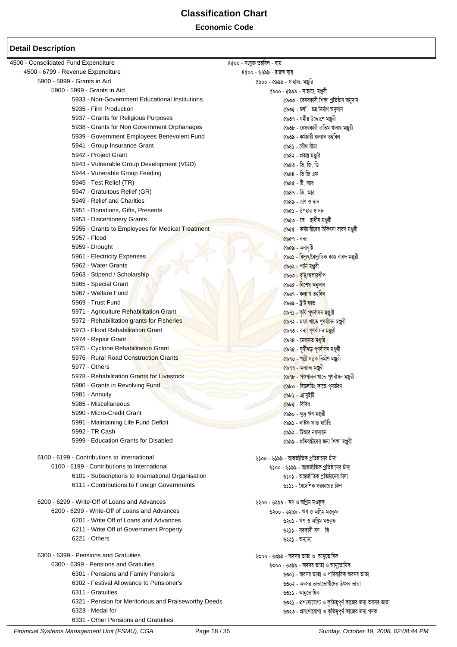**Economic Code** 

| 4500 - Consolidated Fund Expenditure                  | 8৫০০ - সংযুক্ত তহবিল - ব্যয়                            |
|-------------------------------------------------------|---------------------------------------------------------|
| 4500 - 6799 - Revenue Expenditure                     | ৪৫০০ - ৬৭৯৯ - রাজস্ব ব্যয়                              |
| 5900 - 5999 - Grants in Aid                           | ৫৯০০ - ৫৯৯৯ - সাহায্য, মঞ্জুরি                          |
| 5900 - 5999 - Grants in Aid                           | ৫৯০০ - ৫৯৯৯ - সাহায্য, মঞ্জুরী                          |
| 5933 - Non-Government Educational Institutions        | ৫৯৩৩ - বেসরকারী শিক্ষা প্রতিষ্ঠান অনুদান                |
| 5935 - Film Production                                | ৫৯৩৫ - চল <b>ি চত্ৰ নিৰ্মাণ অনুদা</b> ন                 |
| 5937 - Grants for Religious Purposes                  | ৫৯৩৭ - ধর্মীয় উদ্দ্যেশে মঞ্জুরী                        |
| 5938 - Grants for Non Government Orphanages           | ৫৯৩৮ - বেসরকারী এতিম খানায় মঞ্জুরী                     |
| 5939 - Government Employees Benevolent Fund           | ৫৯৩৯ - কৰ্মচারী কল্যান তহবিল                            |
| 5941 - Group Insurance Grant                          | ৫৯৪১ - যৌথ বীমা                                         |
| 5942 - Project Grant                                  | ৫৯৪২ - প্রকল্প মঞ্জুরি                                  |
| 5943 - Vulnerable Group Development (VGD)             | ৫৯৪৩ - ভি. জি. ডি                                       |
| 5944 - Vunerable Group Feeding                        | ৫৯৪৪ - ভি জি এফ                                         |
| 5945 - Test Relief (TR)                               | ৫৯৪৫ - টি. আর                                           |
| 5947 - Gratuitous Relief (GR)                         | ৫৯৪৭ - জি. আর                                           |
| 5949 - Relief and Charities                           | ৫৯৪৯ - ত্রাণ ও দান                                      |
| 5951 - Donations, Gifts, Presents                     | ৫৯৫১ - উপহার ও দান                                      |
| 5953 - Discertionery Grants                           |                                                         |
|                                                       | ৫৯৫৩ - সে ছাধীন মঞ্জুরী                                 |
| 5955 - Grants to Employees for Medical Treatment      | ৫৯৫৫ - কর্মচারীদের চিকিৎসা বাবদ মঞ্জুরী                 |
| 5957 - Flood                                          | $6869 - 361$                                            |
| 5959 - Drought                                        | ৫৯৫৯ - অনাবৃষ্টি                                        |
| 5961 - Electricity Expenses                           | ৫৯৬১ - <mark>বিদ্যুৎ</mark> /বৈদ্যুতিক কাজ বাবদ মঞ্জুরী |
| 5962 - Water Grants                                   | ৫৯৬২ - পানি মঞ্জুরী                                     |
| 5963 - Stipend / Scholarship                          | ৫৯৬৩ - বৃত্তি/স্ক <mark>লার</mark> শীপ                  |
| 5965 - Special Grant                                  | ৫৯৬৫ - <mark>বিশেষ অনুদা</mark> ন                       |
| 5967 - Welfare Fund                                   | ৫৯৬৭ - কল্যাণ তহ <mark>বিল</mark>                       |
| 5969 - Trust Fund                                     | ৫৯৬৯ - ট্ৰাষ্ট ফান্ড                                    |
| 5971 - Agriculture Rehabilitation Grant               | <mark>৫৯৭১ - কৃষি পূণৰ্বাসন মঞ্জু</mark> রী             |
| 5972 - Rehabilitation grants for Fisheries            | <mark>৫৯৭২ - মৎস খাতে পূণৰ্বা</mark> সন মঞ্জুরী         |
| 5973 - Flood Rehabilitation Grant                     | ৫৯৭৩ - বন্যা <mark>পূণৰ্বাসন মঞ্জু</mark> রী            |
| 5974 - Repair Grant                                   | ৫৯৭৪ - মেরামত মঞ্জুরি                                   |
| 5975 - Cyclone Rehabilitation Grant                   | <u>৫৯৭৫ - ঘূর্ণীঝড় পূণর্বাস</u> ন মঞ্জুরী              |
| 5976 - Rural Road Construction Grants                 | ৫৯৭৬ - পল্লী সড়ক নিৰ্মাণ মঞ্জুরী                       |
| 5977 - Others                                         | ৫৯৭৭ - অন্যান্য মঞ্জুরী                                 |
| 5978 - Rehabilitation Grants for Livestock            | ৫৯ <mark>৭৮ - পশুপালন</mark> খাতে পূণৰ্বাসন মঞ্জুরী     |
| 5980 - Grants in Revolving Fund                       | ৫৯৮০ - রিভলভিং ফান্ডে পূনর্ভরণ                          |
| 5981 - Annuity                                        | ৫৯৮১ - এ্যানুইটি                                        |
| 5985 - Miscellaneous                                  | ৫৯৮৫ - বিবিধ                                            |
| 5990 - Micro-Credit Grant                             | ৫৯৯০ - ক্ষুদ্র ঋণ মঞ্জুরী                               |
| 5991 - Maintaining Life Fund Deficit                  | ৫৯৯১ - লাইফ ফান্ড ঘাটতি                                 |
| 5992 - TR Cash                                        | ৫৯৯২ - টিআর নগদায়ন                                     |
| 5999 - Education Grants for Disabled                  | ৫৯৯৯ - প্রতিবন্ধীদের জন্য শিক্ষা মঞ্জুরী                |
|                                                       |                                                         |
| 6100 - 6199 - Contributions to International          | ৬১০০ - ৬১৯৯ - আন্তর্জাতিক প্রতিষ্ঠানের চাঁদা            |
| 6100 - 6199 - Contributions to International          | ৬১০০ - ৬১৯৯ - আন্তর্জাতিক প্রতিষ্ঠানের চাঁদা            |
| 6101 - Subscriptions to International Organisation    | ৬১০১ - আন্তর্জাতিক প্রতিষ্ঠানের চাঁদা                   |
| 6111 - Contributions to Foreign Governments           | ৬১১১ - বৈদেশিক সরকারের চাঁদা                            |
|                                                       |                                                         |
| 6200 - 6299 - Write-Off of Loans and Advances         | ৬২০০ - ৬২৯৯ - ঋণ ও অগ্রিম মওকুফ                         |
| 6200 - 6299 - Write-Off of Loans and Advances         | ৬২০০ - ৬২৯৯ - ঋণ ও অগ্রিম মওকুফ                         |
| 6201 - Write Off of Loans and Advances                | ৬২০১ - ঋণ ও অগ্রিম মওকুফ                                |
| 6211 - Write Off of Government Property               | ৬২১১ - সরকারী সম্ভি                                     |
| 6221 - Others                                         | ৬২২১ - অন্যান্য                                         |
|                                                       |                                                         |
| 6300 - 6399 - Pensions and Gratuities                 | ৬৩০০ - ৬৩৯৯ - অবসর ভাতা ও  আনুতোষিক                     |
| 6300 - 6399 - Pensions and Gratuities                 | ৬৩০০ - ৬৩৯৯ - অবসর ভাতা ও আনুতোষিক                      |
| 6301 - Pensions and Family Pensions                   | ৬৩০১ - অবসর ভাতা ও পারিবারিক অবসর ভাতা                  |
| 6302 - Festival Allowance to Pensioner's              | ৬৩০২ - অবসর ভাতাভোগীদের উৎসব ভাতা                       |
| 6311 - Gratuities                                     | ৬৩১১ - আনুতোষিক                                         |
| 6321 - Pension for Meritorious and Praiseworthy Deeds | ৬৩২১ - প্রশংসাযোগ্য ও কৃতিত্বপূর্ণ কাজের জন্য অবসর ভাতা |
| 6323 - Medal for                                      | ৬৩২৩ - প্রসংশাযোগ্য ও কৃতিত্ত্বপূর্ণ কাজের জন্য পদক     |
| 6331 - Other Pensions and Gratuities                  |                                                         |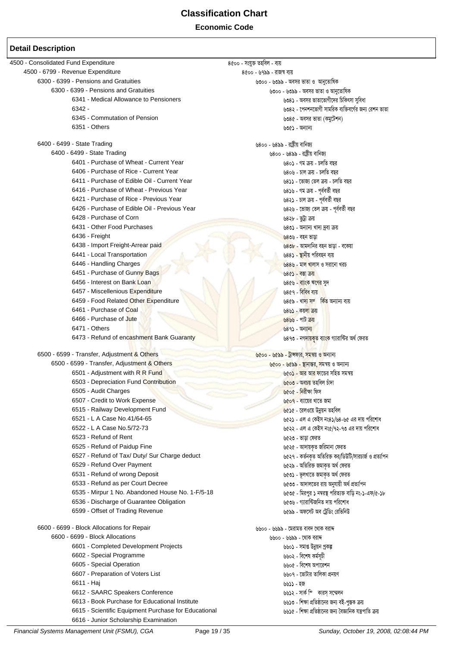**Economic Code**

| 4500 - Consolidated Fund Expenditure                 | ৪৫০০ - সংযুক্ত তহবিল - ব্যয়                                |
|------------------------------------------------------|-------------------------------------------------------------|
| 4500 - 6799 - Revenue Expenditure                    | ৪৫০০ - ৬৭৯৯ - রাজস্ব ব্যয়                                  |
| 6300 - 6399 - Pensions and Gratuities                | ৬৩০০ - ৬৩৯৯ - অবসর ভাতা ও  আনুতোষিক                         |
| 6300 - 6399 - Pensions and Gratuities                | ৬৩০০ - ৬৩৯৯ - অবসর ভাতা ও আনুতোষিক                          |
| 6341 - Medical Allowance to Pensioners               | ৬৩৪১ - অবসর ভাতাভোগীদের চিকিৎসা সুবিধা                      |
| $6342 -$                                             | ৬৩৪২ - পেনশনভোগী সামরিক ব্যক্তিবর্গের জন্য রেশন ভাতা        |
| 6345 - Commutation of Pension                        | ৬৩৪৫ - অবসর ভাতা (কমুটেশন)                                  |
| 6351 - Others                                        | ৬৩৫১ - অন্যান্য                                             |
| 6400 - 6499 - State Trading                          | ৬৪০০ - ৬৪৯৯ - রাষ্টীয় বানিজ্য                              |
| 6400 - 6499 - State Trading                          | ৬৪০০ - ৬৪৯৯ - রাষ্ট্রীয় বানিজ্য                            |
| 6401 - Purchase of Wheat - Current Year              | ৬৪০১ - গম ক্রয় - চলতি বছর                                  |
| 6406 - Purchase of Rice - Current Year               | ৬৪০৬ - চাল ক্ৰয় - চলতি বছর                                 |
| 6411 - Purchase of Edible Oil - Current Year         | ৬৪১১ - ভোজ্য তেল ক্রয় - চলতি বছর                           |
| 6416 - Purchase of Wheat - Previous Year             | ৬৪১৬ - গম ক্রয় - পূর্ববর্তী বছর                            |
| 6421 - Purchase of Rice - Previous Year              | ৬৪২১ - চাল ক্ৰয় - পূৰ্ববৰ্তী বছর                           |
| 6426 - Purchase of Edible Oil - Previous Year        | ৬৪২৬ - ভোজ্য তেল ক্ৰয় - পূৰ্ববৰ্তী বছর                     |
| 6428 - Purchase of Corn                              | ৬৪২৮ - ভুট্ৰা ক্ৰয়                                         |
| 6431 - Other Food Purchases                          | ৬৪৩১ - অন্যান্য খাদ্য দ্রব্য ক্রয়                          |
| 6436 - Freight                                       | ৬৪৩৬ - বহন ভাডা                                             |
| 6438 - Import Freight-Arrear paid                    | <mark>৬৪৩৮ - আমদানির বহন ভাড়া - বকেয়া</mark>              |
| 6441 - Local Transportation                          | ৬৪৪১ - স্থানীয় পরিবহন ব্যয়                                |
| 6446 - Handling Charges                              | ৬৪৪৬ - মাল খালাস ও সরানো খরচ                                |
| 6451 - Purchase of Gunny Bags                        | ৬৪৫১ - বস্তা ক্রয়                                          |
| 6456 - Interest on Bank Loan                         | ৬৪৫৬ - <mark>বা</mark> ্তক ঋণের সুদ                         |
| 6457 - Miscellenious Expenditure                     | ৬৪৫৭ - বিবিধ ব্যয়                                          |
| 6459 - Food Related Other Expenditure                | ৬৪৫৯ - খাদ্য সম্বিতি অন্যান্য ব্যয়                         |
| 6461 - Purchase of Coal                              | ৬৪৬১ - কয়লা ক্রয়                                          |
| 6466 - Purchase of Jute                              | <u>৬৪৬৬ - পাট ক্রয়</u>                                     |
| 6471 - Others                                        | $989$ - অন্যান্য                                            |
| 6473 - Refund of encashment Bank Guaranty            | ৬৪৭৩ - নগ <mark>দায়কৃত</mark> ব্যাংক গ্যারান্টির অর্থ ফেরত |
| 6500 - 6599 - Transfer, Adjustment & Others          | ৬৫০০ - ৬৫৯৯ - ট্রান্সফার, সমন্বয় ও অন্যান্য                |
| 6500 - 6599 - Transfer, Adjustment & Others          | ৬৫০০ - ৬৫৯৯ - স্থানান্তর, সমন্বয় ও অন্যান্য                |
| 6501 - Adjustment with R R Fund                      | ৬৫০ <mark>১ - আর আর ফা</mark> ন্ডের সহিত সমন্বয়            |
| 6503 - Depreciation Fund Contribution                | ৬৫০৩ - অবচয় তহবিল চাঁদা                                    |
| 6505 - Audit Charges                                 | ৬৫০৫ - নিরীক্ষা ফিস                                         |
| 6507 - Credit to Work Expense                        | ৬৫০৭ - ব্যায়ের খাতে জমা                                    |
| 6515 - Railway Development Fund                      | ৬৫১৫ - রেলওয়ে উন্নয়ন তহবিল                                |
| 6521 - L A Case No.41/64-65                          | ৬৫২১ - এল এ কেইস নং৪১/৬৪-৬৫ এর দায় পরিশোধ                  |
| 6522 - L A Case No.5/72-73                           | ৬৫২২ - এল এ কেইস নং৫/৭২-৭৩ এর দায় পরিশোধ                   |
| 6523 - Refund of Rent                                | ৬৫২৩ - ভাড়া ফেরত                                           |
| 6525 - Refund of Paidup Fine                         | ৬৫২৫ - আদায়কৃত জরিমানা ফেরত                                |
| 6527 - Refund of Tax/ Duty/ Sur Charge deduct        | ৬৫২৭ - কর্তনকৃত অতিরিক্ত কর/ডিউটি/সারচার্জ ও প্রত্যাপন      |
| 6529 - Refund Over Payment                           | ৬৫২৯ - অতিরিক্ত জমাকৃত অর্থ ফেরত                            |
| 6531 - Refund of wrong Deposit                       | ৬৫৩১ - ভূলখাতে জমাকৃত অৰ্থ ফেরত                             |
| 6533 - Refund as per Court Decree                    | ৬৫৩৩ - আদালতের রায় অনুযায়ী অর্থ প্রত্যাপন                 |
| 6535 - Mirpur 1 No. Abandoned House No. 1-F/5-18     | ৬৫৩৫ - মিরপুর ১ নম্বরস্থ পরিত্যক্ত বাড়ি নং-১-এফ/৫-১৮       |
| 6536 - Discharge of Guarantee Obligation             | ৬৫৩৬ - গ্যারান্টিজনিত দায় পরিশোধ                           |
| 6599 - Offset of Trading Revenue                     | ৬৫৯৯ - অফসেট অব ট্রেডিং রেভিনিউ                             |
| 6600 - 6699 - Block Allocations for Repair           | ৬৬০০ - ৬৬৯৯ - মেরামত বাবদ থোক বরাদ                          |
| 6600 - 6699 - Block Allocations                      | ৬৬০০ - ৬৬৯৯ - থোক বরাদ                                      |
| 6601 - Completed Development Projects                | ৬৬০১ - সমাপ্ত উন্নয়ন প্ৰকল্প                               |
| 6602 - Special Programme                             | ৬৬০২ - বিশেষ কৰ্মসূচী                                       |
| 6605 - Special Operation                             | ৬৬০৫ - বিশেষ অপারেশন                                        |
| 6607 - Preparation of Voters List                    | ৬৬০৭ - ভোটার তালিকা প্রনয়ণ                                 |
| 6611 - Haj                                           | ৬৬১১ - হজ                                                   |
| 6612 - SAARC Speakers Conference                     | ৬৬১২ - সার্ক স্পি কারস্ সম্মেলন                             |
| 6613 - Book Purchase for Educational Institute       | ৬৬১৩ - শিক্ষা প্রতিষ্ঠানের জন্য বই-পুস্তক ক্রয়             |
| 6615 - Scientific Equipment Purchase for Educational | ৬৬১৫ - শিক্ষা প্রতিষ্ঠানের জন্য বৈজ্ঞানিক যন্ত্রপাতি ক্রয়  |
| 6616 - Junior Scholarship Examination                |                                                             |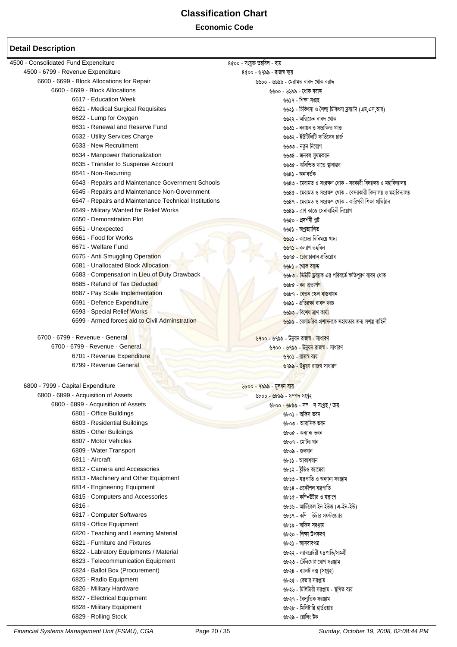#### **Economic Code**

| 4500 - Consolidated Fund Expenditure                  | ৪৫০০ - সংযুক্ত তহবিল - ব্যয়                                        |
|-------------------------------------------------------|---------------------------------------------------------------------|
| 4500 - 6799 - Revenue Expenditure                     | ৪৫০০ - ৬৭৯৯ - রাজস্ব ব্যয়                                          |
| 6600 - 6699 - Block Allocations for Repair            | ৬৬০০ - ৬৬৯৯ - মেরামত বাবদ থোক বরাদ                                  |
| 6600 - 6699 - Block Allocations                       | ৬৬০০ - ৬৬৯৯ - থোক বরাদ                                              |
| 6617 - Education Week                                 | ৬৬১৭ - শিক্ষা সপ্তাহ                                                |
| 6621 - Medical Surgical Requisites                    | ৬৬২১ - চিকিৎসা ও শৈল্য চিকিৎসা দ্রব্যাদি (এম,এস,আর)                 |
| 6622 - Lump for Oxygen                                | ৬৬২২ - অক্সিজেন বাবদ থোক                                            |
| 6631 - Renewal and Reserve Fund                       | ৬৬৩১ - নবায়ন ও সংরক্ষিত ফান্ড                                      |
| 6632 - Utility Services Charge                        | ৬৬৩২ - ইউটিলিটি সার্ভিসেস চার্জ                                     |
| 6633 - New Recruitment                                | ৬৬৩৩ - নতুন নিয়োগ                                                  |
| 6634 - Manpower Rationalization                       | ৬৬৩৪ - জনবল সুষমকরন                                                 |
| 6635 - Transfer to Suspense Account                   | ৬৬৩৫ - অনিশ্চিত খাতে স্থানান্তর                                     |
| 6641 - Non-Recurring                                  | ৬৬৪১ - অনাবৰ্তক                                                     |
| 6643 - Repairs and Maintenance Government Schools     | ৬৬৪৩ - মেরামত ও সংরক্ষণ থোক - সরকারী বিদ্যালয় ও মহাবিদ্যালয়       |
| 6645 - Repairs and Maintenance Non-Government         | ৬৬৪৫ - মেরামত ও সংরক্ষণ থোক - বেসরকারী বিদ্যালয় ও মহাবিদ্যালয়     |
| 6647 - Repairs and Maintenance Technical Institutions | ৬৬৪৭ - মেরামত ও সংরক্ষণ থোক - কারিগরী শিক্ষা প্রতিষ্ঠান             |
| 6649 - Military Wanted for Relief Works               | ৬৬৪৯ - ত্রাণ কাজে সেনাবাহিনী নিয়োগ                                 |
| 6650 - Demonstration Plot                             | ৬৬৫০ - প্ৰদৰ্শনী প্লট                                               |
|                                                       |                                                                     |
| 6651 - Unexpected                                     | ৬৬৫১ - অপ্ৰত্যাশিত                                                  |
| 6661 - Food for Works                                 | <mark>৬৬৬১ - কাজের বিনিময়ে খাদ্য</mark>                            |
| 6671 - Welfare Fund                                   | ৬ <mark>৬৭১ -</mark> কল্যাণ তহবিল                                   |
| 6675 - Anti Smuggling Operation                       | ৬৬৭৫ - <mark>চোরাচালান প্রতিরোধ</mark>                              |
| 6681 - Unallocated Block Allocation                   | ৬৬৮১ - থোক বরাদ                                                     |
| 6683 - Compensation in Lieu of Duty Drawback          | ৬৬৮৩ - ডিউটি <mark>ড্রব্যা</mark> ক এর পরিবর্তে ক্ষতিপূরণ বাবদ থোক  |
| 6685 - Refund of Tax Deducted                         | ৬৬৮৫ - কর প্রত্যপণ                                                  |
| 6687 - Pay Scale Implementation                       | ৬৬৮৭ - <mark>বেতন স্কেল বা</mark> স্তবায়ন                          |
| 6691 - Defence Expenditure                            | ৬৬৯১ - প্রতিরক্ষা বাব <mark>দ খ</mark> রচ                           |
| 6693 - Special Relief Works                           | ৬৬৯৩ - বিশেষ ত্রাণ কার্য্য                                          |
| 6699 - Armed forces aid to Civil Adminstration        | <mark>৬৬৯৯</mark> - বেসামরিক প্রশাসনকে সহায়তার জন্য সশস্ত্র বাহিনী |
|                                                       |                                                                     |
| 6700 - 6799 - Revenue - General                       | ৬৭০০ - ৬৭৯৯ - উন্নয়ন রাজস্ব - সাধারণ                               |
| 6700 - 6799 - Revenue - General                       | <u> ৬৭০০ - ৬৭৯৯ - উন্নয়ন রাজস্ব -</u> সাধারণ                       |
| 6701 - Revenue Expenditure                            | ৬৭০১ - রাজস্ব ব্যয়                                                 |
| 6799 - Revenue General                                | <mark>৬৭৯৯ - উন্নয়ণ রাজস্ব</mark> সাধারণ                           |
|                                                       |                                                                     |
| 6800 - 7999 - Capital Expenditure                     | ৬৮০০ - ৭৯৯৯ - মূলধন ব্যয়                                           |
| 6800 - 6899 - Acquisition of Assets                   | <u> ৬৮০০ - ৬৮৯৯ - সম্পদ সংগ্ৰহ</u>                                  |
| 6800 - 6899 - Acquisition of Assets                   | <u> ৬৮০০ - ৬৮৯৯ - সম্বাদ সংগ্ৰহ / ক্ৰয়</u>                         |
| 6801 - Office Buildings                               | ৬৮০১ - অফিস ভবন                                                     |
| 6803 - Residential Buildings                          | ৬৮০৩ - আবাসিক ভবন                                                   |
| 6805 - Other Buildings                                | ৬৮০৫ - অন্যান্য ভবন                                                 |
| 6807 - Motor Vehicles                                 | ৬৮০৭ - মোটর যান                                                     |
| 6809 - Water Transport                                | ৬৮০৯ - জলযান                                                        |
| 6811 - Aircraft                                       | ৬৮১১ - আকাশযান                                                      |
| 6812 - Camera and Accessories                         | ৬৮১২ - ষ্টুডিও ক্যামেরা                                             |
| 6813 - Machinery and Other Equipment                  | ৬৮১৩ - যন্ত্রপাতি ও অন্যান্য সরঞ্জাম                                |
| 6814 - Engineering Equipment                          | ৬৮১৪ - প্রকৌশল যন্ত্রপাতি                                           |
|                                                       |                                                                     |
| 6815 - Computers and Accessories                      | ৬৮১৫ - কম্ম্ভিটার ও যন্ত্রাংশ                                       |
| 6816 -                                                | ৬৮১৬ - আর্টিকেল ইন ইউজ (এ-ইন-ইউ)                                    |
| 6817 - Computer Softwares                             | ৬৮১৭ - কম্পি উটার সফটওয়্যার                                        |
| 6819 - Office Equipment                               | ৬৮১৯ - অফিস সরঞ্জাম                                                 |
| 6820 - Teaching and Learning Material                 | ৬৮২০ - শিক্ষা উপকরণ                                                 |
| 6821 - Furniture and Fixtures                         | ৬৮২১ - আসবাবপত্র                                                    |
| 6822 - Labratory Equipments / Material                | ৬৮২২ - ল্যাবরেটরী যন্ত্রপাতি/সামগ্রী                                |
| 6823 - Telecommunication Equipment                    | ৬৮২৩ - টেলিযোগাযোগ সরঞ্জাম                                          |
| 6824 - Ballot Box (Procurement)                       | ৬৮২৪ - ব্যালট বক্স (সংগ্ৰহ)                                         |
| 6825 - Radio Equipment                                | ৬৮২৫ - বেতার সরঞ্জাম                                                |
| 6826 - Military Hardware                              | ৬৮২৬ - মিলিটারী সরঞ্জাম - স্থগিত ব্যয়                              |
| 6827 - Electrical Equipment                           | ৬৮২৭ - বৈদ্যুতিক সরঞ্জাম                                            |
| 6828 - Military Equipment                             | ৬৮২৮ - মিলিটারি হার্ডওয়ার                                          |
| 6829 - Rolling Stock                                  | ৬৮২৯ - রোলিং ষ্টক                                                   |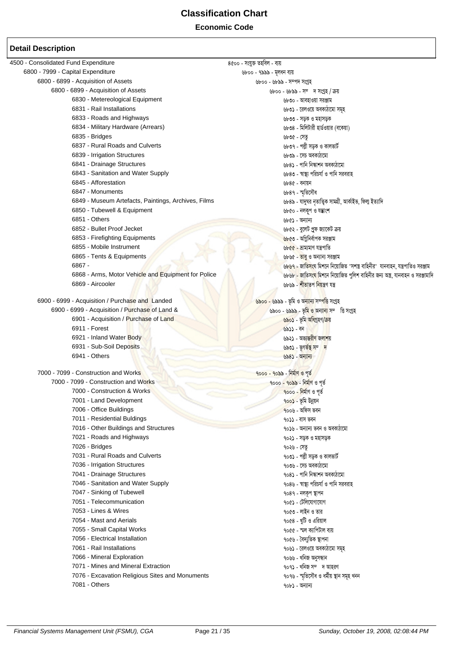#### **Economic Code**

| 4500 - Consolidated Fund Expenditure                | 8৫০০ - সংযুক্ত তহবিল - ব্যয়                                                  |
|-----------------------------------------------------|-------------------------------------------------------------------------------|
| 6800 - 7999 - Capital Expenditure                   | ৬৮০০ - ৭৯৯৯ - মূলধন ব্যয়                                                     |
| 6800 - 6899 - Acquisition of Assets                 | ৬৮০০ - ৬৮৯৯ - সম্পদ সংগ্ৰহ                                                    |
| 6800 - 6899 - Acquisition of Assets                 | ৬৮০০ - ৬৮৯৯ - সম্দে সংগ্ৰহ / ক্ৰয়                                            |
| 6830 - Metereological Equipment                     | ৬৮৩০ - আবহাওয়া সরঞ্জাম                                                       |
| 6831 - Rail Installations                           | ৬৮৩১ - রেলওয়ে অবকাঠামো সমূহ                                                  |
| 6833 - Roads and Highways                           | ৬৮৩৩ - সড়ক ও মহাসড়ক                                                         |
| 6834 - Military Hardware (Arrears)                  | ৬৮৩৪ - মিলিটারী হার্ডওয়ার (বকেয়া)                                           |
| 6835 - Bridges                                      | ৬৮৩৫ - সেতৃ                                                                   |
| 6837 - Rural Roads and Culverts                     | ৬৮৩৭ - পল্লী সড়ক ও কালভার্ট                                                  |
| 6839 - Irrigation Structures                        | ৬৮৩৯ - সেচ অবকাঠামো                                                           |
| 6841 - Drainage Structures                          | ৬৮৪১ - পানি নিস্কাশন অবকাঠামো                                                 |
| 6843 - Sanitation and Water Supply                  | ৬৮৪৩ - স্বাস্থ্য পরিচর্যা ও পানি সরবরাহ                                       |
| 6845 - Afforestation                                | ৬৮৪৫ - বনায়ন                                                                 |
| 6847 - Monuments                                    | ৬৮৪৭ - স্মৃতিসৌধ                                                              |
| 6849 - Museum Artefacts, Paintings, Archives, Films | ৬৮৪৯ - যাদুঘর নৃতাত্ত্বিক সামগ্রী, আর্কাইভ, ফিল্ম ইত্যাদি                     |
| 6850 - Tubewell & Equipment                         | ৬৮৫০ - নলকূপ ও যন্ত্ৰাংশ                                                      |
| 6851 - Others                                       | ৬৮৫১ - অন্যান্য                                                               |
| 6852 - Bullet Proof Jecket                          | ৬৮৫২ - বুলেট প্রুফ জ্যাকেট ক্রয়                                              |
| 6853 - Firefighting Equipments                      | <mark>৬৮৫৩ - অগ্নিনির্বাপক সরঞ্জাম</mark>                                     |
| 6855 - Mobile Instrument                            | ৬৮৫৫ - ভ্ৰাম্যমাণ যন্ত্ৰপাতি                                                  |
| 6865 - Tents & Equipments                           | ৬৮৬৫ - তাবু ও অন্যান্য সরঞ্জাম                                                |
| $6867 -$                                            | ৬৮৬৭ - জাতিসংঘ মিশনে নিয়োজিত "সশস্ত্র বাহিনীর" যানবাহন, যন্ত্রপাতিও সরঞ্জাম  |
| 6868 - Arms, Motor Vehicle and Equipment for Police | ৬৮৬৮ - জাতিসংঘ মিশনে নিয়োজিত পুলিশ বাহিনীর জন্য অস্ত্র, যানবাহন ও সরঞ্জামাদি |
| 6869 - Aircooler                                    | ৬৮৬৯ - শীতাতপ নিয়ন্ত্ৰণ যন্ত্ৰ                                               |
|                                                     |                                                                               |
| 6900 - 6999 - Acquisition / Purchase and Landed     | <u> ৬৯০০ - ৬৯৯৯ - ভূমি ও অন্যান্য সম্পত্তি সংগ্ৰহ</u>                         |
| 6900 - 6999 - Acquisition / Purchase of Land &      | ৬৯০০ - ৬৯৯৯ - ভূমি <mark>ও অন্যান্য</mark> সম্ভি সংগ্ৰহ                       |
| 6901 - Acquisition / Purchase of Land               | <mark>৬৯০১</mark> - ভূমি অধিগ্ৰহণ/ক্ৰয়                                       |
| 6911 - Forest                                       | ৬৯১১ - বন                                                                     |
| 6921 - Inland Water Body                            | ৬৯২১ - অভ্যন্তরী <mark>ণ জলাশ</mark> য়                                       |
| 6931 - Sub-Soil Deposits                            | <u>৬৯৩১ - ভূগভঁস্থ সম্দ</u>                                                   |
| 6941 - Others                                       | ৬৯৪১ - অন্যান্য                                                               |
| 7000 - 7099 - Construction and Works                | <u> ৭০০০ - ৭০৯৯ - নিৰ্মাণ ও পূৰ্ত</u>                                         |
| 7000 - 7099 - Construction and Works                | <u> ৭০০০ - ৭০৯৯ - নিৰ্মাণ ও পূৰ্ত</u>                                         |
| 7000 - Construction & Works                         | <u> ৭০০০ - নিৰ্মাণ ও পূৰ্ত</u>                                                |
| 7001 - Land Development                             | <u>৭০০১ - ভূমি উন্নয়ন</u>                                                    |
| 7006 - Office Buildings                             | $900$ ৬ - অফিস ভবন                                                            |
| 7011 - Residential Buldings                         | ৭০১১ - বাস ভবন                                                                |
| 7016 - Other Buildings and Structures               | ৭০১৬ - অন্যান্য ভবন ও অবকাঠামো                                                |
| 7021 - Roads and Highways                           | ৭০২১ - সড়ক ও মহাসড়ক                                                         |
| 7026 - Bridges                                      | ৭০২৬ - সেতু                                                                   |
| 7031 - Rural Roads and Culverts                     | ৭০৩১ - পল্লী সড়ক ও কালভার্ট                                                  |
| 7036 - Irrigation Structures                        | ৭০৩৬ - সেচ অবকাঠামো                                                           |
| 7041 - Drainage Structures                          | ৭০৪১ - পানি নিস্কাশন অবকাঠামো                                                 |
| 7046 - Sanitation and Water Supply                  | ৭০৪৬ - স্বাস্থ্য পরিচর্যা ও পানি সরবরাহ                                       |
| 7047 - Sinking of Tubewell                          | ৭০৪৭ - নলকূপ স্থাপন                                                           |
| 7051 - Telecommunication                            | ৭০৫১ - টেলিযোগাযোগ                                                            |
| 7053 - Lines & Wires                                | ৭০৫৩ - লাইন ও তার                                                             |
| 7054 - Mast and Aerials                             | ৭০৫৪ - খুটি ও এরিয়াল                                                         |
| 7055 - Small Capital Works                          | ৭০৫৫ - স্মল ক্যাপিটাল ব্যয়                                                   |
| 7056 - Electrical Installation                      | ৭০৫৬ - বৈদ্যুতিক স্থাপনা                                                      |
| 7061 - Rail Installations                           | ৭০৬১ - রেলওয়ে অবকাঠামো সমূহ                                                  |
| 7066 - Mineral Exploration                          | ৭০৬৬ - খনিজ অনুসন্ধান                                                         |
| 7071 - Mines and Mineral Extraction                 | ৭০৭১ - খনিজ সম্দ আহরণ                                                         |
| 7076 - Excavation Religious Sites and Monuments     | ৭০৭৬ - স্মৃতিসৌধ ও ধৰ্মীয় স্থান সমূহ খনন                                     |
| 7081 - Others                                       | ৭০৮১ - অন্যান্য                                                               |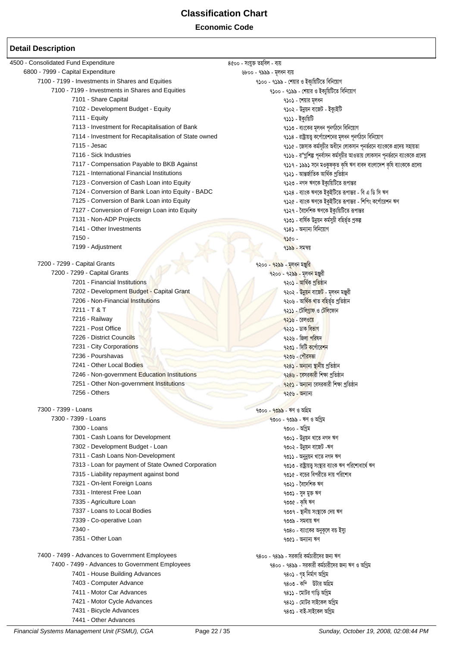#### **Economic Code**

| 4500 - Consolidated Fund Expenditure                  | ৪৫০০ - সংযুক্ত তহবিল - ব্যয়                                                   |
|-------------------------------------------------------|--------------------------------------------------------------------------------|
| 6800 - 7999 - Capital Expenditure                     | ৬৮০০ - ৭৯৯৯ - মূলধন ব্যয়                                                      |
| 7100 - 7199 - Investments in Shares and Equities      | ৭১০০ - ৭১৯৯ - শেয়ার ও ইক্যুয়িটিতে বিনিয়োগ                                   |
| 7100 - 7199 - Investments in Shares and Equities      | ৭১০০ - ৭১৯৯ - শেয়ার ও ইক্যুয়িটিতে বিনিয়োগ                                   |
| 7101 - Share Capital                                  | ৭১০১ - শেয়ার মূলধন                                                            |
| 7102 - Development Budget - Equity                    | ৭১০২ - উন্নয়ন বাজেট - ইক্যুইটি                                                |
| 7111 - Equity                                         | ৭১১১ - ইক্যুয়িটি                                                              |
| 7113 - Investment for Recapitalisation of Bank        | ৭১১৩ - ব্যংকের মূলধন পূনর্গঠনে বিনিয়োগ                                        |
| 7114 - Investment for Recapitalisation of State owned | ৭১১৪ - রাষ্ট্রায়ত্ত্ব কর্পোরেশনের মূলধন পূনর্গঠনে বিনিয়োগ                    |
| 7115 - Jesac                                          | ৭১১৫ - জেসাক কর্মসূচীর অধীনে লোকসান পূনর্ভরনে ব্যাংককে প্রদেয় সহায়তা         |
| 7116 - Sick Industries                                | ৭১১৬ - র"গ্লশিল্প পূনর্বাসন কর্মসূচীর আওতায় লোকসান পূনর্ভরনে ব্যাংককে প্রদেয় |
| 7117 - Compensation Payable to BKB Against            | ৭১১৭ - ১৯৯১ সনে মওকুফকৃত কৃষি ঋণ বাবদ বাংলাদেশ কৃষি ব্যাংককে প্রদেয়           |
| 7121 - International Financial Institutions           | ৭১২১ - আন্তৰ্জাতিক আৰ্থিক প্ৰতিষ্ঠান                                           |
| 7123 - Conversion of Cash Loan into Equity            | ৭১২৩ - নগদ ঋণকে ইক্যুয়িটিতে রূপান্তর                                          |
| 7124 - Conversion of Bank Loan into Equity - BADC     | ৭১২৪ - ব্যাংক ঋণকে ইকুইটিতে রূপান্তর - বি এ ডি সি ঋণ                           |
| 7125 - Conversion of Bank Loan into Equity            | ৭১২৫ - ব্যাংক ঋণকে ইকুইটিতে রূপান্তর - শিপিং কর্পোরেশন ঋণ                      |
| 7127 - Conversion of Foreign Loan into Equity         | ৭১২৭ - বৈদেশিক ঋণকে ইক্যুয়িটিতে রূপান্তর                                      |
| 7131 - Non-ADP Projects                               | ৭১৩১ - বাৰ্ষিক উন্নয়ন কৰ্মসুচী বহিৰ্ভূত প্ৰকল্প                               |
| 7141 - Other Investments                              | ৭১৪১ - অন্যান্য বিনিয়োগ                                                       |
| $7150 -$                                              | 9380-                                                                          |
| 7199 - Adjustment                                     | ৭ <b>১৯৯ - সম</b> ন্বয়                                                        |
|                                                       |                                                                                |
| 7200 - 7299 - Capital Grants                          | ৭২০০ - ৭২৯৯ - মূলধন মঞ্জুরি                                                    |
| 7200 - 7299 - Capital Grants                          | ৭২০০ - ৭২৯৯ - মূলধ <mark>ন মঞ্জু</mark> রী                                     |
| 7201 - Financial Institutions                         | ৭২০১ - আৰ্থিক প্ৰতিষ্ঠান                                                       |
| 7202 - Development Budget - Capital Grant             | ৭২০২ - উ <mark>ন্নয়ন</mark> বাজে <mark>ট</mark> - মূলধন মঞ্জুরী               |
| 7206 - Non-Financial Institutions                     | ৭২০৬ - আৰ্থি <mark>ক খাত বহি</mark> ৰ্ভূত প্ৰতিষ্ঠান                           |
| 7211 - T & T                                          | ৭২১১ - টেলি <u>গ্ৰাফ</u> ও টেলিফোন                                             |
| 7216 - Railway                                        | $9256 - 69967$                                                                 |
| 7221 - Post Office                                    | ৭২২১ - ডাক বিভাগ                                                               |
| 7226 - District Councils                              | ৭২২৬ - জিলা পরিষদ                                                              |
| 7231 - City Corporations                              | ৭২৩১ - সিটি কর্পোরেশন                                                          |
| 7236 - Pourshavas                                     | ৭২৩৬ - পৌরসভা                                                                  |
| 7241 - Other Local Bodies                             | <mark>৭২৪১ - অন্যান্য স্থানী</mark> য় প্ৰতিষ্ঠান                              |
| 7246 - Non-government Education Institutions          | ৭২৪৬ - বেসরকারী শিক্ষা প্রতিষ্ঠান                                              |
| 7251 - Other Non-government Institutions              | ৭২৫১ - অন্যান্য বেসরকারী শিক্ষা প্রতিষ্ঠান                                     |
| 7256 - Others                                         | $9266 -$ অন্যান্য                                                              |
|                                                       |                                                                                |
| 7300 - 7399 - Loans                                   | <u> ৭৩০০ - ৭৩৯৯ - ঋণ ও অগ্রিম</u>                                              |
| 7300 - 7399 - Loans                                   | <u> ৭৩০০ - ৭৩৯৯ - ঋণ ও অগ্রিম</u>                                              |
| 7300 - Loans                                          | ৭৩০০ - অগ্রিম                                                                  |
| 7301 - Cash Loans for Development                     | ৭৩০১ - উন্নয়ন খাতে নগদ ঋণ                                                     |
| 7302 - Development Budget - Loan                      | ৭৩০২ - উন্নয়ন বাজেট -ঋণ                                                       |
| 7311 - Cash Loans Non-Development                     | ৭৩১১ - অনুন্নয়ন খাতে নগদ ঋণ                                                   |
| 7313 - Loan for payment of State Owned Corporation    | ৭৩১৩ - রাষ্ট্রায়ত্ত্ব সংস্থার ব্যাংক ঋণ পরিশোধার্থে ঋণ                        |
| 7315 - Liability repayment against bond               | ৭৩১৫ - বন্ডের বিপরীতে দায় পরিশোধ                                              |
| 7321 - On-lent Foreign Loans                          | ৭৩২১ - বৈদেশিক ঋণ                                                              |
| 7331 - Interest Free Loan                             | ৭৩৩১ - সুদ মুক্ত ঋণ                                                            |
| 7335 - Agriculture Loan                               | ৭৩৩৫ - কৃষি ঋণ                                                                 |
| 7337 - Loans to Local Bodies                          | ৭৩৩৭ - স্থানীয় সংস্থাকে দেয় ঋণ                                               |
| 7339 - Co-operative Loan                              | ৭৩৩৯ - সমবায় ঋণ                                                               |
| 7340 -                                                | ৭৩৪০ - ব্যাংকের অনুকূলে বন্ড ইস্যু                                             |
| 7351 - Other Loan                                     | ৭৩৫১ - অন্যান্য ঋণ                                                             |
|                                                       |                                                                                |
| 7400 - 7499 - Advances to Government Employees        | ৭৪০০ - ৭৪৯৯ - সরকারি কর্মচারীদের জন্য ঋণ                                       |
| 7400 - 7499 - Advances to Government Employees        | ৭৪০০ - ৭৪৯৯ - সরকারী কর্মচারীদের জন্য ঋণ ও অগ্রিম                              |
| 7401 - House Building Advances                        | ৭৪০১ - গৃহ নিৰ্মাণ অগ্ৰিম                                                      |
| 7403 - Computer Advance                               | ৭৪০৩ - কম্টটার অগ্রিম                                                          |
| 7411 - Motor Car Advances                             | ৭৪১১ - মোটর গাড়ি অগ্রিম                                                       |
| 7421 - Motor Cycle Advances                           | ৭৪২১ - মোটর সাইকেল অগ্রিম                                                      |
| 7431 - Bicycle Advances                               | ৭৪৩১ - বাই-সাইকেল অগ্রিম                                                       |
| 7441 - Other Advances                                 |                                                                                |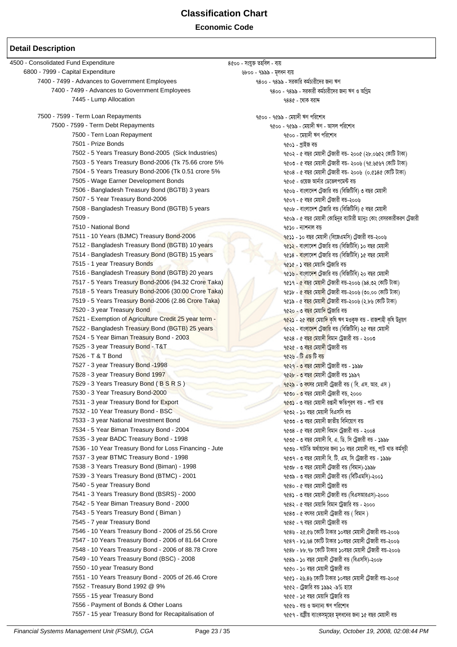**Economic Code**

#### **Detail Description**

4500 - Consolidated Fund Expenditure  $\frac{8\ell}{10}$  - সংযুক্ত তহবিল - ব্যয় 6800 - 7999 - Capital Expenditure *6800 - 1888 - মূলধন* ব্যয় 7400 - 7499 - Advances to Government Employees 7400 - 7499 - miKvwi Kg©Pvix‡`i Rb¨ FY 7400 - 7499 - Advances to Government Employees 7445 - Lump Allocation বিভিন্ন কৰে কৰা হৈছিল। ১৯৭১ চনত ১৯৭১ চনত ১৯৪৫ - খেকি বরাদ 7500 - 7599 - Term Loan Repayments 7500 - 7599 - †gqv`x FY cwi‡kva 9৫০০ - ৭৫৯৯ - মেয়াদী ঋণ - আসল পরিশোধ 7500 - Tern Loan Repayment বিষয়ে সামৰ বিষয়ে কৰা হৈছিল। স্থানী কাম প্ৰতিত কামী কৰি পৰিশোধ 7501 - Prize Bonds স্থানীয় স্থানীয় স্থানীয় স্থানীয় স্থানীয় স্থানীয় স্থানীয় স্থানীয় স্থানীয় স্থানীয় স 7502 - 5 Years Treasury Bond-2005 (Sick Industries) ৭৫০২ - ৫ বছর মেয়াদী টেজারী বন্ড- ২০০৫ (২৮.০৬৫২ কোটি টাকা) 7503 - 5 Years Treasury Bond-2006 (Tk 75.66 crore 5% 7503 × 5 equal + 6 equal to fax + 5 equal to 10. 6567 ) ( 7504 - 5 Years Treasury Bond-2006 (Tk 0.51 crore 5% সামার্ক কেন্দ্র হেবেই নেক্ট নেয়াদী টেজারী বড- ২০০৬ (০.৫১৪৫ কোটি টাকা) 7505 - Wage Earner Development Bonds 7505 - I‡qR Avb©vi †W‡fjc‡g›U eÛ 7506 - Bangladesh Treasury Bond (BGTB) 3 years 7507 - 5 Year Treasury Bond-2006 7507 - 5 eQi †gqv`x †U«Rvix eÛ-2006 7508 - Bangladesh Treasury Bond (BGTB) 5 years 7508 - কার্ড কেন্ট কর্ম হাইলিটার (বিজিটিবি) ৫ বছর মেয়াদী  $7509$  -  $\alpha$  by the state of the state of the minimum of the minimum of the minimum of the minimum of the minimum of the minimum of the minimum of the minimum of the minimum of the minimum of the minimum of the minimum  $\frac{1}{2}$  - Distributional Bond 1510 - b¨vkbv eे b¨vkbv eे b¨vkbv eे b¨vkbv eे b¨vkbv eे b¨vkbvi eÑ 7511 - 10 Years (BJMC) Treasury Bond-2006  $\overline{\phantom{a}}$  (ex) - ১০ বছর মেয়াদী (বিজেএমসি) টেজারী বত-২০০৬ 7512 - Bangladesh Treasury Bond (BGTB) 10 years স্থানী স্থানী স্থানী স্থানী স্থানী স্থানী স্থানী স্থানী স্থানী<br>7514 - Bangladesh Treasury Bond (BGTB) 15 years স্থানী স্থানী স্থানী স্থানী স্থানী স্থানী স্থানী স্থানী স্থান 7514 - Bangladesh Treasury Bond (BGTB) 15 years 7515 - 1 year Treasury Bonds স্থানী স্থানী স্থানী স্থানী স্থানী স্থানী স্থানী স্থানী স্থানী স্থানী স্থানী স্থা 7516 - Bangladesh Treasury Bond (BGTB) 20 years 7516 - প্রাক্ট কেলেক্ট কেন্দ্র দেখা দিলে কেন্দ্র দেখা হয়। স্ট 7517 - 5 Years Treasury Bond-2006 (94.32 Crore Taka) (বিষ্ণা কর্ম নাও প্রাণ্ড) ৭৫১৭ - ৫ বছর মেয়াদী টেজারী বড-২০০৬ (১৪.৩২ কোটি টাকা) 7518 - 5 Years Treasury Bond-2006 (30.00 Crore Taka)  $\frac{1}{2}$  বং $\frac{1}{2}$  ৭৫১৮ - ৫ বছর মেয়াদী টেজারী বঙ্গ-১০৬ (৩০.০০ কোটি টাকা) 7519 - 5 Years Treasury Bond-2006 (2.86 Crore Taka) বিষয়া স্বাৰ্থ কেন্দ্ৰৰ মেয়াৰী টেজায়ী বক্ত-২০০৬ (২.৮৬ কোটি টাকা) 7520 - 3 year Treasury Bond and a second the second technology of the second and a second for a second for the<br>7521 - Exemption of Agriculture Credit 25 year term - The Second Credit and a second technology of the second <mark>৭৫২১</mark> - ২৫ ব<mark>ছর</mark> মেয়াদি কৃষি ঋণ মওকুফ বন্ত - রাজশাহী কৃষি উন্নয়ণ<br>৭৫২২ - বাংলাদেশ টেজারি বন্ড (বিজিটিবি) ২৫ বছর মেয়াদী 7522 - Bangladesh Treasury Bond (BGTB) 25 years 7524 - 5 Year Biman Treasury Bond - 2003 বিষয়ে এক প্রাণ করে ১০০৩ বিষয়ে করে বিষয়ে করে বিষয়ে এক প্রাণ করে ১ 7525 - 3 year Treasury Bond - T&T 7525 - 3 eQi †gqv`x ‡UªRvix eÛ 7526 - T & T Bond 7527 - 3 year Treasury Bond -1998 সালে সাক্ষরতার সাক্ষরতার সাক্ষরতার করে নারা করে নারা করে নারা করে। ১৯৯৮ 7528 - 3 year Treasury Bond 1997 7528 - 3 eQi †gqv`x †UªRvix eÛ 1997 7529 - 3 Years Treasury Bond ( B S R S ) সাহিত্য সাহিত্য সাহিত্য সাহিত্য সাহিত্য কৰে বিয়োগী ট্ৰেজাৱী বহু ( বি. এস. আর. এস )<br>7530 - 3 Year Treasury Bond-2000 <mark>৭৫৩০ - ৩ ব</mark>ছর মেয়াদী ট্রেজারী বন্ত, ২০০০ 7531 - 3 year Treasury Bond for Export 1 2002 - 2 বছৰ মেয়াদী রঞ্জানী ক্ষতিপূর্ণ বড়- পটি খাত  $7532$  - 10 Year Treasury Bond - BSC 7532 - 10 বছর মেয়াদী বিএসসি বড 7533 - 3 year National Investment Bond (স্ত্রান্ট ক্রিয়েগ ফুর আর্থানী জাতীয় বিনিয়োগ বড় 7534 - 5 Year Biman Treasury Bond - 2004 সালে সাক্ষরতার সাক্ষরতার হার কেন্দ্র কেন্দ্র কেন্দ্র কেন্দ্র করে। সেও 7535 - 3 year BADC Treasury Bond - 1998 সালে সালে সালে সেন্ট ব্যক্ত । এক এক এক এক এক এক এক এক এক এক এক এক এক 7536 - 10 Year Treasury Bond for Loss Financing - Jute 7536 - NvUwZ A\_©vq‡bi Rb¨ 10 eQi †gqv`x eÛ, cvU LvZ Kg©mPx ৭৫৩৭ - ৩ বছর মেয়াদী বি. টি. এম. সি ট্রেজারী বন্ড - ১৯৯৮ 7538 - 3 Years Treasury Bond (Biman) - 1998 সালে সালে সালে প্রাথম । একাজ কর্ম কর্মী টেজারী বঙ (বিমান)-১৯৯৮ 7539 - 3 Years Treasury Bond (BTMC) - 2001 7539 - 3 eQi †gqv`x †U«Rvix eÛ (wewUGgwm)-2001 7540 - 5 year Treasury Bond 7540 - 5 eQi †gqv`x ‡UªRvix eÛ ৭৫৪১ - ৩ বছর মেয়াদী ট্রেজারী বন্ত (বিএসআরএস)-২০০০ 7542 - 5 Year Biman Treasury Bond - 2000 সালে সালে সালে সেয়ে সেয়ে কেন্দ্র কায়াদি বিমান ট্রেজারি বঙ - ২০০০ 7543 - 5 Years Treasury Bond ( Biman ) স্থান স্থান স্থান স্থান । স্থান স্থান স্থান ক্ষেত্ৰ ক্ষেত্ৰ ক্ষেত্ৰ ক্ষেত্ৰ ক্ষেত্ৰ ক্ষেত্ৰ ক্ষেত্ৰ ক্ষেত্ৰ ক্ষেত্ৰ ক্ষেত্ৰ ক্ষেত্ৰ ক্ষেত্ৰ ক্ষেত্ৰ ক্ষেত্ৰ ক্ষেত্ৰ ক্ষেত্ৰ ক্ষেত্ৰ ক্ 7545 - 7 year Treasury Bond সাহায্য কৰা হৈছে স্থানীয় আৰু স্থাপন কৰি আৰু স্থাপন কৰি আৰু স্থাপন কৰি আৰু স্থাপন  $7546$  - 10 Years Treasury Bond - 2006 of 25.56 Crore  $\frac{1}{36}$  are  $\frac{1}{36}$   $\frac{1}{36}$  কিন্তু কাটি টাকার ১০বছর মেয়াদী টেজারী বড-২০০৬ 7547 - 10 Years Treasury Bond - 2006 of 81.64 Crore 7547 - 81.64 ‡KvwU UvKvi 10eQi †gqv`x †U«Rvix eÛ-2006 7548 - 10 Years Treasury Bond - 2006 of 88.78 Crore 7548 - 88.78 ‡KvwU UvKvi 10eQi †gqv`x †U«Rvix eÛ-2006 7549 - 10 Years Treasury Bond (BSC) - 2008 7550 - 10 year Treasury Bond স্থাপন বিষয়ে কাম স্থাপন কৰে বিষয়ে হৈছিল। স্থাপন কৰে প্ৰয়োগী ট্ৰেজী বড 7551 - 10 Years Treasury Bond - 2005 of 26.46 Crore সামৰ বিষয়ে কেন্দ্ৰৰ সংগ্ৰহ কৰা প্ৰেক্টে টাকাৰ ১০ৰছৰ মেয়াদী টেজাৰী বঙ-২০০৫ 7552 - Treasury Bond 1992 @ 9% 7552 - ইতিমধ্যে করা হয়ে । স্পর্কের করা হয়ে । স্পর্কের করা হয়ে । স্পর্কের করা 7555 - 15 year Treasury Bond স্থাপন কৰা হৈছিল কৰা হৈছিল। স্থাপন কৰা হৈছিল কৰা হৈছিল কৰা হৈছিল। স্থাপন কৰা হৈছি 7556 - Payment of Bonds & Other Loans (2008) 2008 2014 12:356 - कुछ उ बनाना अर्थ भवित्याथ 7557 - 15 year Treasury Bond for Recapitalisation of 7557 - 1557 - 15 equation of the Page (ময়াদী বড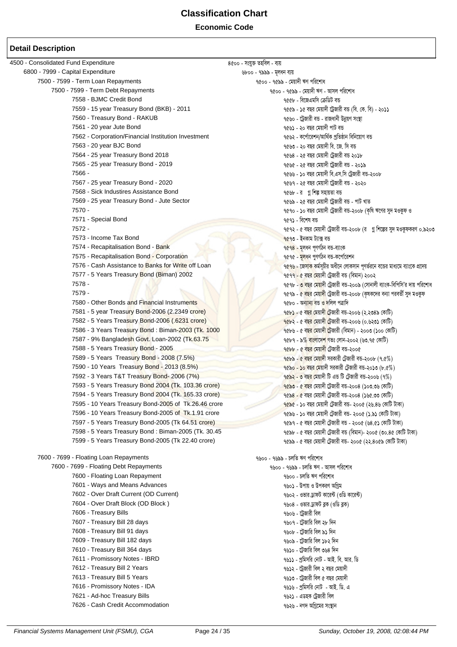**Economic Code**

#### **Detail Description**

 $4500$  - Consolidated Fund Expenditure  $8000 - 8000 - 8000$  - সংযুক্ত তহৰিল - ব্যয় 6800 - 7999 - Capital Expenditure *6800 - 1888 - মূলধন* ব্যয় 7500 - 7599 - Term Loan Repayments *Property and the series of a series* and the series of a series of a series of  $\alpha$  $7500$  -  $7599$  - Term Debt Repayments  $7500$  -  $96$ ৯ - মেয়াদী ঋণ - আসল পরিশোধ - সামের সামের সামের সামের সামের সামের সামের সামের সামের সামের সামের সামের সামের সামের সামের সামের সামের সামের সামের সামের সামের সামের সামের <u>৭৫৫৮ - বিজেএমসি ক্ৰেডিট বন্</u>ত 7559 - 15 year Treasury Bond (BKB) - 2011 - সাম সামাজিক বিষয়ে কাৰ্য হৈ বছৰ মেয়াদী ট্ৰেজাৱী বঙ (বি. কে. বি) - ২০১১  $7560$  - Treasury Bond - RAKUB  $\frac{1}{2}$  -  $\frac{1}{2}$  স্কুল সংগ্ৰামী বিভিন্ন কৰি আছিল কৰি আছিল। কিন্তু আছিল কাৰ্যালয়ৰ সংস্থা 7561 - 20 year Jute Bond স্থানী স্থানী স্থানী স্থানী স্থানী স্থানী স্থানী স্থানী স্থানী স্থানী স্থানী স্থানী স 7562 - Corporation/Financial Institution Investment 7562 - K‡c©v‡ikb/Avw\_©K cªwZôvb wewb‡qvM eÛ ৭৫৬৩ - ২০ বছর মেয়াদী বি. জে. সি বন্ত 7564 - 25 year Treasury Bond 2018 7564 - 25 eQi †gqv`x †UªRvix eÛ 2018 7565 - 25 year Treasury Bond - 2019<br>7566 -৭৫৬৬ - **১**০ বছর মেয়াদী বি.এস.সি ট্রেজারী বন্ত-২০০৮  $7567$  - 25 year Treasury Bond - 2020  $\frac{1}{20}$  and  $\frac{1}{20}$  and  $\frac{1}{20}$  and  $\frac{1}{20}$  and  $\frac{1}{20}$  and  $\frac{1}{20}$  and  $\frac{1}{20}$  and  $\frac{1}{20}$  and  $\frac{1}{20}$  and  $\frac{1}{20}$  and  $\frac{1}{20}$  and  $\frac{1}{20}$  and  $\$ 7568 - Sick Industires Assistance Bond স্থাপন কৰা আৰু স্থাপন কৰা হৈছিল। স্থাপন কৰা প্ৰথম কৰা প্ৰতিষ্ঠা কৰা স্থ 7569 - 25 year Treasury Bond - Jute Sector 7569 - 25 eQi †gqv`x ‡UªRvix eÛ - cvU LvZ 9৫৭০ - ১০ বছর মেয়াদী ট্রেজারী বন্ত-২০০৮ (কৃষি ঋণের সুদ মওকুফ ও 7571 - Special Bond স্থাপন কৰা আৰু স্থাপন কৰা আৰু স্থাপন কৰিবলৈ স্থাপন কৰিছে। স্থাপন কৰা আৰু স্থাপন কৰা আৰু স্ 7572 - 5 eQi † 1990 - 5 eQi †gava †gava †gava †gava †gava †gava †gava †gava †gava †gava †gava †gava †gava †gava †g 7573 - Income Tax Bond থাকা স্থানীয় বড় কৰে আৰু স্থানীয় বড় 7574 - Recapitalisation Bond - Bank সাথায়। সাথায় বিধেয়ক বিধেয়ক বিধেয়ক বিধেয়ক বিধেয়ক বিধেয়ক বিধেয়ক বিধ 7575 - Recapitalisation Bond - Corporation 7575 - βρίσκεψα της Αγγίας της Αγγίας της Αγγίας της Αγγίας της Αγγ<br>7576 - Cash Assistance to Banks for Write off Loan <mark>৭৫৭৬ - জেসাক</mark> কর্মসচীর অধীনে লোকসান পণর্ভরনে বন্ডের মাধ্যমে ব্যাংকে প্রদেয় 7577 - 5 Years Treasury Bond (Biman) 2002 2003 - বিশ্বে দেখা বিশ্বে । এক প্রথম শেষ দেখা বিষয়ে । ১০০২ 7578 - 3 eQuentity en and the state of the state of the state of the state of the state of the state of the state of the state of the state of the state of the state of the state of the state of the state of the state o 7579 - 7579 - সামৰ বাবে শিক্ষা কৰি আৰু সামৰ বাবে শিক্ষা কৰি আৰু সামৰ বাবে শিক্ষা কৰি আৰু সামৰ বাবে শিক্ষা কৰি আ 7580 - Other Bonds and Financial Instruments 1980 - কেন্দ্র সংগঠনত কর্ণা কর্ণা কর্ণা কর্ণা কর্ণা কর্ণা কর্ণা ক 7581 - 5 year Treasury Bond-2006 (2.2349 crore) সাধীন স্থাপন স্থাপন স্থাপন করা হৈছে মেয়াদী ট্রজারী বড-২০০৬ (২.২৩৪৯ কোটি) 7582 - 5 Years Treasury Bond-2006 (.6231 crore) সাহিত্য সাহায্য কৰে বিষয়ে কৰা নাই কৰা নাই কৰা নাই কৰা নাই কৰা 7586 - 3 Years Treasury Bond : Biman-2003 (Tk. 1000 7686 - 6 বছর মেয়াদী টেজারী (বিমান) - ২০০৩ (১০০ কোটি) 7587 - 9% Bangladesh Govt. Loan-2002 (Tk.63.75 7587 - 9% evsjv‡`k Mft †jvb-2002 (63.75 †KvwU) 7588 - 5 Years Treasury Bond - 2005 7588 - 5 eQi †gqv`x †U«Rvix eÛ-2005 7589 - 5 Years Treasury Bond - 2008 (7.5%) 7589 - 5 eQi †gqv`x miKvix †U«Rvix eÛ-2008 (7.5%)  $\frac{96}{80}$  -  $\frac{1}{20}$  বছর মেয়াদী সরকারী ট্রেজারী বন্ড-২০১৩ (৮.৫%) 7592 - 3 Years T&T Treasury Bond- 2006 (7%) যে সাহিত্য কৰা হৈছে। সেই স্বাস্থ্য প্ৰকাশ কৰা হৈছে বিষয়াৰী টি এন্ড টি টেজায়ী বহু-২০০৬ (৭%) 7593 - 5 Years Treasury Bond 2004 (Tk. 103.36 crore) 2008 সংখ্যা কর্মক ১৯৯৩ - ৫ বছর মেয়াদী টেজারী বড-২০০৪ (১০৩.৩৬ কোটি) 7594 - 5 Years Treasury Bond 2004 (Tk. 165.33 crore) 2004 - 1 বং ১৯৪ - ৫ বছর মেয়াদী টেজারী বড-২০০৪ (১৬৫.৩৩ কোটি) 7595 - 10 Years Treasury Bond-2005 of Tk.26.46 crore  $q_8$ ৰ (১৯৪৬ - ১০ বছর মেয়াদী টেজারী বড- ২০০৫ (২৬.৪৬ কোটি টাকা) 7596 - 10 Years Treasury Bond-2005 of Tk.1.91 crore  $\frac{1}{\sqrt{2}}$  ৭৫৯৬ - ১০ বছর মেয়াদী টেজারী বড- ২০০৫ (১.৯১ কোটি টাকা) 7597 - 5 Years Treasury Bond-2005 (Tk 64.51 crore) 7597 - 5 eQi †gqv`x †U«Rvix eÛ - 2005 (64.51 †KvwU UvKv) 7598 - 5 Years Treasury Bond : Biman-2005 (Tk. 30.45 7598 - 5 eQi †gqv`x †U«Rvix eÛ (wegvb)- 2005 (30.45 †KvwU UvKv) ৭৫৯৯ - ৫ বছর মেয়াদী ট্রেজারী বন্ড- ২০০৫ (২২.৪০৫৯ কোটি টাকা) 7600 - 7699 - Floating Loan Repayments *Property and the series of the series* and the series of the series of th 7600 - 7699 - Floating Debt Repayments স্থানী স্থান কৰা স্থান কৰা স্থান কৰিব প্ৰথম কৰা স্থান কৰি বিশোধ 7600 - Floating Loan Repayment Maria Andrea Physics and Albert Andrea Physics and Albert Andrea Physics and A 7601 - Ways and Means Advances বিষয়ে স্থান কৰা হৈছে। স্থান কথা স্থান কৰিবলৈ স্থান কৰিবলৈ স্থান কৰি স্থান কৰি 7602 - Over Draft Current (OD Current) স্বাধীন বিষয়ে স্বাধীন স্বাধীন স্বাধীন কৰিব প্ৰতি কৰিব পৰিয়ালী (বুলি কাৰেন) 7604 - Over Draft Block (OD Block ) 7604 - Ifvi W«vdU e−K (IwW e−K) 7606 - Treasury Bills 7607 - Treasury Bill 28 days স্থানীয় স্থানীয় স্থানীয় স্থানীয় স্থানীয় স্থানীয় স্থানীয় স্থানীয় স্থানীয় 7608 - Treasury Bill 91 days স্থান স্থান স্থান স্থান স্থান স্থান স্থান স্থান স্থান স্থান স্থান স্থান স্থান স্থা 7609 - Treasury Bill 182 days 7609 - ‡U«Rvwi wej 182 w`b 7610 - Treasury Bill 364 days 7610 - ‡U«Rvwi wej 364 w`b 7611 - Promissory Notes - IBRD 7612 - Treasury Bill 2 Years সামার্চ করেন। কার্যাল করেন। একাং সামার্চ করেন। করেন। করেন। করেন। করেন। করেন। করে  $7613$  - Treasury Bill 5 Years 7613 -  $\frac{1}{100}$  ,  $\frac{1}{100}$  ,  $\frac{1}{100}$  ,  $\frac{1}{100}$  ,  $\frac{1}{100}$  ,  $\frac{1}{100}$  ,  $\frac{1}{100}$  ,  $\frac{1}{100}$  ,  $\frac{1}{100}$  ,  $\frac{1}{100}$  ,  $\frac{1}{100}$  ,  $\frac{1}{100}$  ,  $\frac{1}{100}$  , 7616 - Promissory Notes - IDA 7616 - বিষয়ে বিষয়ে কাৰ্য কৰি বিষয়ে প্ৰথম কৰা হয়। স্থানী দিয়ে এক 7621 - Ad-hoc Treasury Bills ক্ষেত্ৰত কৰা হয়। ১৯৭১ - এডক ট্ৰেজারী বিল 7626 - Cash Credit Accommodation 7626 - bM` AwMª‡gi ms¯'vb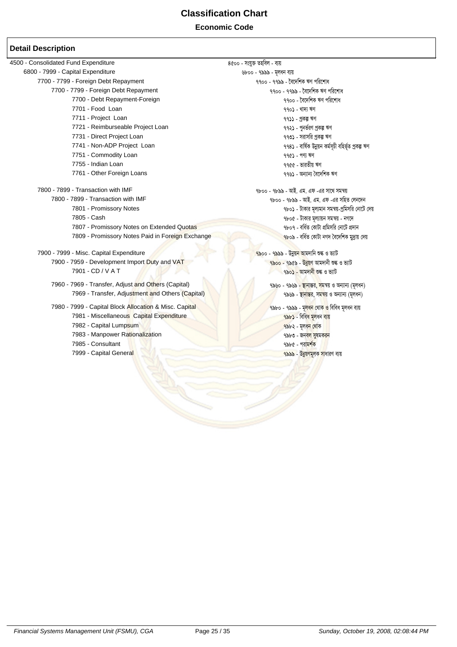**Economic Code**

| ৪৫০০ - সংযুক্ত তহবিল - ব্যয়                                            |
|-------------------------------------------------------------------------|
| ৬৮০০ - ৭৯৯৯ - মূলধন ব্যয়                                               |
| ৭৭০০ - ৭৭৯৯ - বৈদেশিক ঋণ পরিশোধ                                         |
| ৭৭০০ - ৭৭৯৯ - বৈদেশিক ঋণ পরিশোধ                                         |
| ৭৭০০ - বৈদেশিক ঋণ পরিশোধ                                                |
| ৭৭০১ - খাদ্য ঋণ                                                         |
| ৭৭১১ - প্ৰকল্প ঋণ                                                       |
| ৭৭২১ - পুনর্ভরণ প্রকল্প ঋণ                                              |
| ৭৭৩১ - সরাসরি প্রকল্প ঋণ                                                |
| ৭৭৪১ - বাৰ্ষিক উন্নয়ন কৰ্মসূচী বহিৰ্ভূত প্ৰকল্প ঋণ                     |
| $996$ - পণ্য ঋণ                                                         |
| ৭৭৫৫ - ভারতীয় ঋণ                                                       |
| ৭৭৬১ - অন্যান্য বৈদেশিক ঋণ                                              |
| ৭৮০০ - ৭৮৯৯ - আই. এম. এফ -এর সাথে সমন্বয়                               |
| ৭৮০০ - ৭৮৯৯ - আই. এম. এফ -এর সহিত লেনদেন                                |
| ৭৮০১ - টাকার মূল্যমান সমন্বয়-প্রমিসরি নোটে দেয়                        |
| ৭৮০৫ - টাকার মূল্যায়ন সমন্বয় - নগদে                                   |
| ৭৮০৭ - বৰ্ধিত কোটা প্ৰমিসরি নোটে প্ৰদান                                 |
| <u>৭৮০৯ - বৰ্ধিত কোটা নগদ বৈদেশিক মুদ্ৰায় দেয়</u>                     |
| <mark>৭৯</mark> ০০ - ৭৯৯৯ - উ <mark>ন্নয়ন আ</mark> মদানি শুল্ক ও ভ্যাট |
| ৭৯০০ - ৭৯৫৯ - উন্নয়ণ আমদানী শুল্ক ও ভ্যাট                              |
| ৭৯০ <b>১ - আমদানী শুল্ক</b> ও ভ্যাট                                     |
| ৭৯৬০ - ৭৯৬৯ <mark>- স্থানান্তর, সম</mark> ন্বয় ও অন্যান্য (মূলধন)      |
| ৭৯৬৯ - স্থানান্তর, সমন্বয় ও অন্যান্য (মূলধন)                           |
| ৭৯৮০ - ৭৯৯৯ - মূ <mark>লধন থোক ও</mark> বিবিধ মূলধন ব্যয়               |
| ৭৯৮১ - বিবিধ মূলধন ব্যয়                                                |
| ৭৯৮২ - মূলধন থোক                                                        |
| ৭৯৮৩ - জনব <mark>ল সুষমকরন</mark>                                       |
| ৭৯৮৫ - পরা <mark>মর্শ</mark> ক                                          |
|                                                                         |
| <mark>৭৯৯৯ - উন্নয়ণমূলক সা</mark> ধারণ ব্যয়                           |
|                                                                         |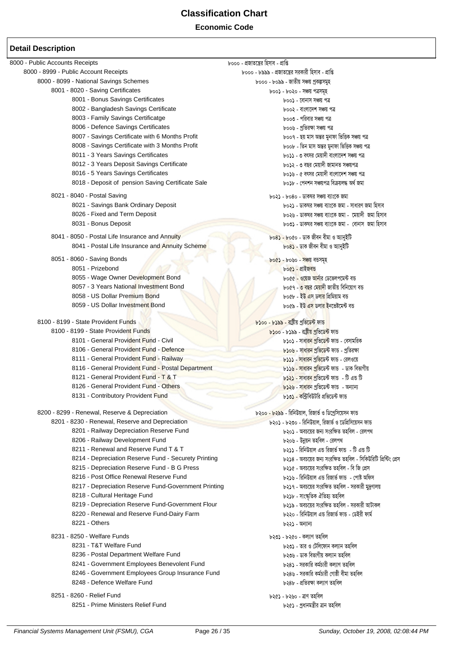#### **Economic Code**

| 8000 - Public Accounts Receipts                      | ৮০০০ - প্ৰজাতন্ত্ৰের হিসাব - প্ৰাপ্তি                          |
|------------------------------------------------------|----------------------------------------------------------------|
| 8000 - 8999 - Public Account Receipts                | ৮০০০ - ৮৯৯৯ - প্রজাতন্ত্রের সরকারী হিসাব - প্রাপ্তি            |
| 8000 - 8099 - National Savings Schemes               | ৮০০০ - ৮০৯৯ - জাতীয় সঞ্চয় প্রকল্পসমুহ                        |
| 8001 - 8020 - Saving Certificates                    | ৮০০১ - ৮০২০ - সঞ্চয় পত্ৰসমূহ                                  |
| 8001 - Bonus Savings Certificates                    | ৮০০১ - বোনাস সঞ্চয় পত্ৰ                                       |
| 8002 - Bangladesh Savings Certificate                | ৮০০২ - বাংলাদেশ সঞ্চয় পত্ৰ                                    |
| 8003 - Family Savings Certificatge                   | ৮০০৩ - পরিবার সঞ্চয় পত্র                                      |
| 8006 - Defence Savings Certificates                  | ৮০০৬ - প্ৰতিরক্ষা সঞ্চয় পত্ৰ                                  |
| 8007 - Savings Certificate with 6 Months Profit      | ৮০০৭ - ছয় মাস অন্তর মুনাফা ভিত্তিক সঞ্চয় পত্র                |
| 8008 - Savings Certificate with 3 Months Profit      | ৮০০৮ - তিন মাস অন্তর মুনাফা ভিত্তিক সঞ্চয় পত্র                |
| 8011 - 3 Years Savings Certificates                  | ৮০১১ - ৩ বৎসর মেয়াদী বাংলাদেশ সঞ্চয় পত্র                     |
| 8012 - 3 Years Deposit Savings Certificate           | ৮০১২ - ৩ বছর মেয়াদী জামানত সঞ্চয়পত্র                         |
| 8016 - 5 Years Savings Certificates                  | ৮০১৬ - ৫ বৎসর মেয়াদী বাংলাদেশ সঞ্চয় পত্র                     |
| 8018 - Deposit of pension Saving Certificate Sale    | ৮০১৮ - পেনশন সঞ্চয়পত্ৰ বিক্ৰয়লদ্ধ অৰ্থ জমা                   |
| 8021 - 8040 - Postal Saving                          | ৮০২১ - ৮০৪০ - ডাকঘর সঞ্চয় ব্যাংকে জমা                         |
| 8021 - Savings Bank Ordinary Deposit                 | ৮০২১ - ডাকঘর সঞ্চয় ব্যাংকে জমা - সাধারণ জমা হিসাব             |
| 8026 - Fixed and Term Deposit                        | ৮০২৬ - ডাকঘর সঞ্চয় ব্যাংকে জমা - মেয়াদী জমা হিসাব            |
|                                                      |                                                                |
| 8031 - Bonus Deposit                                 | ৮০৩১ - ডাকঘর সঞ্চয় ব্যাংকে জমা -  বোনাস  জমা হিসাব            |
| 8041 - 8050 - Postal Life Insurance and Annuity      | ৮০৪১ - ৮০৫০ - ডাক জীবন বীমা ও অ্যানুইটি                        |
| 8041 - Postal Life Insurance and Annuity Scheme      | ৮০৪ <b>১</b> - ডাক জীবন বীমা ও অ্যানুইটি                       |
| 8051 - 8060 - Saving Bonds                           | <u> ৮০৫১ - ৮০৬০ - সঞ্চয় বন্ডসমূহ</u>                          |
| 8051 - Prizebond                                     | ৮০৫১ - প্ৰাইজবন্ড                                              |
| 8055 - Wage Owner Development Bond                   | ৮০৫৫ - ওয়েজ আনার ডেভেলপমেন্ট বন্ত                             |
| 8057 - 3 Years National Investment Bond              | ৮০৫৭ - <mark>৩ বছর মেয়াদী</mark> জাতীয় বিনিয়োগ বন্ত         |
| 8058 - US Dollar Premium Bond                        | ৮০৫৮ - ইউ <mark>এ</mark> স ডলার প্রিমিয়াম বন্ত                |
| 8059 - US Dollar Investment Bond                     | ৮০৫৯ - ইউ <mark>এস ডলার ই</mark> নভেষ্টমেন্ট বন্ত              |
|                                                      |                                                                |
| 8100 - 8199 - State Provident Funds                  | ৮১০০ - ৮১৯৯ - রাষ্টীয় প্রভিডেন্ট ফান্ড                        |
| 8100 - 8199 - State Provident Funds                  | <mark>৮১০০</mark> - ৮১৯৯ - রাষ্ট্রীয় <u>প্র</u> তিডেন্ট ফান্ড |
| 8101 - General Provident Fund - Civil                | ৮১০১ - সাধা <mark>রন প্রভিডেন্ট</mark> ফান্ড - বেসামরিক        |
| 8106 - General Provident Fund - Defence              | <mark>৮১০৬ - সাধারন প্রভিডে</mark> ন্ট ফান্ড - প্রতিরক্ষা      |
| 8111 - General Provident Fund - Railway              | ৮১১১ - সাধারন প্রভিডেন্ট ফান্ড - রেলওয়ে                       |
| 8116 - General Provident Fund - Postal Department    | <mark>৮১১৬ - সাধারন প্রভি</mark> ডেন্ট ফান্ড  - ডাক বিভাগীয়   |
| 8121 - General Provident Fund - T & T                | ৮১২১ - সাধার <mark>ন প্র</mark> ভিডেন্ট ফান্ড  - টি এন্ড টি    |
| 8126 - General Provident Fund - Others               | ৮১২৬ - সাধারন প্রভিডেন্ট ফান্ড - অন্যান্য                      |
| 8131 - Contributory Provident Fund                   | ৮১৩১ - কন্ট্রিবিউটরি প্রভিডেন্ট ফান্ড                          |
| 8200 - 8299 - Renewal, Reserve & Depreciation        | ৮২০০ - ৮২৯৯ - রিনিউয়াল, রিজার্ভ ও ডিপ্রেসিয়েসন ফান্ড         |
| 8201 - 8230 - Renewal, Reserve and Depreciation      | ৮২০১ - ৮২৩০ - রিনিউয়াল, রিজার্ভ ও ডেপ্রিসিয়েসন ফান্ড         |
| 8201 - Railway Depreciation Reserve Fund             | ৮২০১ - অবচয়ের জন্য সংরক্ষিত তহবিল - রেলপথ                     |
| 8206 - Railway Development Fund                      | ৮২০৬ - উন্নয়ন তহবিল - রেলপথ                                   |
| 8211 - Renewal and Reserve Fund T & T                | ৮২১১ - রিনিউয়াল এন্ড রিজার্ভ ফান্ড  - টি এন্ড টি              |
| 8214 - Depreciation Reserve Fund - Securety Printing | ৮২১৪ - অবচয়ের জন্য সংরক্ষিত তহবিল - সিকিউরিটি প্রিন্টিং প্রেস |
| 8215 - Depreciation Reserve Fund - B G Press         | ৮২১৫ - অবচয়ের সংরক্ষিত তহবিল - বি জি প্রেস                    |
| 8216 - Post Office Renewal Reserve Fund              | ৮২১৬ - রিনিউয়াল এন্ড রিজার্ভ ফান্ড  - পোষ্ট অফিস              |
| 8217 - Depreciation Reserve Fund-Government Printing | ৮২১৭ - অবচয়ের সংরক্ষিত তহবিল - সরকারী মুদ্রণালয়              |
| 8218 - Cultural Heritage Fund                        | ৮২১৮ - সাংস্কৃতিক ঐতিহ্য তহবিল                                 |
| 8219 - Depreciation Reserve Fund-Government Flour    | ৮২১৯ - অবচয়ের সংরক্ষিত তহবিল - সরকারী আটাকল                   |
| 8220 - Renewal and Reserve Fund-Dairy Farm           | ৮২২০ - রিনিউয়াল এন্ড রিজার্ভ ফান্ড - ডেইরী ফার্ম              |
| 8221 - Others                                        | ৮২২১ - অন্যান্য                                                |
|                                                      |                                                                |
| 8231 - 8250 - Welfare Funds                          | ৮২৩১ - ৮২৫০ - কল্যাণ তহবিল                                     |
| 8231 - T&T Welfare Fund                              | ৮২৩১ - তার ও টেলিফোন কল্যান তহবিল                              |
| 8236 - Postal Department Welfare Fund                | ৮২৩৬ - ডাক বিভাগীয় কল্যান তহবিল                               |
| 8241 - Government Employees Benevolent Fund          | ৮২৪১ - সরকারি কর্মচারী কল্যাণ তহবিল                            |
| 8246 - Government Employees Group Insurance Fund     | ৮২৪৬ - সরকারি কর্মচারী গোষ্ঠী বীমা তহবিল                       |
| 8248 - Defence Welfare Fund                          | ৮২৪৮ - প্ৰতিরক্ষা কল্যাণ তহবিল                                 |
| 8251 - 8260 - Relief Fund                            | ৮২৫১ - ৮২৬০ - ত্রাণ তহবিল                                      |
| 8251 - Prime Ministers Relief Fund                   | ৮২৫১ - প্ৰধানমন্ত্ৰীর ত্রান তহবিল                              |
|                                                      |                                                                |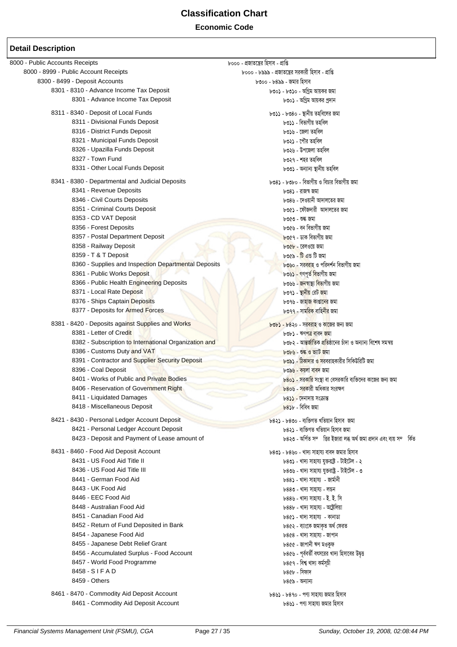### **Economic Code**

| 8000 - Public Accounts Receipts                       | ৮০০০ - প্ৰজাতন্ত্ৰের হিসাব - প্ৰাপ্তি                                         |
|-------------------------------------------------------|-------------------------------------------------------------------------------|
| 8000 - 8999 - Public Account Receipts                 | ৮০০০ - ৮৯৯৯ - প্রজাতন্ত্রের সরকারী হিসাব - প্রাপ্তি                           |
| 8300 - 8499 - Deposit Accounts                        | ৮৩০০ - ৮৪৯৯ - জমার হিসাব                                                      |
| 8301 - 8310 - Advance Income Tax Deposit              | ৮৩০১ - ৮৩১০ - অগ্রিম আয়কর জমা                                                |
| 8301 - Advance Income Tax Deposit                     | ৮৩০১ - অগ্রিম আয়কর প্রদান                                                    |
| 8311 - 8340 - Deposit of Local Funds                  | ৮৩১১ - ৮৩৪০ - স্থানীয় তহবিলের জমা                                            |
| 8311 - Divisional Funds Deposit                       | ৮৩১১ - বিভাগীয় তহবিল                                                         |
| 8316 - District Funds Deposit                         | ৮৩১৬ - জেলা তহবিল                                                             |
| 8321 - Municipal Funds Deposit                        | ৮৩২১ - পৌর তহবিল                                                              |
| 8326 - Upazilla Funds Deposit                         | ৮৩২৬ - উপজেলা তহবিল                                                           |
| 8327 - Town Fund                                      | ৮৩২৭ - শহর তহবিল                                                              |
| 8331 - Other Local Funds Deposit                      | ৮৩৩১ - অন্যান্য স্থানীয় তহবিল                                                |
| 8341 - 8380 - Departmental and Judicial Deposits      | ৮৩৪১ - ৮৩৮০ - বিভাগীয় ও বিচার বিভাগীয় জমা                                   |
| 8341 - Revenue Deposits                               | ৮৩৪১ - রাজস্ব জমা                                                             |
| 8346 - Civil Courts Deposits                          | ৮৩৪৬ - দেওয়ানী আদালতের জমা                                                   |
| 8351 - Criminal Courts Deposit                        | ৮৩৫১ - ফৌজদারী আদালতের জমা                                                    |
| 8353 - CD VAT Deposit                                 | ৮৩৫৩ - শুল্ক জমা                                                              |
| 8356 - Forest Deposits                                | ৮৩৫৬ - বন বিভাগীয় জমা                                                        |
| 8357 - Postal Department Deposit                      | <mark>৮৩৫৭ - ডাক বিভাগীয় জমা</mark>                                          |
| 8358 - Railway Deposit                                |                                                                               |
| 8359 - T & T Deposit                                  | ৮৩৫৮ - রেলওয়ে জমা<br>৮৩৫৯ - টি এন্ড টি জমা                                   |
| 8360 - Supplies and Inspection Departmental Deposits  | ৮৩৬০ - সরবরাহ ও পরিদর্শন বিভাগীয় জমা                                         |
|                                                       |                                                                               |
| 8361 - Public Works Deposit                           | ৮৩৬১ - গণপূৰ্ত বিভাগীয় জমা                                                   |
| 8366 - Public Health Engineering Deposits             | ৮৩৬৬ - জনস্বাস্থ্য বিভাগীয় জমা                                               |
| 8371 - Local Rate Deposit                             | ৮৩৭১ - স্থা <mark>নীয়</mark> রেট জমা                                         |
| 8376 - Ships Captain Deposits                         | ৮৩৭৬ - জাহাজ কাপ্তানের জমা                                                    |
| 8377 - Deposits for Armed Forces                      | <u>৮৩৭৭ - সামরিক বাহিনীর জমা</u>                                              |
| 8381 - 8420 - Deposits against Supplies and Works     | <u> ৮৩৮১ - ৮৪২০ - সরবরাহ ও কাজের জন্য জমা</u>                                 |
| 8381 - Letter of Credit                               | ৮৩৮১ - ঋণপত্র বাবদ জমা                                                        |
| 8382 - Subscription to International Organization and | ৮৩৮২ - আ <mark>ন্তৰ্জাতিক প্ৰতি</mark> ষ্ঠানের চাঁদা ও অন্যান্য বিশেষ সমন্বয় |
| 8386 - Customs Duty and VAT                           | ৮৩৮৬ - শুল্ক ও ভ্যাট জমা                                                      |
| 8391 - Contractor and Supplier Security Deposit       | ৮৩৯১ - ঠিকাদার ও সরবরাহকারীর সিকিউরিটি জমা                                    |
| 8396 - Coal Deposit                                   | ৮৩৯৬ - কয়লা বাবদ জমা                                                         |
| 8401 - Works of Public and Private Bodies             | ৮৪০ <b>১ - সরকারি সংস্থা বা বেসরকারি ব্যক্তিদের কাজের জন্য জমা</b>            |
| 8406 - Reservation of Government Right                | ৮৪০৬ - সরকারী অধিকার সংরক্ষণ                                                  |
| 8411 - Liquidated Damages                             | ৮৪১১ - দেনাদায় সংক্রান্ত                                                     |
| 8418 - Miscellaneous Deposit                          | $b83b$ - বিবিধ জমা                                                            |
| 8421 - 8430 - Personal Ledger Account Deposit         | ৮৪২১ - ৮৪৩০ - ব্যক্তিগত খতিয়ান হিসাব জমা                                     |
| 8421 - Personal Ledger Account Deposit                | ৮৪২১ - ব্যক্তিগত খতিয়ান হিসাব জমা                                            |
| 8423 - Deposit and Payment of Lease amount of         | ৮৪২৩ - অর্পিত সম্ভির ইজারা লব্ধ অর্থ জমা প্রদান এবং ব্যয় সম্কিত              |
| 8431 - 8460 - Food Aid Deposit Account                | ৮৪৩১ - ৮৪৬০ - খাদ্য সাহায্য বাবদ জমার হিসাব                                   |
| 8431 - US Food Aid Title II                           | ৮৪৩১ - খাদ্য সাহায্য যুক্তরাষ্ট্র - টাইটেল - ২                                |
| 8436 - US Food Aid Title III                          | ৮৪৩৬ - খাদ্য সাহায্য যুক্তরাষ্ট্র - টাইটেল - ৩                                |
| 8441 - German Food Aid                                | ৮৪৪১ - খাদ্য সাহায্য - জাৰ্মানী                                               |
| 8443 - UK Food Aid                                    | ৮৪৪৩ - খাদ্য সাহায্য - লন্ডন                                                  |
| 8446 - EEC Food Aid                                   | ৮৪৪৬ - খাদ্য সাহায্য - ই. ই. সি                                               |
| 8448 - Australian Food Aid                            | ৮৪৪৮ - খাদ্য সাহায্য - অষ্ট্ৰেলিয়া                                           |
| 8451 - Canadian Food Aid                              | ৮৪৫১ - খাদ্য সাহায্য  - কানাডা                                                |
| 8452 - Return of Fund Deposited in Bank               | ৮৪৫২ - ব্যাংকে জমাকৃত অৰ্থ ফেরত                                               |
| 8454 - Japanese Food Aid                              | ৮৪৫৪ - খাদ্য সাহায্য - জাপান                                                  |
| 8455 - Japanese Debt Relief Grant                     | ৮৪৫৫ - জাপানী ঋণ মওকুফ                                                        |
| 8456 - Accumulated Surplus - Food Account             | ৮৪৫৬ - পূর্ববর্তী বৎসরের খাদ্য হিসাবের উদ্বত্ত                                |
| 8457 - World Food Programme                           | ৮৪৫৭ - বিশ্ব খাদ্য কৰ্মসূচী                                                   |
| 8458 - SIFAD                                          | ৮৪৫৮ - সিফাদ                                                                  |
| 8459 - Others                                         | ৮৪৫৯ - অন্যান্য                                                               |
| 8461 - 8470 - Commodity Aid Deposit Account           |                                                                               |
| 8461 - Commodity Aid Deposit Account                  | ৮৪৬১ - ৮৪৭০ - পণ্য সাহায্য জমার হিসাব<br>৮৪৬১ - পণ্য সাহায্য জমার হিসাব       |
|                                                       |                                                                               |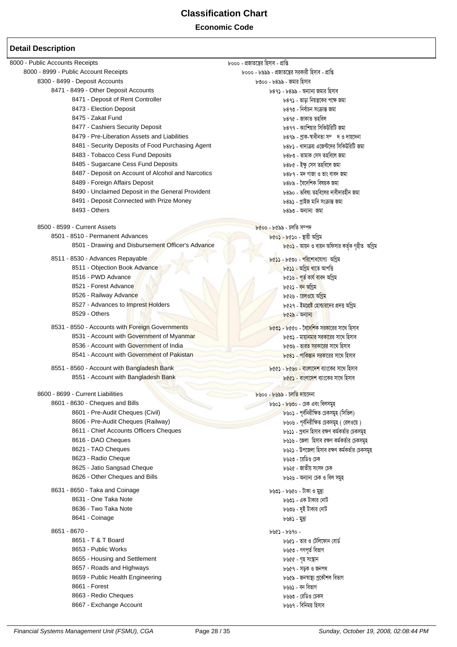#### **Economic Code**

| 8000 - Public Accounts Receipts                    | ৮০০০ - প্ৰজাতন্ত্ৰের হিসাব - প্ৰাপ্তি                                 |
|----------------------------------------------------|-----------------------------------------------------------------------|
| 8000 - 8999 - Public Account Receipts              | ৮০০০ - ৮৯৯৯ - প্রজাতন্ত্রের সরকারী হিসাব - প্রাপ্তি                   |
| 8300 - 8499 - Deposit Accounts                     | ৮৩০০ - ৮৪৯৯ - জমার হিসাব                                              |
| 8471 - 8499 - Other Deposit Accounts               | ৮৪৭১ - ৮৪৯৯ - অন্যান্য জমার হিসাব                                     |
| 8471 - Deposit of Rent Controller                  | ৮৪৭১ - ভাড়া নিয়ন্ত্রকের পক্ষে জমা                                   |
| 8473 - Election Deposit                            | ৮৪৭৩ - নিৰ্বাচন সংক্ৰান্ত জমা                                         |
| 8475 - Zakat Fund                                  | ৮৪৭৫ - জাকাত তহবিল                                                    |
| 8477 - Cashiers Security Deposit                   | ৮৪৭৭ - ক্যাশিয়ার সিকিউরিটি জমা                                       |
| 8479 - Pre-Liberation Assets and Liabilities       | ৮৪৭৯ - প্রাক-স্বাধীনতা সম্দ ও দায়দেনা                                |
| 8481 - Security Deposits of Food Purchasing Agent  | ৮৪৮১ - খাদ্যক্রয় এজেন্টদের সিকিউরিটি জমা                             |
| 8483 - Tobacco Cess Fund Deposits                  | ৮৪৮৩ - তামাক সেস তহবিলে জমা                                           |
| 8485 - Sugarcane Cess Fund Deposits                | ৮৪৮৫ - ইক্ষু সেস তহবিলে জমা                                           |
| 8487 - Deposit on Account of Alcohol and Narcotics | ৮৪৮৭ - মদ গাজা ও ভাং বাবদ জমা                                         |
| 8489 - Foreign Affairs Deposit                     | ৮৪৮৯ - বৈদেশিক বিষয়ক জমা                                             |
| 8490 - Unclaimed Deposit in the General Provident  | ৮৪৯০ - ভবিষ্য তহবিলের দাবীদারহীন জমা                                  |
| 8491 - Deposit Connected with Prize Money          | ৮৪৯১ - প্ৰাইজ মানি সংক্ৰান্ত জমা                                      |
| 8493 - Others                                      | ৮৪৯৩ - অন্যান্য জমা                                                   |
|                                                    |                                                                       |
| 8500 - 8599 - Current Assets                       | $b$ ৫০০ - ৮৫৯৯ - চলতি সম্পদ                                           |
| 8501 - 8510 - Permanent Advances                   | ৮৫০১ - ৮৫১০ - স্থায়ী অগ্রিম                                          |
| 8501 - Drawing and Disbursement Officer's Advance  | ৮৫০ <b>১</b> - আয়ন ও ব্যয়ন অফিসার কর্তৃক গৃহীত  অগ্রিম              |
|                                                    |                                                                       |
| 8511 - 8530 - Advances Repayable                   | ৮৫১১ - ৮৫৩০ - পরিশোধযোগ্য অগ্রিম                                      |
| 8511 - Objection Book Advance                      | ৮৫ <mark>১১ - অগ্ৰিম খা</mark> তে আপত্তি                              |
| 8516 - PWD Advance                                 | ৮৫১৬ <mark>- পূৰ্ত কাৰ্য বা</mark> বদ অগ্ৰিম                          |
| 8521 - Forest Advance                              | ৮৫২১ - <mark>বন অগ্</mark> ৰিম                                        |
| 8526 - Railway Advance                             | ৮৫২৬ - রেলওয়ে অগ্রিম                                                 |
| 8527 - Advances to Imprest Holders                 | ৮৫২৭ - ইম <mark>প্ৰেষ্ট হোল্ডারদে</mark> র প্রদত্ত অগ্রিম             |
| 8529 - Others                                      | ৮৫২৯ - অন্যান্য                                                       |
|                                                    |                                                                       |
| 8531 - 8550 - Accounts with Foreign Governments    | <mark>৮৫৩১ - ৮</mark> ৫৫০ - বৈ <mark>দেশিক সরকা</mark> রের সাথে হিসাব |
| 8531 - Account with Government of Myanmar          | ৮৫৩১ - মায়া <mark>নমার</mark> সর <mark>কা</mark> রের সাথে হিসাব      |
| 8536 - Account with Government of India            | ৮৫৩৬ - ভার <mark>ত সরকারের</mark> সাথে হিসাব                          |
| 8541 - Account with Government of Pakistan         | ৮৫৪১ - পাকিস্তান সরকারের সাথে হিসাব                                   |
| 8551 - 8560 - Account with Bangladesh Bank         | <u> ৮৫৫১ - ৮৫৬০ - বাংলাদেশ ব্যাংকের সাথে হিসাব</u>                    |
| 8551 - Account with Bangladesh Bank                | ৮৫৫১ - বাংলা <mark>দেশ</mark> ব্যাংকের সাথে হিসাব                     |
|                                                    |                                                                       |
| 8600 - 8699 - Current Liabilities                  | <u> ৮৬০০ - ৮৬৯৯ - চলতি দায়দেনা</u>                                   |
| 8601 - 8630 - Cheques and Bills                    | ৮৬০১ - ৮৬৩০ - চেক এবং বিলসমূহ                                         |
| 8601 - Pre-Audit Cheques (Civil)                   | ৮৬০১ - পূর্বনিরীক্ষিত চেকসমূহ (সিভিল)                                 |
| 8606 - Pre-Audit Cheques (Railway)                 | ৮৬০৬ - পূর্বনিরীক্ষিত চেকসমুহ ( রেলওয়ে)                              |
| 8611 - Chief Accounts Officers Cheques             | ৮৬১১ - প্রধান হিসাব রক্ষণ কর্মকর্তার চেকসমুহ                          |
| 8616 - DAO Cheques                                 | ৮৬১৬ - জেলা হিসাব রক্ষণ কর্মকর্তার চেকসমুহ                            |
| 8621 - TAO Cheques                                 | ৮৬২১ - উপজেলা হিসাব রক্ষণ কর্মকর্তার চেকসমুহ                          |
| 8623 - Radio Cheque                                | ৮৬২৩ - রেডিও চেক                                                      |
| 8625 - Jatio Sangsad Cheque                        | ৮৬২৫ - জাতীয় সংসদ চেক                                                |
| 8626 - Other Cheques and Bills                     | ৮৬২৬ - অন্যান্য চেক ও বিল সমূহ                                        |
|                                                    |                                                                       |
| 8631 - 8650 - Taka and Coinage                     | ৮৬৩১ - ৮৬৫০ - টাকা ও মুদ্রা                                           |
| 8631 - One Taka Note                               | ৮৬৩১ - এক টাকার নোট                                                   |
| 8636 - Two Taka Note                               | ৮৬৩৬ - দুই টাকার নোট                                                  |
| 8641 - Coinage                                     | ৮৬৪১ - মূদ্রা                                                         |
| 8651 - 8670 -                                      | $-090 - 690$                                                          |
| 8651 - T & T Board                                 | ৮৬৫১ - তার ও টেলিফোন বোর্ড                                            |
| 8653 - Public Works                                | ৮৬৫৩ - গণপূৰ্ত বিভাগ                                                  |
| 8655 - Housing and Settlement                      | ৮৬৫৫ - গৃহ সংস্থান                                                    |
| 8657 - Roads and Highways                          | ৮৬৫৭ - সড়ক ও জনপথ                                                    |
| 8659 - Public Health Engineering                   | ৮৬৫৯ - জনস্বাস্থ্য প্ৰকৌশল বিভাগ                                      |
| 8661 - Forest                                      | ৮৬৬১ - বন বিভাগ                                                       |
|                                                    |                                                                       |
| 8663 - Redio Cheques                               | ৮৬৬৩ - রেডিও চেকস                                                     |
| 8667 - Exchange Account                            | ৮৬৬৭ - বিনিময় হিসাব                                                  |
|                                                    |                                                                       |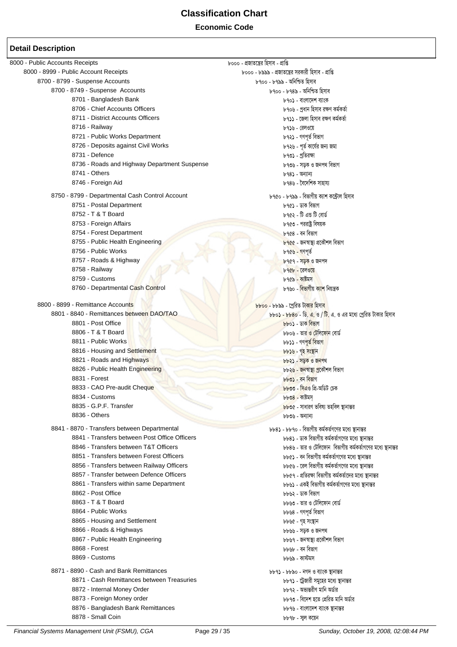**Economic Code** 

| 8000 - Public Accounts Receipts                 | ৮০০০ - প্রজাতন্ত্রের হিসাব - প্রাপ্তি                                      |
|-------------------------------------------------|----------------------------------------------------------------------------|
| 8000 - 8999 - Public Account Receipts           | ৮০০০ - ৮৯৯৯ - প্রজাতন্ত্রের সরকারী হিসাব - প্রাপ্তি                        |
| 8700 - 8799 - Suspense Accounts                 | ৮৭০০ - ৮৭৯৯ - অনিশ্চিত হিসাব                                               |
| 8700 - 8749 - Suspense Accounts                 | ৮৭০০ - ৮৭৪৯ - অনিশ্চিত হিসাব                                               |
| 8701 - Bangladesh Bank                          | ৮৭০১ - বাংলাদেশ ব্যাংক                                                     |
| 8706 - Chief Accounts Officers                  | ৮৭০৬ - প্ৰধান হিসাব রক্ষণ কৰ্মকৰ্তা                                        |
| 8711 - District Accounts Officers               | ৮৭১১ - জেলা হিসাব রক্ষণ কর্মকর্তা                                          |
| 8716 - Railway                                  | ৮৭১৬ - রেলওয়ে                                                             |
| 8721 - Public Works Department                  | ৮৭২১ - গণপূৰ্ত বিভাগ                                                       |
| 8726 - Deposits against Civil Works             | ৮৭২৬ - পূর্ত কার্যের জন্য জমা                                              |
| 8731 - Defence                                  | ৮৭৩১ - প্রতিরক্ষা                                                          |
| 8736 - Roads and Highway Department Suspense    | ৮৭৩৬ - সড়ক ও জনপথ বিভাগ                                                   |
| 8741 - Others                                   | ৮৭৪১ - অন্যান্য                                                            |
| 8746 - Foreign Aid                              | ৮৭৪৬ - বৈদেশিক সাহায্য                                                     |
| 8750 - 8799 - Departmental Cash Control Account | ৮৭৫০ - ৮৭৯৯ - বিভাগীয় ক্যাশ কন্টোল হিসাব                                  |
| 8751 - Postal Department                        | ৮৭৫১ - ডাক বিভাগ                                                           |
| 8752 - T & T Board                              | ৮৭৫২ - টি এন্ড টি বোর্ড                                                    |
| 8753 - Foreign Affairs                          | ৮৭৫৩ - পররাষ্ট্র বিষয়ক                                                    |
| 8754 - Forest Department                        | ৮৭৫৪ - বন বিভাগ                                                            |
| 8755 - Public Health Engineering                |                                                                            |
|                                                 | ৮৭৫৫ - জনস্বাস্থ্য প্রকৌশল বিভাগ                                           |
| 8756 - Public Works                             | ৮৭৫৬ - গণপূৰ্ত                                                             |
| 8757 - Roads & Highway                          | ৮৭৫৭ - সড়ক ও জনপদ                                                         |
| 8758 - Railway                                  | ৮৭৫৮ - রেলওয়ে                                                             |
| 8759 - Customs                                  | ৮৭৫৯ - কাষ্টমস                                                             |
| 8760 - Departmental Cash Control                | ৮৭৬০ - <mark>বিভাগীয় ক্যাশ</mark> নিয়ন্ত্ৰক                              |
| 8800 - 8899 - Remittance Accounts               | <u> ৮৮০০ - ৮৮৯৯ - প্ৰেরিত টাকার হিসাব</u>                                  |
| 8801 - 8840 - Remittances between DAO/TAO       | $b$ $b$ ০১ - $b$ $b$ ৪০ - ডি. এ. ও / টি. এ. ও এর মধ্যে প্রেরিত টাকার হিসাব |
| 8801 - Post Office                              | $b\bar{b}$ ০১ - ডাক বিভাগ                                                  |
| 8806 - T & T Board                              | ৮৮০৬ - তার ও টেলিফোন বোর্ড                                                 |
| 8811 - Public Works                             | ৮৮১১ - গণপূৰ্ত বিভাগ                                                       |
| 8816 - Housing and Settlement                   | <mark>৮৮১৬ - গৃহ সংস্থা</mark> ন                                           |
| 8821 - Roads and Highways                       | <u> ৮৮২১ - সড়ক ও জনপ</u> থ                                                |
| 8826 - Public Health Engineering                | ৮৮২ <mark>৬ - জনস্বাস্থ্য প্ৰ</mark> কৌশল বিভাগ                            |
| 8831 - Forest                                   | <u> ৮৮৩১ - বন বিভাগ</u>                                                    |
| 8833 - CAO Pre-audit Cheque                     | ৮৮৩৩ - সিএও প্রি-অডিট চেক                                                  |
| 8834 - Customs                                  | $b$ $b$ ৩৪ - কাষ্টমস                                                       |
| 8835 - G.P.F. Transfer                          |                                                                            |
| 8836 - Others                                   | <u> ৮৮৩৫</u> - সাধারণ ভবিষ্য তহবিল স্থানান্তর                              |
|                                                 | ৮৮৩৬ - অন্যান্য                                                            |
| 8841 - 8870 - Transfers between Departmental    | ৮৮৪১ - ৮৮৭০ - বিভাগীয় কর্মকর্তগণের মধ্যে স্থানান্তর                       |
| 8841 - Transfers between Post Office Officers   | ৮৮৪১ - ডাক বিভাগীয় কর্মকর্তাগণের মধ্যে স্থানান্তর                         |
| 8846 - Transfers between T&T Officers           | ৮৮৪৬ - তার ও টেলিফোন বিভাগীয় কর্মকর্তাগণের মধ্যে স্থানান্তর               |
| 8851 - Transfers between Forest Officers        | ৮৮৫১ - বন বিভাগীয় কর্মকর্তাগণের মধ্যে স্থানান্তর                          |
| 8856 - Transfers between Railway Officers       | ৮৮৫৬ - রেল বিভাগীয় কর্মকর্তাগণের মধ্যে স্থানান্তর                         |
| 8857 - Transfer between Defence Officers        | ৮৮৫৭ - প্রতিরক্ষা বিভাগীয় কর্মকর্তাদের মধ্যে স্থানান্তর                   |
| 8861 - Transfers within same Department         | ৮৮৬১ - একই বিভাগীয় কর্মকর্তাগণের মধ্যে স্থানান্তর                         |
| 8862 - Post Office                              | ৮৮৬২ - ডাক বিভাগ                                                           |
| 8863 - T & T Board                              | ৮৮৬৩ - তার ও টেলিফোন বোর্ড                                                 |
| 8864 - Public Works                             | ৮৮৬৪ - গণপূৰ্ত বিভাগ                                                       |
| 8865 - Housing and Settlement                   | ৮৮৬৫ - গৃহ সংস্থান                                                         |
| 8866 - Roads & Highways                         | ৮৮৬৬ - সড়ক ও জনপথ                                                         |
| 8867 - Public Health Engineering                | ৮৮৬৭ - জনস্বাস্থ্য প্রকৌশল বিভাগ                                           |
| 8868 - Forest                                   | ৮৮৬৮ - বন বিভাগ                                                            |
| 8869 - Customs                                  | ৮৮৬৯ - কাস্টমস                                                             |
| 8871 - 8890 - Cash and Bank Remittances         | ৮৮৭১ - ৮৮৯০ - নগদ ও ব্যাংক স্থানান্তর                                      |
| 8871 - Cash Remittances between Treasuries      | ৮৮৭১ - ট্রেজারী সমুহের মধ্যে স্থানান্তর                                    |
| 8872 - Internal Money Order                     | ৮৮৭২ - অভ্যন্তরীণ মানি অর্ডার                                              |
| 8873 - Foreign Money order                      | ৮৮৭৩ - বিদেশ হতে প্রেরিত মানি অর্ডার                                       |
| 8876 - Bangladesh Bank Remittances              | ৮৮৭৬ - বাংলাদেশ ব্যাংক স্থানান্তর                                          |
| 8878 - Small Coin                               | ৮৮৭৮ - সাল কয়েন                                                           |
|                                                 |                                                                            |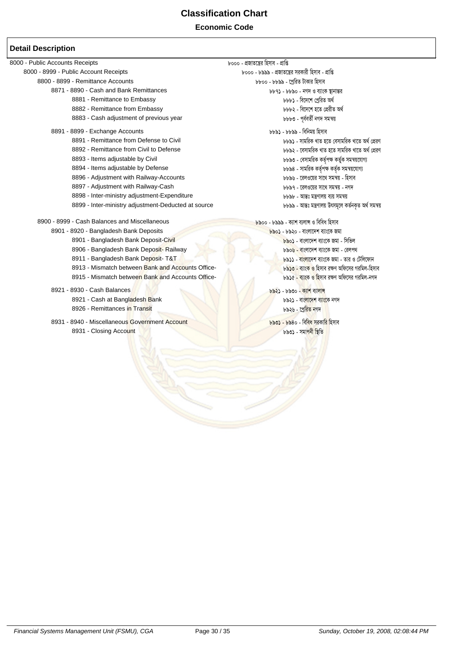#### **Economic Code**

#### **Detail Description**

8000 - Public Accounts Receipts<br>8000 - 8999 - Public Account Receipts - চেতে - ১৯৯৯ - প্রজাতন্ত্রের সরকারী হিসাব - প্রাপ্তি 8000 - 8999 - Public Account Receipts 8800 - 8899 - Remittance Accounts 8800 - 8899 - ‡cªwiZ UvKvi wnmve 8871 - 8890 - Cash and Bank Remittances ১৯৯১ - ১৮৯০ - বিদ্যা ও ব্যাংক স্থানীয় বিদ্যা চি ১৯৯১ - বিদ্যা প্রেরত<br>8881 - Remittance to Embassy ১৯৯১ - বিদ্যা চিচ্চ্যু - বিদ্যে প্রেরত অর্থ 8881 - Remittance to Embassy 8881 - we‡`‡k †cªwiZ A\_© 8882 - Remittance from Embassy 8883 - Cash adjustment of previous year 8883 - and bbbo - পূৰ্বৰ জী নগদ সমন্বয় 8891 - 8899 - Exchange Accounts<br>8891 - Remittance from Defense to Civil هاتا المستخدم المستخدم السابق من المستخدم المستخدم المستخدم المستخدم ال 8891 - Remittance from Defense to Civil<br>8892 - Remittance from Civil to Defense bbb২ - বেসামরিক খাত হতে সামরিক খাতে অর্থ প্রেরণ 8893 - Items adjustable by Civil 8893 - †emvgwiK KZ©"c¶ KZy©K mgš^q‡hvM¨  $b$ ৮৮৯৪ - সামরিক কর্তৃপক্ষ কর্তৃক সমন্বয়যোগ্য 8896 - Adjustment with Railway-Accounts **8896 - কা**ণ্ড - কোণ্ডয়ের সাথে সমন্বয় - হিসাব 8897 - Adjustment with Railway-Cash 8897 - ‡ijI‡qi mv‡\_ mgš^q - bM` 8898 - Inter-ministry adjustment-Expenditure 8898 - Avšt gšYvjq e¨q mgš^q 8899 - Inter-ministry adjustment-Deducted at source 8900 - 8999 - Cash Balances and Miscellaneous<br>8901 - 8920 - Bangladesh Bank Deposits 8901 - 8920 - Bangladesh Bank Deposits 8901 - 8920 - Bangladesh Bank Deposits 8901 - Bangladesh Bank Deposit-Civil কৰা বিভিন্ন কৰি কৰি থকা কৰিবলৈ কৰিবলৈ প্ৰতি কৰি পৰিয়া কৰি পৰিয়া কৰি পৰি 8906 - Bangladesh Bank Deposit- Railway 8906 - কাম কাৰ্য কৰি আৰু স্বামী কাৰ্য কৰি আৰু স্বামী কৰি আৰু স্বামী কৰ 8911 - Bangladesh Bank Deposit- T&T 8912 - Bangladesh Bank Deposit- T&T 8913 - <mark>even both and Accounts Office-</mark><br>8913 - Mismatch between <mark>Bank and Accounts Office-</mark> And Bank and Accounts Office- And Bank <mark>And Align - Downl</mark> 8913 - Mismatch between Bank and Accounts Office-8915 - Mismatch between Bank and Accounts Office- ১৯১৫ - ১৯১৫ - কাংক ও হিসাব রক্ষণ অফিসের গরমিল-নগদ 8921 - 8930 - Cash Balances 8921 - 8930 - K¨vk e¨vjvÝ 8921 - Cash at Bangladesh Bank 8921 - evst at Bangladesh Bank and a stream of the version of the version of the version of the version of the version of the version of the version of the version of the version of the vers 8926 - Remittances i<mark>n Transit (১৯২৬ - ১৯</mark>২৬ - ১৯২৬ - ১৯২৬ - বিষয়ে চিকিৎস 8931 - 8940 - Miscellaneous Government Account ১৯৩১ - <mark>৮৯৩১ - ৮৯</mark>৪০ - বি<mark>বিধ সুরকারি হি</mark>সাব<br>8931 - Closing Account 8931 - Closing Account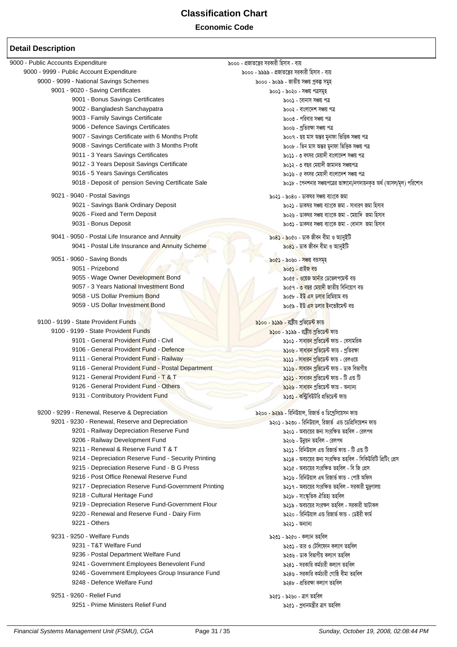#### **Economic Code**

| 9000 - Public Accounts Expenditure                                     | ৯০০০ - প্রজাতন্ত্রের সরকারী হিসাব - ব্যয়                                           |
|------------------------------------------------------------------------|-------------------------------------------------------------------------------------|
| 9000 - 9999 - Public Account Expenditure                               | ৯০০০ - ৯৯৯৯ - প্রজাতন্ত্রের সরকারী হিসাব - ব্যয়                                    |
| 9000 - 9099 - National Savings Schemes                                 | ৯০০০ - ৯০৯৯ - জাতীয় সঞ্চয় প্ৰকল্প সমূহ                                            |
| 9001 - 9020 - Saving Certificates                                      | ৯০০১ - ৯০২০ - সঞ্চয় পত্ৰসমুহ                                                       |
| 9001 - Bonus Savings Certificates                                      | ৯০০১ - বোনাস সঞ্চয় পত্ৰ                                                            |
| 9002 - Bangladesh Sanchaypatra                                         | ৯০০২ - বাংলাদেশ সঞ্চয় পত্ৰ                                                         |
| 9003 - Family Savings Certificate                                      | ৯০০৩ - পরিবার সঞ্চয় পত্র                                                           |
| 9006 - Defence Savings Certificates                                    | ৯০০৬ - প্ৰতিরক্ষা সঞ্চয় পত্ৰ                                                       |
| 9007 - Savings Certificate with 6 Months Profit                        | ৯০০৭ - ছয় মাস অন্তর মুনাফা ভিত্তিক সঞ্চয় পত্র                                     |
| 9008 - Savings Certificate with 3 Months Profit                        | ৯০০৮ - তিন মাস অন্তর মুনাফা ভিত্তিক সঞ্চয় পত্র                                     |
| 9011 - 3 Years Savings Certificates                                    | ৯০১১ - ৩ বৎসর মেয়াদী বাংলাদেশ সঞ্চয় পত্র                                          |
| 9012 - 3 Years Deposit Savings Certificate                             | ৯০১২ - ৩ বছর মেয়াদী জামানত সঞ্চয়পত্র                                              |
| 9016 - 5 Years Savings Certificates                                    | ৯০১৬ - ৫ বৎসর মেয়াদী বাংলাদেশ সঞ্চয় পত্র                                          |
| 9018 - Deposit of pension Seving Certificate Sale                      | ৯০১৮ - পেনশনার সঞ্চয়পত্রের ভাঙ্গানো/নগদায়নকৃত অর্থ (আসল/মূল) পরিশোধ               |
| 9021 - 9040 - Postal Savings                                           | ৯০২১ - ৯০৪০ - ডাকঘর সঞ্চয় ব্যাংকে জমা                                              |
| 9021 - Savings Bank Ordinary Deposit                                   | ৯০২১ - ডাকঘর সঞ্চয় ব্যাংকে জমা - সাধারণ জমা হিসাব                                  |
| 9026 - Fixed and Term Deposit                                          | ৯০২৬ - ডাকঘর সঞ্চয় ব্যাংকে জমা - মেয়াদি জমা হিসাব                                 |
| 9031 - Bonus Deposit                                                   | ৯০৩১ - ডাকঘর সঞ্চয় ব্যাংকে জমা - বোনাস  জমা হিসাব                                  |
| 9041 - 9050 - Postal Life Insurance and Annuity                        |                                                                                     |
| 9041 - Postal Life Insurance and Annuity Scheme                        | ৯০৪১ - ৯০৫০ - ডাক জীবন বীমা ও অ্যানুইটি<br>৯০৪ <b>১</b> - ডাক জীবন বীমা ও অ্যানুইটি |
|                                                                        |                                                                                     |
| 9051 - 9060 - Saving Bonds                                             | <u>৯০৫১ - ৯০৬০ - সঞ্চয় বন্তসমূহ</u>                                                |
| 9051 - Prizebond                                                       | ৯০৫১ - প্ৰাইজ বড                                                                    |
| 9055 - Wage Owner Development Bond                                     | ৯০৫৫ - ওয়েজ <mark>আন</mark> ার ডেভেলপমেন্ট বন্ত                                    |
| 9057 - 3 Years National Investment Bond                                | ৯০৫৭ - <mark>৩ বছর মেয়াদী</mark> জাতীয় বিনিয়োগ বন্ত                              |
| 9058 - US Dollar Premium Bond                                          | ৯০৫৮ - ইউ এস ডলার প্রিমিয়াম বন্ত                                                   |
| 9059 - US Dollar Investment Bond                                       | ৯০৫৯ - ইউ <mark>এস ডলার ই</mark> নভেষ্টমেন্ট বন্ত                                   |
| 9100 - 9199 - State Provident Funds                                    | ৯১০০ - ৯১৯৯ - রাষ্ট্রীয় প্রভিডেন্ট ফান্ড                                           |
| 9100 - 9199 - State Provident Funds                                    | <mark>৯১০০</mark> - ৯১৯৯ - রাষ্ট্রীয় প্রভিডে <mark>ন্ট</mark> ফান্ড                |
| 9101 - General Provident Fund - Civil                                  | ৯১০১ - সাধা <mark>রন প্রভিডেন্ট</mark> ফান্ড - বেসামরিক                             |
| 9106 - General Provident Fund - Defence                                | <mark>৯১০৬ - সাধারন প্রভিডেন্ট</mark> ফান্ড - প্রতিরক্ষা                            |
| 9111 - General Provident Fund - Railway                                | ৯১১১ - সাধারন প্রতিডেন্ট ফান্ড - রেলওয়ে                                            |
| 9116 - General Provident Fund - Postal Department                      | <mark>৯১১৬ - সাধারন প্রভি</mark> ডেন্ট ফান্ড - ডাক বিভাগীয়                         |
| 9121 - General Provident Fund - T & T                                  | ৯১২১ - সাধারন প্রভিডেন্ট ফান্ড - টি এন্ড টি                                         |
| 9126 - General Provident Fund - Others                                 | ৯১২৬ - সাধারন প্রভিডেন্ট ফান্ড - অন্যান্য                                           |
| 9131 - Contributory Provident Fund                                     | ৯১৩১ - কন্ট্রিবিউটরি প্রভিডেন্ট ফান্ড                                               |
|                                                                        |                                                                                     |
| 9200 - 9299 - Renewal, Reserve & Depreciation                          | ৯২০০ <mark>- ৯২৯৯</mark> - রিনিউয়াল, রিজার্ভ ও ডিপ্রেসিয়েসন ফান্ড                 |
| 9201 - 9230 - Renewal, Reserve and Depreciation                        | ৯২০১ - ৯২৩০ - রিনিউয়াল, রিজার্ভ এন্ড ডেপ্রিসিয়েশন ফান্ড                           |
| 9201 - Railway Depreciation Reserve Fund                               | ৯২০১ - অবচয়ের জন্য সংরক্ষিত তহবিল - রেলপথ                                          |
| 9206 - Railway Development Fund<br>9211 - Renewal & Reserve Fund T & T | ৯২০৬ - উন্নয়ন তহবিল - রেলপথ<br>৯২১১ - রিনিউয়াল এন্ড রিজার্ভ ফান্ড - টি এন্ড টি    |
| 9214 - Depreciation Reserve Fund - Security Printing                   | ৯২১৪ - অবচয়ের জন্য সংরক্ষিত তহবিল - সিকিউরিটি প্রিটিং প্রেস                        |
| 9215 - Depreciation Reserve Fund - B G Press                           | ৯২১৫ - অবচয়ের সংরক্ষিত তহবিল - বি জি প্রেস                                         |
| 9216 - Post Office Renewal Reserve Fund                                | ৯২১৬ - রিনিউয়াল এথ রিজার্ভ ফান্ড - পোষ্ট অফিস                                      |
| 9217 - Depreciation Reserve Fund-Government Printing                   | ৯২১৭ - অবচয়ের সংরক্ষিত তহবিল - সরকারী মুদ্রণালয়                                   |
| 9218 - Cultural Heritage Fund                                          | ৯২১৮ - সাংস্কৃতিক ঐতিহ্য তহবিল                                                      |
| 9219 - Depreciation Reserve Fund-Government Flour                      | ৯২১৯ - অবচয়ের সংরক্ষণ তহবিল - সরকারী আটাকল                                         |
| 9220 - Renewal and Reserve Fund - Dairy Firm                           | ৯২২০ - রিনিউয়াল এন্ড রিজার্ভ ফান্ড - ডেইরী ফার্ম                                   |
| 9221 - Others                                                          | ৯২২১ - অন্যান্য                                                                     |
| 9231 - 9250 - Welfare Funds                                            |                                                                                     |
| 9231 - T&T Welfare Fund                                                | ৯২৩১ - ৯২৫০ - কল্যান তহবিল<br>৯২৩১ - তার ও টেলিফোন কল্যাণ তহবিল                     |
| 9236 - Postal Department Welfare Fund                                  | ৯২৩৬ - ডাক বিভাগীয় কল্যাণ তহবিল                                                    |
| 9241 - Government Employees Benevolent Fund                            | ৯২৪১ - সরকারি কর্মচারী কল্যাণ তহবিল                                                 |
| 9246 - Government Employees Group Insurance Fund                       | ৯২৪৬ - সরকারি কর্মচারী গোষ্ঠি বীমা তহবিল                                            |
| 9248 - Defence Welfare Fund                                            | ৯২৪৮ - প্ৰতিরক্ষা কল্যাণ তহবিল                                                      |
|                                                                        |                                                                                     |
| 9251 - 9260 - Relief Fund                                              | ৯২৫১ - ৯২৬০ - ত্রাণ তহবিল                                                           |
| 9251 - Prime Ministers Relief Fund                                     | ৯২৫১ - প্ৰধানমন্ত্ৰীর ত্রাণ তহবিল                                                   |
|                                                                        |                                                                                     |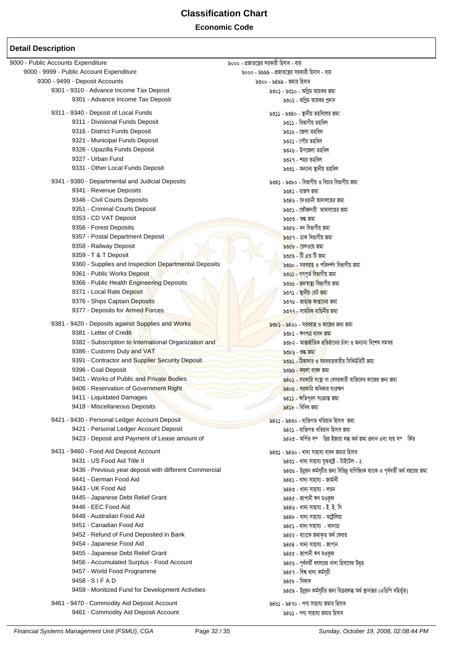### **Economic Code**

| 9000 - Public Accounts Expenditure                     | ৯০০০ - প্রজাতন্ত্রের সরকারী হিসাব - ব্যয়                                          |
|--------------------------------------------------------|------------------------------------------------------------------------------------|
| 9000 - 9999 - Public Account Expenditure               | ৯০০০ - ৯৯৯৯ - প্রজাতন্ত্রের সরকারী হিসাব - ব্যয়                                   |
| 9300 - 9499 - Deposit Accounts                         | ৯৩০০ - ৯৪৯৯ - জমার হিসাব                                                           |
| 9301 - 9310 - Advance Income Tax Deposit               | ৯৩০১ - ৯৩১০ - অগ্রিম আয়কর জমা                                                     |
| 9301 - Advance Income Tax Deposit                      | ৯৩০১ - অগ্রিম আয়কর প্রদান                                                         |
| 9311 - 9340 - Deposit of Local Funds                   | ৯৩১১ - ৯৩৪০ - স্থানীয় তহবিলের জমা                                                 |
| 9311 - Divisional Funds Deposit                        | ৯৩১১ - বিভাগীয় তহবিল                                                              |
| 9316 - District Funds Deposit                          | ৯৩১৬ - জেলা তহবিল                                                                  |
| 9321 - Municipal Funds Deposit                         | ৯৩২১ - পৌর তহবিল                                                                   |
| 9326 - Upazilla Funds Deposit                          | ৯৩২৬ - উপজেলা তহবিল                                                                |
| 9327 - Urban Fund                                      | ৯৩২৭ - শহর তহবিল                                                                   |
| 9331 - Other Local Funds Deposit                       | ৯৩৩১ - অন্যান্য স্থানীয় তহবিল                                                     |
| 9341 - 9380 - Departmental and Judicial Deposits       | ৯৩৪১ - ৯৩৮০ - বিভাগীয় ও বিচার বিভাগীয় জমা                                        |
| 9341 - Revenue Deposits                                | ৯৩৪১ - রাজস্ব জমা                                                                  |
| 9346 - Civil Courts Deposits                           | ৯৩৪৬ - দেওয়ানী আদালতের জমা                                                        |
| 9351 - Criminal Courts Deposit                         | ৯৩৫১ - ফৌজদারী আদালতের জমা                                                         |
| 9353 - CD VAT Deposit                                  | ৯৩৫৩ - শুল্ক জমা                                                                   |
| 9356 - Forest Deposits                                 | ৯৩৫৬ - বন বিভাগীয় জমা                                                             |
| 9357 - Postal Department Deposit                       | ৯৩৫৭ - ডাক বিভাগীয় জমা                                                            |
| 9358 - Railway Deposit                                 | ৯৩৫৮ - রেলওয়ে জমা                                                                 |
| 9359 - T & T Deposit                                   | $\delta$ ৩৫৯ - টি এন্ড টি জমা                                                      |
| 9360 - Supplies and Inspection Departmental Deposits   | ৯৩৬০ - সরবরাহ ও পরিদর্শণ বিভাগীয় জমা                                              |
| 9361 - Public Works Deposit                            | ৯৩৬ <b>১ -</b> গণপূৰ্ত বিভাগীয় জমা                                                |
| 9366 - Public Health Engineering Deposits              | ৯৩৬৬ - জনস্বাস্থ্য বিভাগীয় জমা                                                    |
| 9371 - Local Rate Deposit                              | ৯৩৭১ - স্থা <mark>নীয়</mark> রেট জমা                                              |
| 9376 - Ships Captain Deposits                          | ৯৩৭৬ - জা <mark>হাজ কাপ্তানের</mark> জমা                                           |
| 9377 - Deposits for Armed Forces                       | ৯৩৭৭ - সাম <mark>রিক বাহিনীর</mark> জমা                                            |
| 9381 - 9420 - Deposits against Supplies and Works      | ৯৩৮১ - ৯৪২০ - সরবরাহ ও কাজের জন্য জমা                                              |
| 9381 - Letter of Credit                                | ৯৩৮১ - ঋণপত্র বাবদ জমা                                                             |
| 9382 - Subscription to International Organization and  | ৯৩৮২ - আ <mark>ন্তৰ্জাতিক প্ৰতি</mark> ষ্ঠানের চাঁদা ও অন্যান্য বিশেষ সমন্বয়      |
| 9386 - Customs Duty and VAT                            | ৯৩৮৬ - শুল্ক জমা                                                                   |
| 9391 - Contractor and Supplier Security Deposit        | <mark>৯৩৯১ - ঠিকাদার ও স</mark> রবরাহকারীর সিকিউরিটি জমা                           |
| 9396 - Coal Deposit                                    | ৯৩৯৬ - কয়লা বাবদ জমা                                                              |
| 9401 - Works of Public and Private Bodies              | ৯৪০১ - সরকারি সংস্থা বা বেসরকারী ব্যক্তিদের কাজের জন্য জমা                         |
| 9406 - Reservation of Government Right                 | ৯৪০৬ - সরকারি অধিকার সংরক্ষণ                                                       |
| 9411 - Liquidated Damages                              | ৯৪১১ - ক্ষতিপূরণ সংক্রান্ত জমা                                                     |
| 9418 - Miscellaneous Deposits                          | $83b$ - বিবিধ জমা                                                                  |
| 9421 - 9430 - Personal Ledger Account Deposit          | ৯৪২১ - ৯৪৩০ - ব্যক্তিগত খতিয়ান হিসাব  জমা                                         |
| 9421 - Personal Ledger Account Deposit                 | ৯৪২১ - ব্যক্তিগত খতিয়ান হিসাব জমা                                                 |
| 9423 - Deposit and Payment of Lease amount of          | ৯৪২৩ - অৰ্পিত সম্ভির ইজারা লব্ধ অর্থ জমা প্রদান এবং ব্যয় সম্কিত                   |
| 9431 - 9460 - Food Aid Deposit Account                 | ৯৪৩১ - ৯৪৬০ - খাদ্য সাহায্য বাবদ জমার হিসাব                                        |
| 9431 - US Food Aid Title II                            | ৯৪৩১ - খাদ্য সাহায্য যুক্তরাষ্ট্র - টাইটেল - ২                                     |
| 9436 - Previous year deposit with different Commercial | ৯৪৩৬ - উন্নয়ন কর্মসূচীর জন্য বিভিন্ন বাণিজ্যিক ব্যাংক এ পূর্ববর্তী অর্থ বছরের জমা |
| 9441 - German Food Aid                                 | ৯৪৪১ - খাদ্য সাহায্য - জাৰ্মানী                                                    |
| 9443 - UK Food Aid                                     | ৯৪৪৩ - খাদ্য সাহায্য - লন্ডন                                                       |
| 9445 - Japanese Debt Relief Grant                      | ১৪৪৫ - জাপানী ঋণ মওকুফ                                                             |
| 9446 - EEC Food Aid                                    | ৯৪৪৬ - খাদ্য সাহায্য - ই. ই. সি                                                    |
| 9448 - Australian Food Aid                             | ৯৪৪৮ - খাদ্য সাহায্য - অষ্ট্ৰেলিয়া                                                |
| 9451 - Canadian Food Aid                               | ৯৪৫১ - খাদ্য সাহায্য - কানাডা                                                      |
| 9452 - Refund of Fund Deposited in Bank                | ৯৪৫২ - ব্যাংকে জমাকৃত অৰ্থ ফেরত                                                    |
| 9454 - Japanese Food Aid                               | ১৪৫৪ - খাদ্য সাহায্য - জাপান                                                       |
| 9455 - Japanese Debt Relief Grant                      | ৯৪৫৫ - জাপানী ঋণ মওকুফ                                                             |
| 9456 - Accumulated Surplus - Food Account              | ৯৪৫৬ - পূর্ববর্তী বৎসরের খাদ্য হিসাবের উদ্বত্ত                                     |
| 9457 - World Food Programme                            | ৯৪৫৭ - বিশ্ব খাদ্য কৰ্মসূচী                                                        |
| 9458 - SIFAD                                           | ৯৪৫৮ - সিফাদ                                                                       |
| 9459 - Monitized Fund for Development Activities       | ৯৪৫৯ - উন্নয়ন কর্মসূচীর জন্য বিক্রয়লব্ধ অর্থ স্থানান্তর (এডিপি বহির্ভূত)         |
| 9461 - 9470 - Commodity Aid Deposit Account            | ৯৪৬১ - ৯৪৭০ - পণ্য সাহায্য জমার হিসাব                                              |
| 9461 - Commodity Aid Deposit Account                   | ৯৪৬১ - পণ্য সাহায্য জমার হিসাব                                                     |
|                                                        |                                                                                    |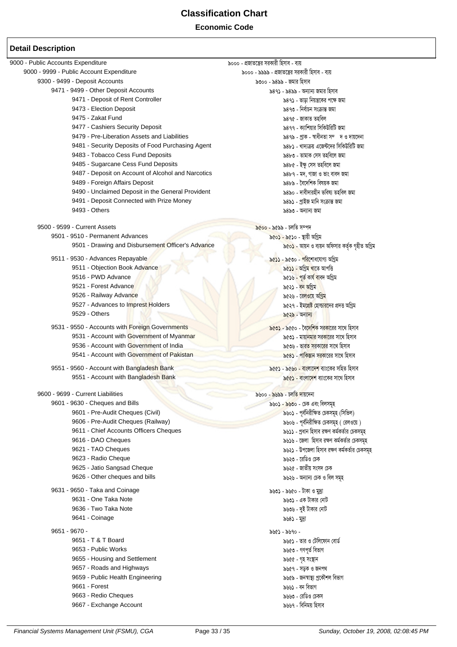#### **Economic Code**

| 9000 - Public Accounts Expenditure                 | ৯০০০ - প্রজাতন্ত্রের সরকারী হিসাব - ব্যয়                            |
|----------------------------------------------------|----------------------------------------------------------------------|
| 9000 - 9999 - Public Account Expenditure           | ৯০০০ - ৯৯৯৯ - প্রজাতন্ত্রের সরকারী হিসাব - ব্যয়                     |
| 9300 - 9499 - Deposit Accounts                     | ৯৩০০ - ৯৪৯৯ - জমার হিসাব                                             |
| 9471 - 9499 - Other Deposit Accounts               | ৯৪৭১ - ৯৪৯৯ - অন্যান্য জমার হিসাব                                    |
| 9471 - Deposit of Rent Controller                  | ৯৪৭১ - ভাড়া নিয়ন্ত্রকের পক্ষে জমা                                  |
| 9473 - Election Deposit                            | ৯৪৭৩ - নিৰ্বাচন সংক্ৰান্ত জমা                                        |
| 9475 - Zakat Fund                                  | ৯৪৭৫ - জাকাত তহবিল                                                   |
| 9477 - Cashiers Security Deposit                   | ৯৪৭৭ - ক্যাশিয়ার সিকিউরিটি জমা                                      |
| 9479 - Pre-Liberation Assets and Liabilities       | ৯৪৭৯ - প্ৰাক - স্বাধীনতা সম্দ ও দায়দেনা                             |
| 9481 - Security Deposits of Food Purchasing Agent  | ৯৪৮১ - খাদ্যক্রয় এজেন্টদের সিকিউরিটি জমা                            |
| 9483 - Tobacco Cess Fund Deposits                  | ৯৪৮৩ - তামাক সেস তহবিলে জমা                                          |
|                                                    |                                                                      |
| 9485 - Sugarcane Cess Fund Deposits                | ৯৪৮৫ - ইক্ষু সেস তহবিলে জমা                                          |
| 9487 - Deposit on Account of Alcohol and Narcotics | ৯৪৮৭ - মদ, গাজা ও তাং বাবদ জমা                                       |
| 9489 - Foreign Affairs Deposit                     | ৯৪৮৯ - বৈদেশিক বিষয়ক জমা                                            |
| 9490 - Unclaimed Deposit in the General Provident  | ৯৪৯০ - দাবীদারহীন ভবিষ্য তহবিল জমা                                   |
| 9491 - Deposit Connected with Prize Money          | ৯৪৯১ - প্ৰাইজ মানি সংক্ৰান্ত জমা                                     |
| 9493 - Others                                      | ৯৪৯৩ - অন্যান্য জমা                                                  |
| 9500 - 9599 - Current Assets                       | ৯৫০০ - ৯৫৯৯ - চলতি সম্পদ                                             |
| 9501 - 9510 - Permanent Advances                   | ৯৫০১ - ৯৫১০ - স্থায়ী অগ্রিম                                         |
| 9501 - Drawing and Disbursement Officer's Advance  | <mark>৯৫০১</mark> - আয়ন ও ব্যয়ন অফিসার কর্তৃক গৃহীত অগ্রিম         |
| 9511 - 9530 - Advances Repayable                   | ৯৫১১ - ৯৫৩০ - পরিশোধযোগ্য অগ্রিম                                     |
| 9511 - Objection Book Advance                      | ৯৫ <mark>১১ - অগ্ৰিম খা</mark> তে আপত্তি                             |
| 9516 - PWD Advance                                 |                                                                      |
|                                                    | ৯৫১৬ <mark>- পূৰ্ত কাৰ্য বা</mark> বদ অগ্ৰিম                         |
| 9521 - Forest Advance                              | ৯৫২১ - <mark>বন অ</mark> গ্রিম                                       |
| 9526 - Railway Advance                             | ৯৫২৬ - রে <mark>লও</mark> য়ে অগ্রি <mark>ম</mark>                   |
| 9527 - Advances to Imprest Holders                 | ৯৫২৭ - ইম <mark>প্ৰেষ্ট হোল্ডারদে</mark> র প্রদত্ত অগ্রিম            |
| 9529 - Others                                      | ৯৫২৯ - অন্যান্য                                                      |
| 9531 - 9550 - Accounts with Foreign Governments    | <mark>৯৫৩১ - ৯</mark> ৫৫০ - বৈ <mark>দেশিক</mark> সরকারের সাথে হিসাব |
| 9531 - Account with Government of Myanmar          | ৯৫৩১ - মায়া <mark>নমার</mark> সরকারের সাথে হিসাব                    |
| 9536 - Account with Government of India            | ৯৫৩৬ - ভার <mark>ত সরকারের</mark> সাথে হিসাব                         |
| 9541 - Account with Government of Pakistan         | ৯৫৪১ - পাকিস্তান সরকারের সাথে হিসাব                                  |
|                                                    |                                                                      |
| 9551 - 9560 - Account with Bangladesh Bank         | <mark>৯৫৫১ - ৯৫৬০ - বাংলাদেশ</mark> ব্যাংকের সহিত হিসাব              |
| 9551 - Account with Bangladesh Bank                | ৯৫৫১ - বাংলা <mark>দেশ</mark> ব্যাংকের সাথে হিসাব                    |
| 9600 - 9699 - Current Liabilities                  | ৯৬০০ - ৯৬৯৯ - চলতি দায়দেনা                                          |
| 9601 - 9630 - Cheques and Bills                    | ৯৬০১ - ৯৬৩০ - চেক এবং বিলসমূহ                                        |
| 9601 - Pre-Audit Cheques (Civil)                   | ৯৬০১ - পূর্বনিরীক্ষিত চেকসমূহ (সিভিল)                                |
|                                                    |                                                                      |
| 9606 - Pre-Audit Cheques (Railway)                 | ৯৬০৬ - পূর্বনিরীক্ষিত চেকসমূহ ( রেলওয়ে )                            |
| 9611 - Chief Accounts Officers Cheques             | ৯৬১১ - প্রধান হিসাব রক্ষণ কর্মকর্তার চেকসমূহ                         |
| 9616 - DAO Cheques                                 | ৯৬১৬ - জেলা হিসাব রক্ষণ কর্মকর্তার চেকসমূহ                           |
| 9621 - TAO Cheques                                 | ৯৬২১ - উপজেলা হিসাব রক্ষণ কর্মকর্তার চেকসমূহ                         |
| 9623 - Radio Cheque                                | ৯৬২৩ - রেডিও চেক                                                     |
| 9625 - Jatio Sangsad Cheque                        | ৯৬২৫ - জাতীয় সংসদ চেক                                               |
| 9626 - Other cheques and bills                     | ৯৬২৬ - অন্যান্য চেক ও বিল সমূহ                                       |
| 9631 - 9650 - Taka and Coinage                     | ৯৬৩১ - ৯৬৫০ - টাকা ও মুদ্রা                                          |
| 9631 - One Taka Note                               | ৯৬৩১ - এক টাকার নোট                                                  |
| 9636 - Two Taka Note                               | ৯৬৩৬ - দুই টাকার নোট                                                 |
| 9641 - Coinage                                     | ৯৬৪১ - মুদ্রা                                                        |
|                                                    |                                                                      |
| $9651 - 9670 -$                                    | - ০৭৶৫ - ১৬৭০                                                        |
| 9651 - T & T Board                                 | ৯৬৫১ - তার ও টেলিফোন বোর্ড                                           |
| 9653 - Public Works                                | ৯৬৫৩ - গণপূৰ্ত বিভাগ                                                 |
| 9655 - Housing and Settlement                      | ৯৬৫৫ - গৃহ সংস্থান                                                   |
| 9657 - Roads and Highways                          | ৯৬৫৭ - সড়ক ও জনপথ                                                   |
| 9659 - Public Health Engineering                   | ৯৬৫৯ - জনস্বাস্থ্য প্ৰকৌশল বিভাগ                                     |
| 9661 - Forest                                      | ৯৬৬১ - বন বিভাগ                                                      |
| 9663 - Redio Cheques                               | ৯৬৬৩ - রেডিও চেকস                                                    |
| 9667 - Exchange Account                            | ৯৬৬৭ - বিনিময় হিসাব                                                 |
|                                                    |                                                                      |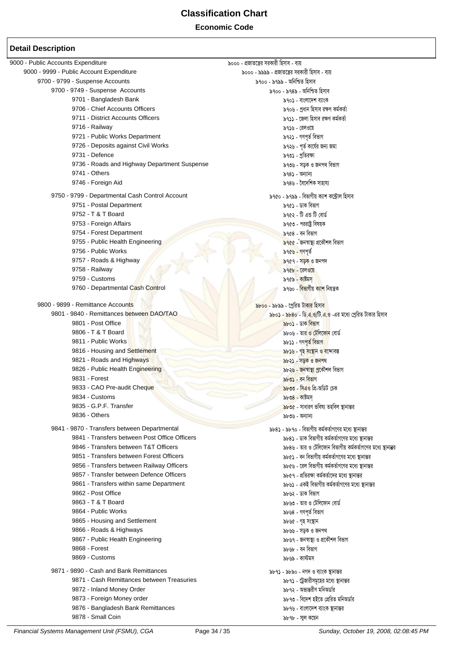### **Economic Code**

| 9000 - Public Accounts Expenditure              | ৯০০০ - প্রজাতন্ত্রের সরকারী হিসাব - ব্যয়                          |
|-------------------------------------------------|--------------------------------------------------------------------|
| 9000 - 9999 - Public Account Expenditure        | ৯০০০ - ৯৯৯৯ - প্রজাতন্ত্রের সরকারী হিসাব - ব্যয়                   |
| 9700 - 9799 - Suspense Accounts                 | ৯৭০০ - ৯৭৯৯ - অনিশ্চিত হিসাব                                       |
| 9700 - 9749 - Suspense Accounts                 | ৯৭০০ - ৯৭৪৯ - অনিশ্চিত হিসাব                                       |
| 9701 - Bangladesh Bank                          | ৯৭০১ - বাংলাদেশ ব্যাংক                                             |
| 9706 - Chief Accounts Officers                  | ৯৭০৬ - প্রধান হিসাব রক্ষণ কর্মকর্তা                                |
| 9711 - District Accounts Officers               | ৯৭১১ - জেলা হিসাব রক্ষণ কর্মকর্তা                                  |
| 9716 - Railway                                  | ৯৭১৬ - রেলওয়ে                                                     |
| 9721 - Public Works Department                  | ৯৭২১ - গণপূৰ্ত বিভাগ                                               |
| 9726 - Deposits against Civil Works             | ৯৭২৬ - পূর্ত কার্যের জন্য জমা                                      |
| 9731 - Defence                                  | ৯৭৩১ - প্রতিরক্ষা                                                  |
| 9736 - Roads and Highway Department Suspense    | ৯৭৩৬ - সড়ক ও জনপথ বিভাগ                                           |
| 9741 - Others                                   |                                                                    |
| 9746 - Foreign Aid                              | ৯৭৪১ - অন্যান্য<br>৯৭৪৬ - বৈদেশিক সাহায্য                          |
|                                                 |                                                                    |
| 9750 - 9799 - Departmental Cash Control Account | ৯৭৫০ - ৯৭৯৯ - বিভাগীয় ক্যাশ কন্ট্ৰোল হিসাব                        |
| 9751 - Postal Department                        | ৯৭৫১ - ডাক বিভাগ                                                   |
| 9752 - T & T Board                              | ৯৭৫২ - টি এন্ড টি বোর্ড                                            |
| 9753 - Foreign Affairs                          | ৯৭৫৩ - পররাষ্ট্র বিষয়ক                                            |
| 9754 - Forest Department                        | ৯৭৫৪ - বন বিভাগ                                                    |
| 9755 - Public Health Engineering                | ৯৭৫৫ - জনস্বাস্থ্য প্রকৌশল বিভাগ                                   |
| 9756 - Public Works                             | ৯৭৫৬ - গণপূৰ্ত                                                     |
| 9757 - Roads & Highway                          | ৯৭৫৭ - স <mark>ড়ক</mark> ও জনপদ                                   |
| 9758 - Railway                                  | ৯৭৫৮ - রেলওয়ে                                                     |
| 9759 - Customs                                  | ৯৭৫৯ - কাষ্টমস                                                     |
| 9760 - Departmental Cash Control                | ৯৭৬০ - বিভাগীয় ক্যাশ নিয়ন্ত্ৰক                                   |
| 9800 - 9899 - Remittance Accounts               | <mark>৯৮০০ - ৯৮৯৯ - প্ৰেরিত টাকার হিসাব</mark>                     |
| 9801 - 9840 - Remittances between DAO/TAO       | ৯৮০ <b>১ - ৯৮৪০ - ডি.এ.ও/টি.এ.ও</b> -এর মধ্যে প্রেরিত টাকার হিসাব  |
| 9801 - Post Office                              | ৯৮০১ - ডাক বিভাগ                                                   |
| 9806 - T & T Board                              | ৯৮০৬ - তার ও টেলিফোন বোর্ড                                         |
| 9811 - Public Works                             | ৯৮১১ - গণপূ <mark>ৰ্ত বিভাগ</mark>                                 |
| 9816 - Housing and Settlement                   |                                                                    |
| 9821 - Roads and Highways                       | <mark>৯৮১৬ - গৃহ সংস্থান ও ব</mark> ন্দোবস্ত                       |
| 9826 - Public Health Engineering                | <u>৯৮২১ - সড়ক ও জনপথ</u>                                          |
| 9831 - Forest                                   | ৯৮২৬ - জনস্বাস্থ্ <mark>য প্ৰ</mark> কৌশল বিভাগ<br>৯৮৩১ - বন বিভাগ |
|                                                 |                                                                    |
| 9833 - CAO Pre-audit Cheque                     | ৯৮৩৩ - সিএও প্রি-অডিট চেক                                          |
| 9834 - Customs<br>9835 - G.P.F. Transfer        | ৯৮৩৪ - কাষ্টমস                                                     |
|                                                 | ৯৮৩৫ - সাধারণ ভবিষ্য তহবিল স্থানান্তর                              |
| 9836 - Others                                   | ৯৮৩৬ - অন্যান্য                                                    |
| 9841 - 9870 - Transfers between Departmental    | ৯৮৪১ - ৯৮৭০ - বিভাগীয় কর্মকর্তাগণের মধ্যে স্থানান্তর              |
| 9841 - Transfers between Post Office Officers   | ৯৮৪১ - ডাক বিভাগীয় কর্মকর্তাগণের মধ্যে স্থানান্তর                 |
| 9846 - Transfers between T&T Officers           | ৯৮৪৬ - তার ও টেলিফোন বিভাগীয় কর্মকর্তাগণের মধ্যে স্থানাব্রর       |
| 9851 - Transfers between Forest Officers        | ৯৮৫১ - বন বিভাগীয় কর্মকর্তাগণের মধ্যে স্থানান্তর                  |
| 9856 - Transfers between Railway Officers       | ৯৮৫৬ - রেল বিভাগীয় কর্মকর্তাগণের মধ্যে স্থানান্তর                 |
| 9857 - Transfer between Defence Officers        | ৯৮৫৭ - প্রতিরক্ষা কর্মকর্তাদের মধ্যে স্থানান্তর                    |
| 9861 - Transfers within same Department         | ৯৮৬১ - একই বিভাগীয় কর্মকর্তাগণের মধ্যে স্থানান্তর                 |
| 9862 - Post Office                              | ৯৮৬২ - ডাক বিভাগ                                                   |
| 9863 - T & T Board                              | ৯৮৬৩ - তার ও টেলিফোন বোর্ড                                         |
| 9864 - Public Works                             | ৯৮৬৪ - গণপূৰ্ত বিভাগ                                               |
| 9865 - Housing and Settlement                   | ৯৮৬৫ - গৃহ সংস্থান                                                 |
| 9866 - Roads & Highways                         | ৯৮৬৬ - সড়ক ও জনপথ                                                 |
| 9867 - Public Health Engineering                | ৯৮৬৭ - জনস্বাস্থ্য ও প্রকৌশল বিভাগ                                 |
| 9868 - Forest                                   | ৯৮৬৮ - বন বিভাগ                                                    |
| 9869 - Customs                                  | ৯৮৬৯ - কাস্টমস                                                     |
| 9871 - 9890 - Cash and Bank Remittances         | ৯৮৭১ - ৯৮৯০ - নগদ ও ব্যাংক স্থানান্তর                              |
| 9871 - Cash Remittances between Treasuries      | ৯৮৭১ - ট্রেজারীসমূহের মধ্যে স্থানান্তর                             |
| 9872 - Inland Money Order                       | ৯৮৭২ - অভ্যন্তরীণ মনিঅর্ডার                                        |
| 9873 - Foreign Money order                      | ৯৮৭৩ - বিদেশ হইতে প্ৰেরিত মনিঅডার                                  |
| 9876 - Bangladesh Bank Remittances              | ৯৮৭৬ - বাংলাদেশ ব্যাংক স্থানান্তর                                  |
| 9878 - Small Coin                               | ৯৮৭৮ - সাল কয়েন                                                   |
|                                                 |                                                                    |